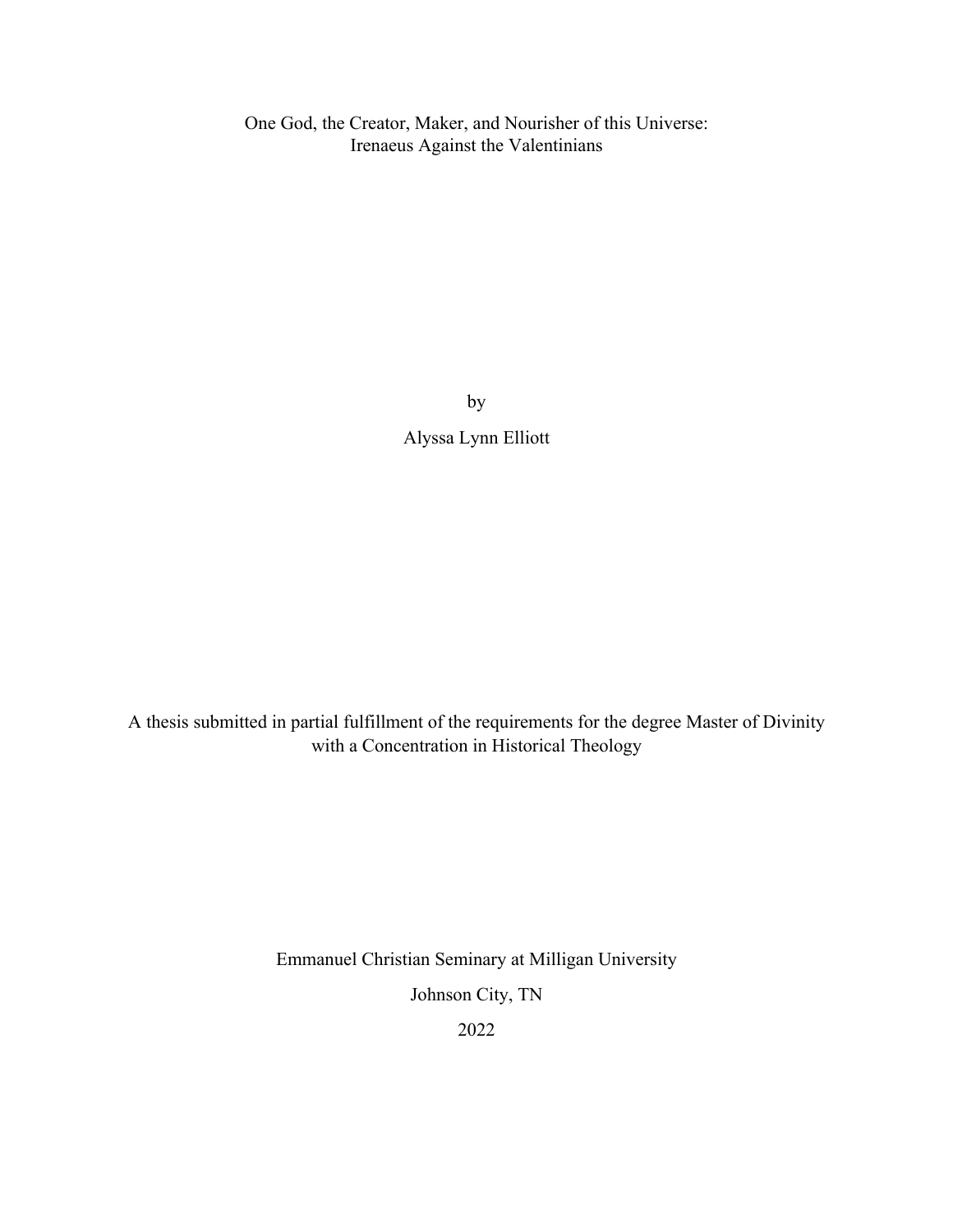One God, the Creator, Maker, and Nourisher of this Universe: Irenaeus Against the Valentinians

> by Alyssa Lynn Elliott

A thesis submitted in partial fulfillment of the requirements for the degree Master of Divinity with a Concentration in Historical Theology

Emmanuel Christian Seminary at Milligan University

Johnson City, TN

2022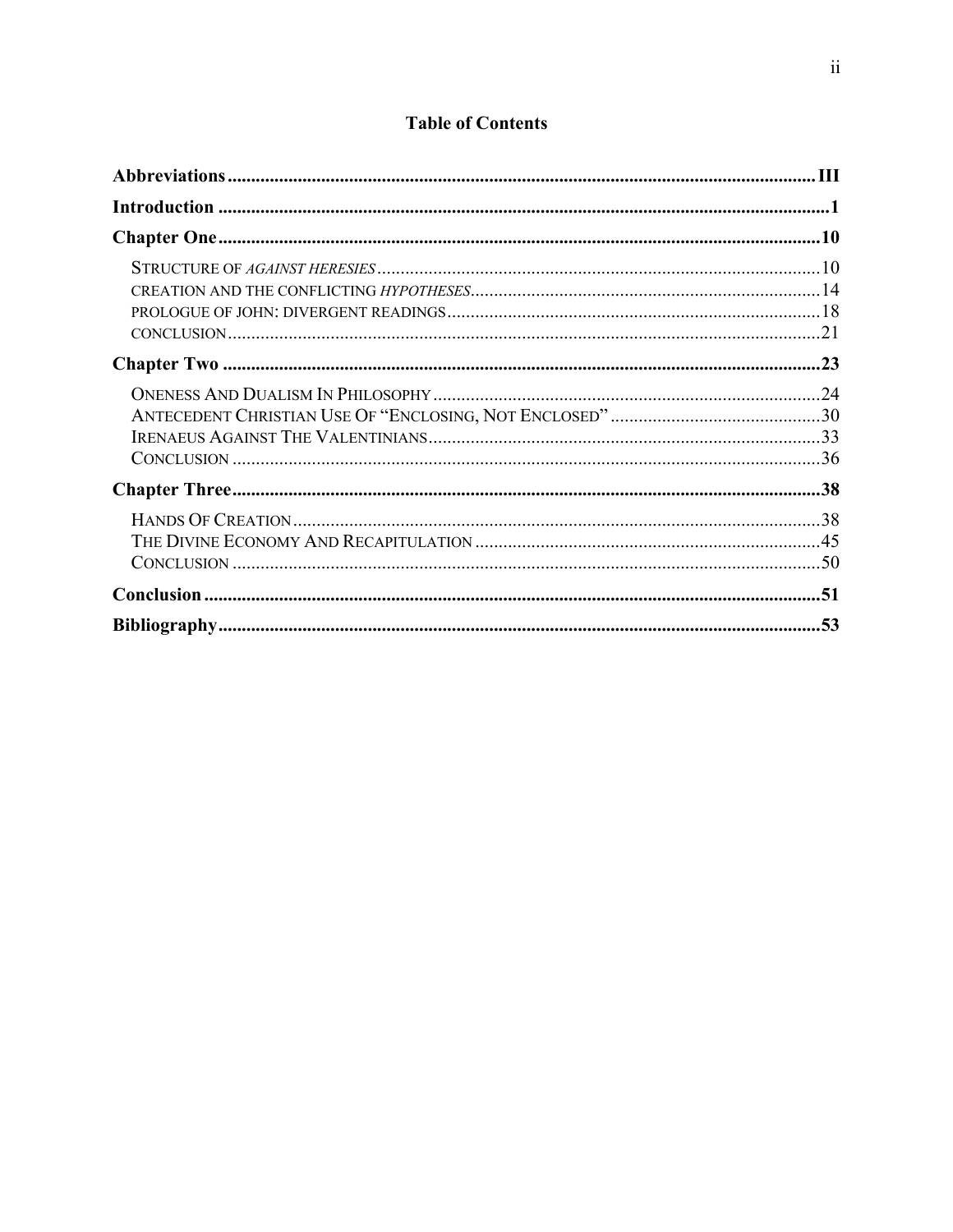# **Table of Contents**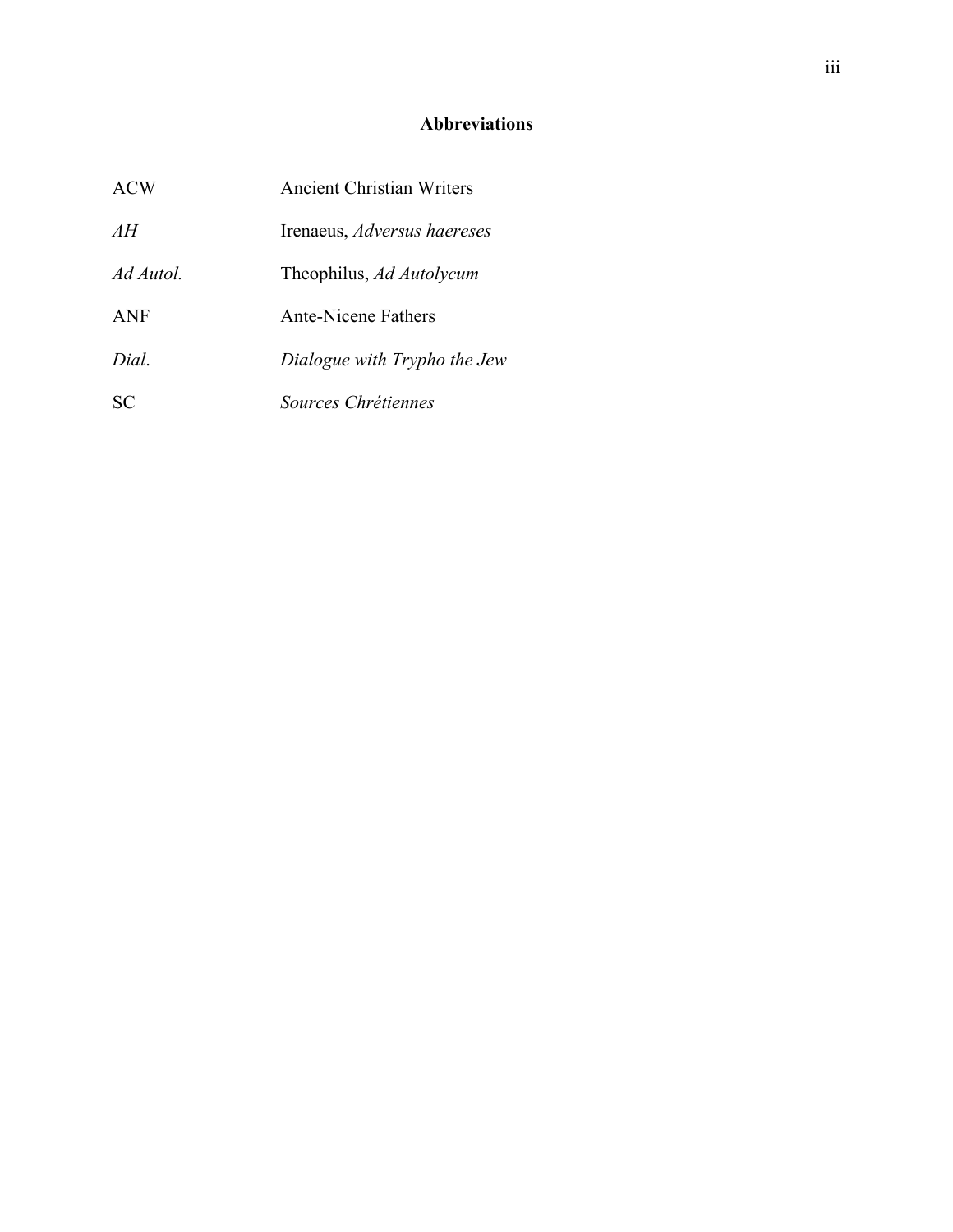# **Abbreviations**

| ACW        | <b>Ancient Christian Writers</b> |
|------------|----------------------------------|
| AH         | Irenaeus, Adversus haereses      |
| Ad Autol.  | Theophilus, Ad Autolycum         |
| <b>ANF</b> | Ante-Nicene Fathers              |
| Dial.      | Dialogue with Trypho the Jew     |
| SС         | Sources Chrétiennes              |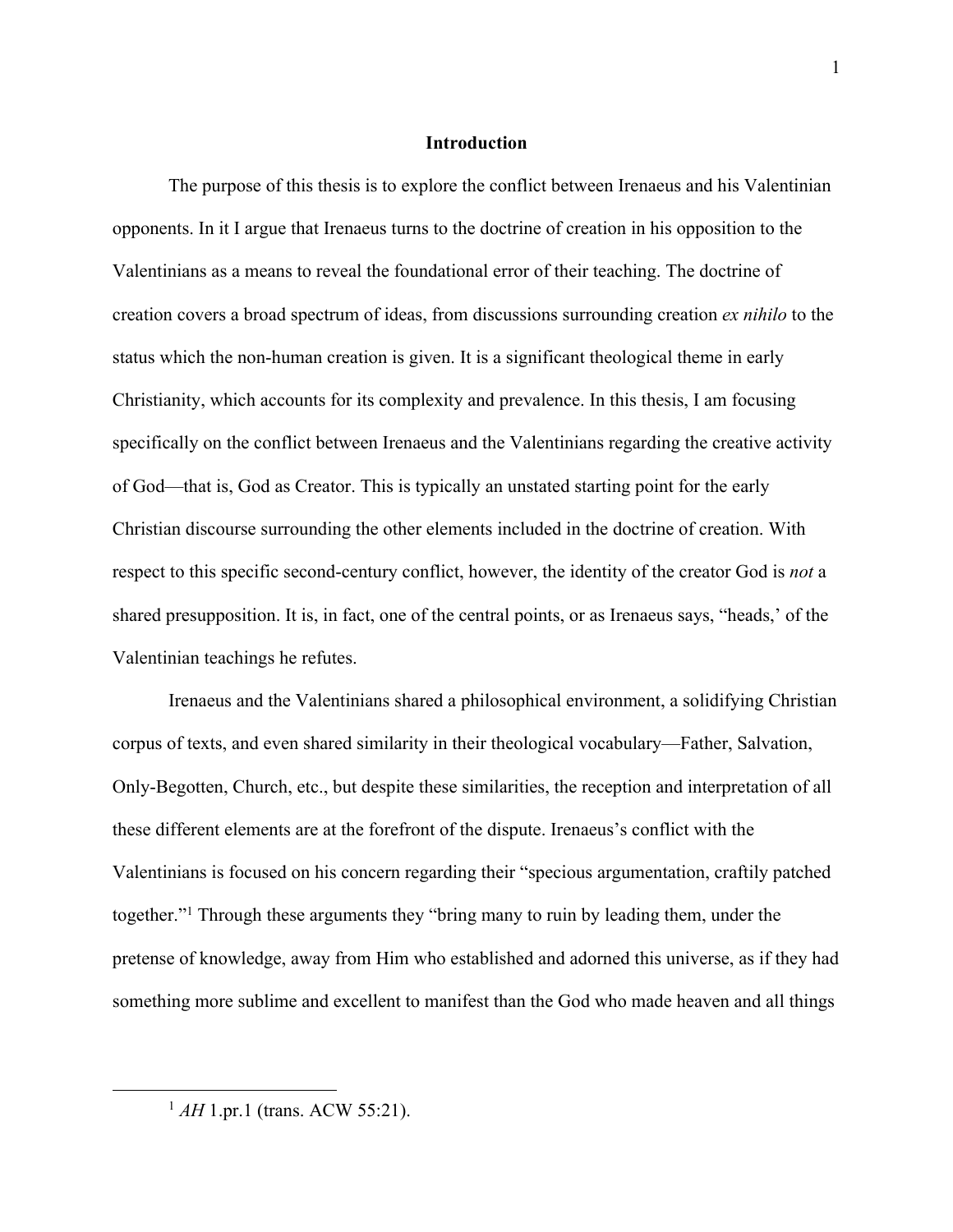## **Introduction**

The purpose of this thesis is to explore the conflict between Irenaeus and his Valentinian opponents. In it I argue that Irenaeus turns to the doctrine of creation in his opposition to the Valentinians as a means to reveal the foundational error of their teaching. The doctrine of creation covers a broad spectrum of ideas, from discussions surrounding creation *ex nihilo* to the status which the non-human creation is given. It is a significant theological theme in early Christianity, which accounts for its complexity and prevalence. In this thesis, I am focusing specifically on the conflict between Irenaeus and the Valentinians regarding the creative activity of God—that is, God as Creator. This is typically an unstated starting point for the early Christian discourse surrounding the other elements included in the doctrine of creation. With respect to this specific second-century conflict, however, the identity of the creator God is *not* a shared presupposition. It is, in fact, one of the central points, or as Irenaeus says, "heads,' of the Valentinian teachings he refutes.

Irenaeus and the Valentinians shared a philosophical environment, a solidifying Christian corpus of texts, and even shared similarity in their theological vocabulary—Father, Salvation, Only-Begotten, Church, etc., but despite these similarities, the reception and interpretation of all these different elements are at the forefront of the dispute. Irenaeus's conflict with the Valentinians is focused on his concern regarding their "specious argumentation, craftily patched together."1 Through these arguments they "bring many to ruin by leading them, under the pretense of knowledge, away from Him who established and adorned this universe, as if they had something more sublime and excellent to manifest than the God who made heaven and all things

<sup>&</sup>lt;sup>1</sup> *AH* 1.pr.1 (trans. ACW 55:21).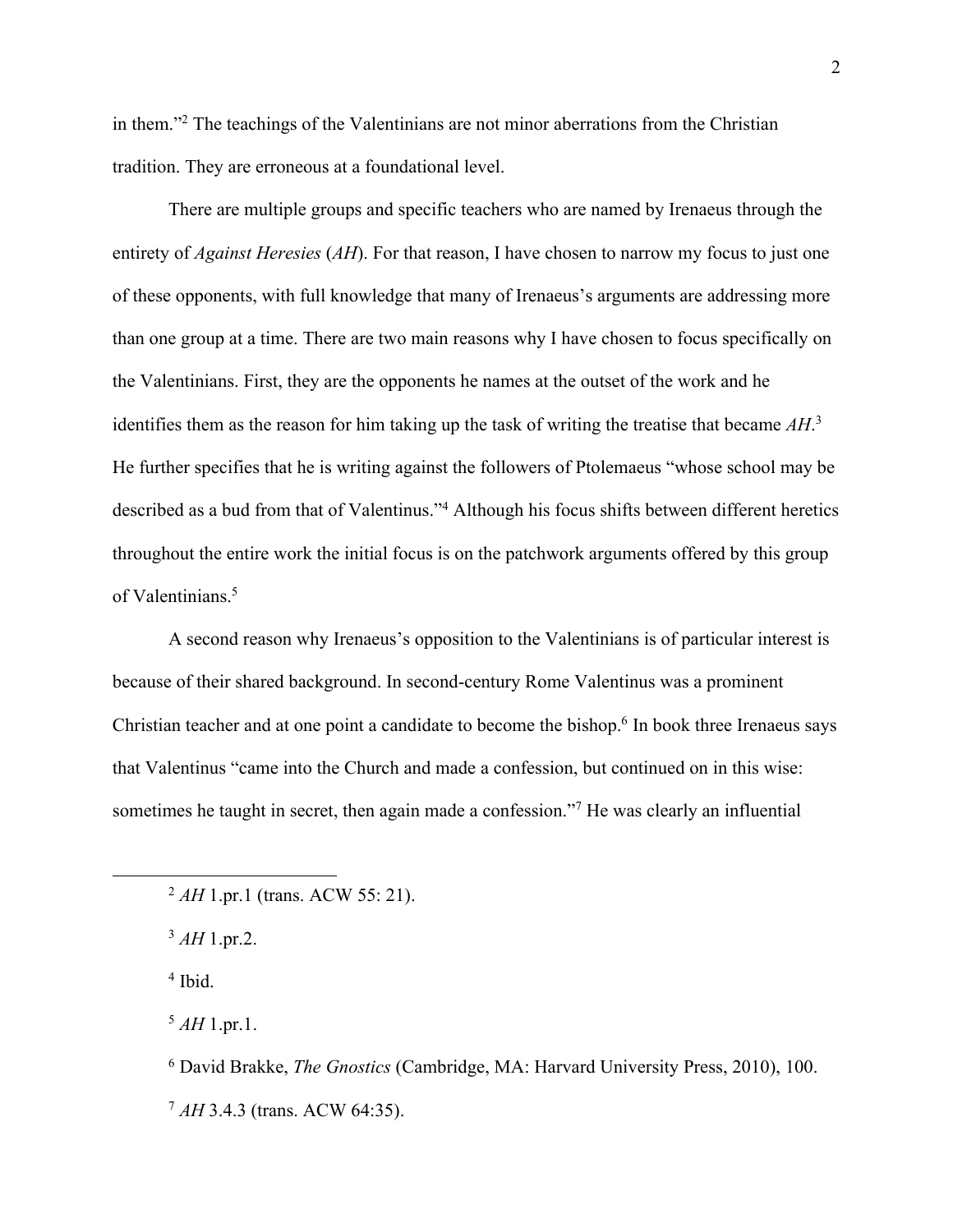in them."2 The teachings of the Valentinians are not minor aberrations from the Christian tradition. They are erroneous at a foundational level.

There are multiple groups and specific teachers who are named by Irenaeus through the entirety of *Against Heresies* (*AH*). For that reason, I have chosen to narrow my focus to just one of these opponents, with full knowledge that many of Irenaeus's arguments are addressing more than one group at a time. There are two main reasons why I have chosen to focus specifically on the Valentinians. First, they are the opponents he names at the outset of the work and he identifies them as the reason for him taking up the task of writing the treatise that became *AH*. 3 He further specifies that he is writing against the followers of Ptolemaeus "whose school may be described as a bud from that of Valentinus."4 Although his focus shifts between different heretics throughout the entire work the initial focus is on the patchwork arguments offered by this group of Valentinians. 5

A second reason why Irenaeus's opposition to the Valentinians is of particular interest is because of their shared background. In second-century Rome Valentinus was a prominent Christian teacher and at one point a candidate to become the bishop.<sup>6</sup> In book three Irenaeus says that Valentinus "came into the Church and made a confession, but continued on in this wise: sometimes he taught in secret, then again made a confession."<sup>7</sup> He was clearly an influential

 $^{5}$  *AH* 1.pr.1.

<sup>6</sup> David Brakke, *The Gnostics* (Cambridge, MA: Harvard University Press, 2010), 100. <sup>7</sup> *AH* 3.4.3 (trans. ACW 64:35).

<sup>&</sup>lt;sup>2</sup> *AH* 1.pr.1 (trans. ACW 55: 21).

<sup>3</sup> *AH* 1.pr.2.

<sup>4</sup> Ibid.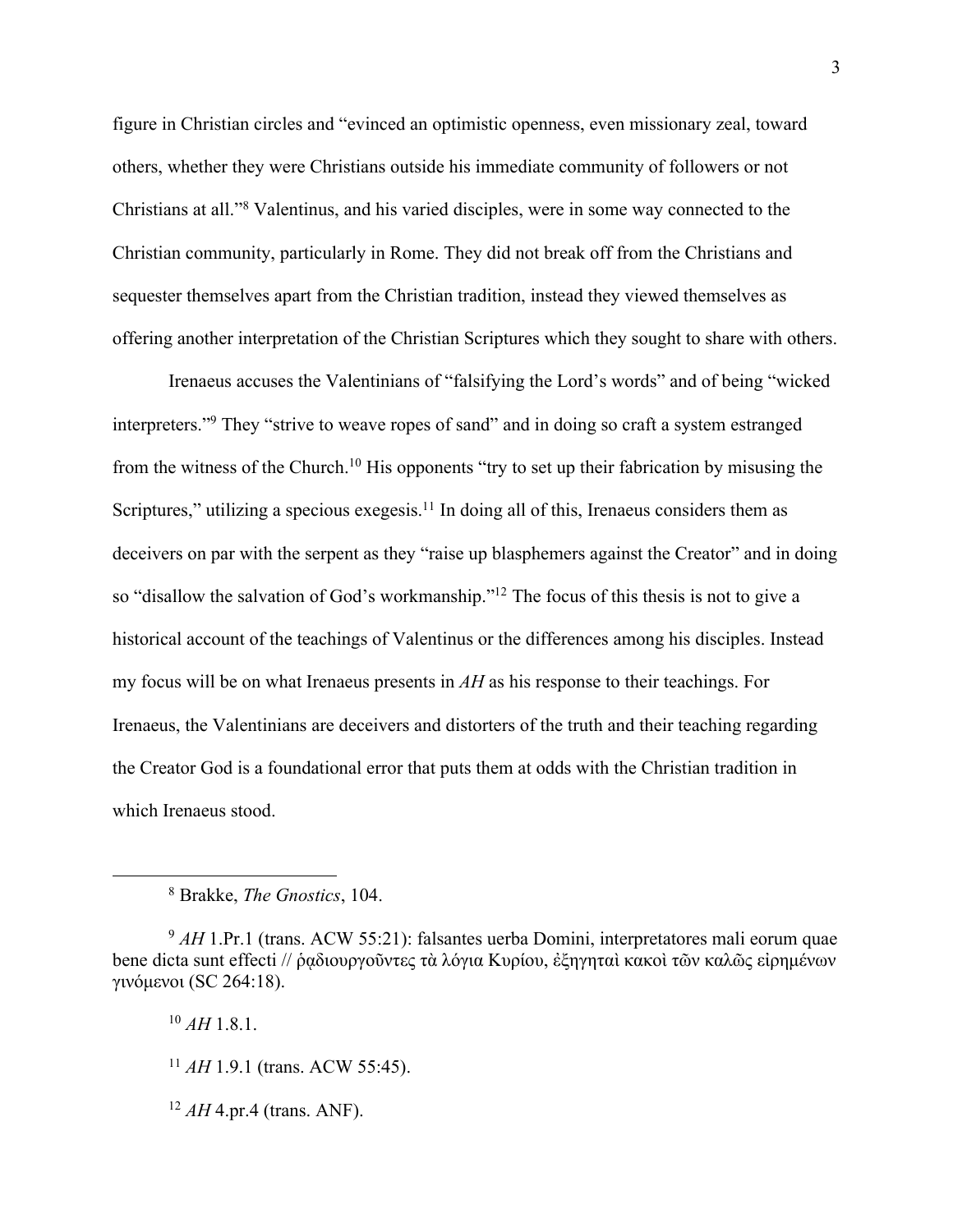figure in Christian circles and "evinced an optimistic openness, even missionary zeal, toward others, whether they were Christians outside his immediate community of followers or not Christians at all."8 Valentinus, and his varied disciples, were in some way connected to the Christian community, particularly in Rome. They did not break off from the Christians and sequester themselves apart from the Christian tradition, instead they viewed themselves as offering another interpretation of the Christian Scriptures which they sought to share with others.

Irenaeus accuses the Valentinians of "falsifying the Lord's words" and of being "wicked interpreters."<sup>9</sup> They "strive to weave ropes of sand" and in doing so craft a system estranged from the witness of the Church.10 His opponents "try to set up their fabrication by misusing the Scriptures," utilizing a specious exegesis.<sup>11</sup> In doing all of this, Irenaeus considers them as deceivers on par with the serpent as they "raise up blasphemers against the Creator" and in doing so "disallow the salvation of God's workmanship."<sup>12</sup> The focus of this thesis is not to give a historical account of the teachings of Valentinus or the differences among his disciples. Instead my focus will be on what Irenaeus presents in *AH* as his response to their teachings. For Irenaeus, the Valentinians are deceivers and distorters of the truth and their teaching regarding the Creator God is a foundational error that puts them at odds with the Christian tradition in which Irenaeus stood.

 $12$  *AH* 4.pr.4 (trans. ANF).

<sup>8</sup> Brakke, *The Gnostics*, 104.

<sup>&</sup>lt;sup>9</sup> *AH* 1.Pr.1 (trans. ACW 55:21): falsantes uerba Domini, interpretatores mali eorum quae bene dicta sunt effecti // ῥαδιουργοῦντες τὰ λόγια Κυρίου, ἐξηγηταὶ κακοὶ τῶν καλῶς εἰρημένων γινόμενοι (SC 264:18).

 $^{10}$  *AH* 1.8.1.

<sup>11</sup> *AH* 1.9.1 (trans. ACW 55:45).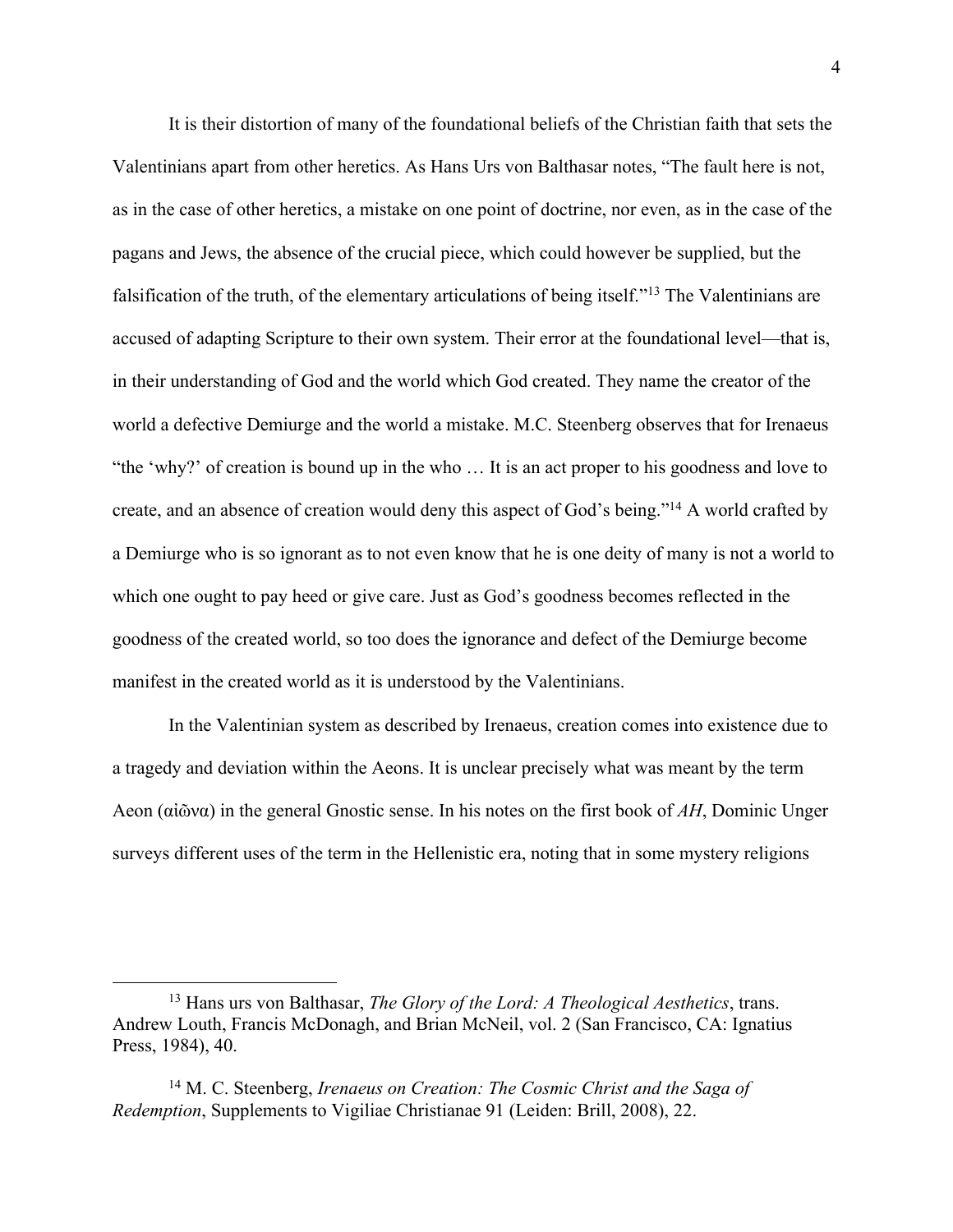It is their distortion of many of the foundational beliefs of the Christian faith that sets the Valentinians apart from other heretics. As Hans Urs von Balthasar notes, "The fault here is not, as in the case of other heretics, a mistake on one point of doctrine, nor even, as in the case of the pagans and Jews, the absence of the crucial piece, which could however be supplied, but the falsification of the truth, of the elementary articulations of being itself."13 The Valentinians are accused of adapting Scripture to their own system. Their error at the foundational level—that is, in their understanding of God and the world which God created. They name the creator of the world a defective Demiurge and the world a mistake. M.C. Steenberg observes that for Irenaeus "the 'why?' of creation is bound up in the who … It is an act proper to his goodness and love to create, and an absence of creation would deny this aspect of God's being."14 A world crafted by a Demiurge who is so ignorant as to not even know that he is one deity of many is not a world to which one ought to pay heed or give care. Just as God's goodness becomes reflected in the goodness of the created world, so too does the ignorance and defect of the Demiurge become manifest in the created world as it is understood by the Valentinians.

In the Valentinian system as described by Irenaeus, creation comes into existence due to a tragedy and deviation within the Aeons. It is unclear precisely what was meant by the term Aeon (αἰῶνα) in the general Gnostic sense. In his notes on the first book of *AH*, Dominic Unger surveys different uses of the term in the Hellenistic era, noting that in some mystery religions

<sup>13</sup> Hans urs von Balthasar, *The Glory of the Lord: A Theological Aesthetics*, trans. Andrew Louth, Francis McDonagh, and Brian McNeil, vol. 2 (San Francisco, CA: Ignatius Press, 1984), 40.

<sup>14</sup> M. C. Steenberg, *Irenaeus on Creation: The Cosmic Christ and the Saga of Redemption*, Supplements to Vigiliae Christianae 91 (Leiden: Brill, 2008), 22.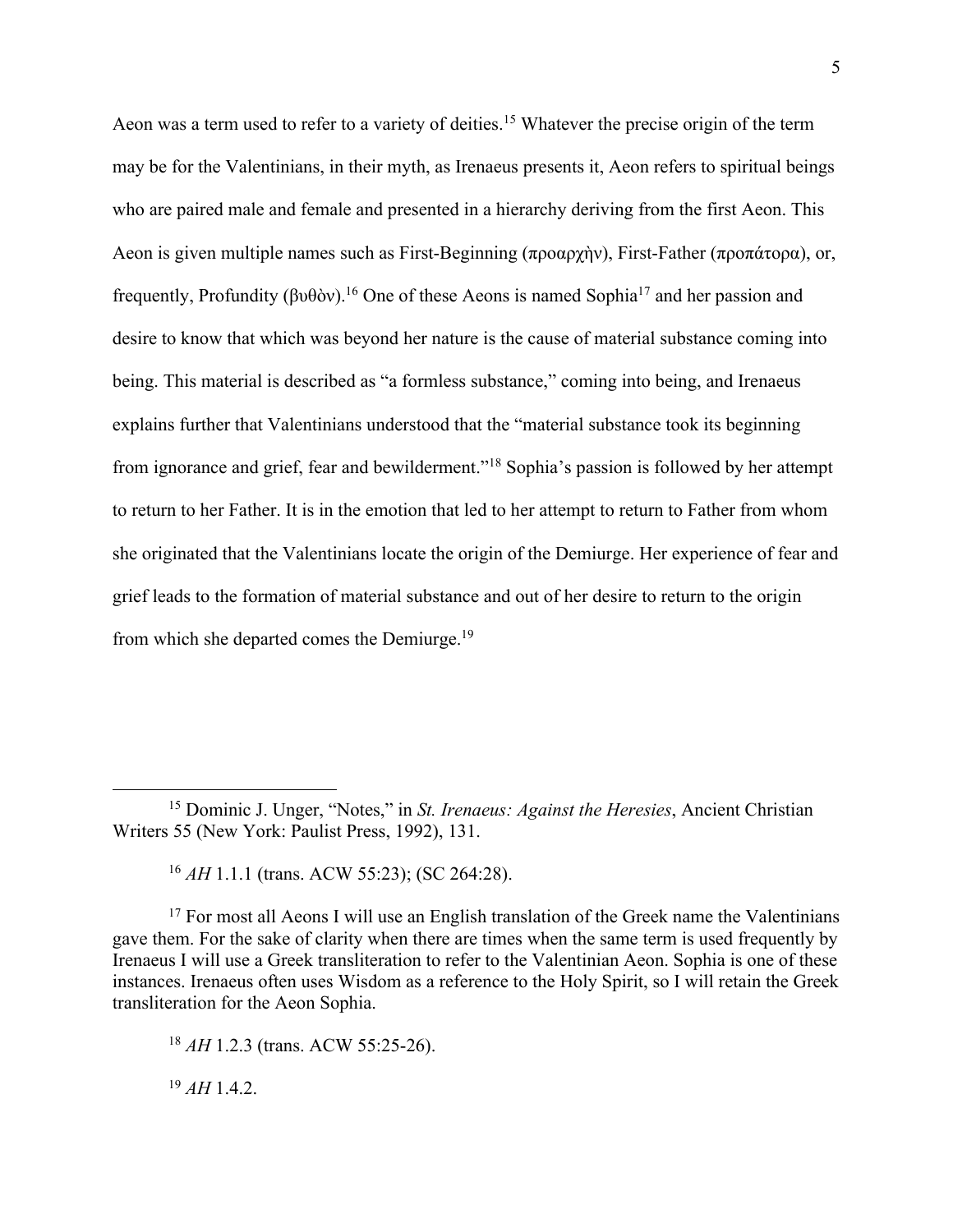Aeon was a term used to refer to a variety of deities.<sup>15</sup> Whatever the precise origin of the term may be for the Valentinians, in their myth, as Irenaeus presents it, Aeon refers to spiritual beings who are paired male and female and presented in a hierarchy deriving from the first Aeon. This Aeon is given multiple names such as First-Beginning (προαρχὴν), First-Father (προπάτορα), or, frequently, Profundity (βυθὸν).<sup>16</sup> One of these Aeons is named Sophia<sup>17</sup> and her passion and desire to know that which was beyond her nature is the cause of material substance coming into being. This material is described as "a formless substance," coming into being, and Irenaeus explains further that Valentinians understood that the "material substance took its beginning from ignorance and grief, fear and bewilderment."18 Sophia's passion is followed by her attempt to return to her Father. It is in the emotion that led to her attempt to return to Father from whom she originated that the Valentinians locate the origin of the Demiurge. Her experience of fear and grief leads to the formation of material substance and out of her desire to return to the origin from which she departed comes the Demiurge.19

<sup>18</sup> *AH* 1.2.3 (trans. ACW 55:25-26).

<sup>19</sup> *AH* 1.4.2.

<sup>15</sup> Dominic J. Unger, "Notes," in *St. Irenaeus: Against the Heresies*, Ancient Christian Writers 55 (New York: Paulist Press, 1992), 131.

<sup>16</sup> *AH* 1.1.1 (trans. ACW 55:23); (SC 264:28).

<sup>&</sup>lt;sup>17</sup> For most all Aeons I will use an English translation of the Greek name the Valentinians gave them. For the sake of clarity when there are times when the same term is used frequently by Irenaeus I will use a Greek transliteration to refer to the Valentinian Aeon. Sophia is one of these instances. Irenaeus often uses Wisdom as a reference to the Holy Spirit, so I will retain the Greek transliteration for the Aeon Sophia.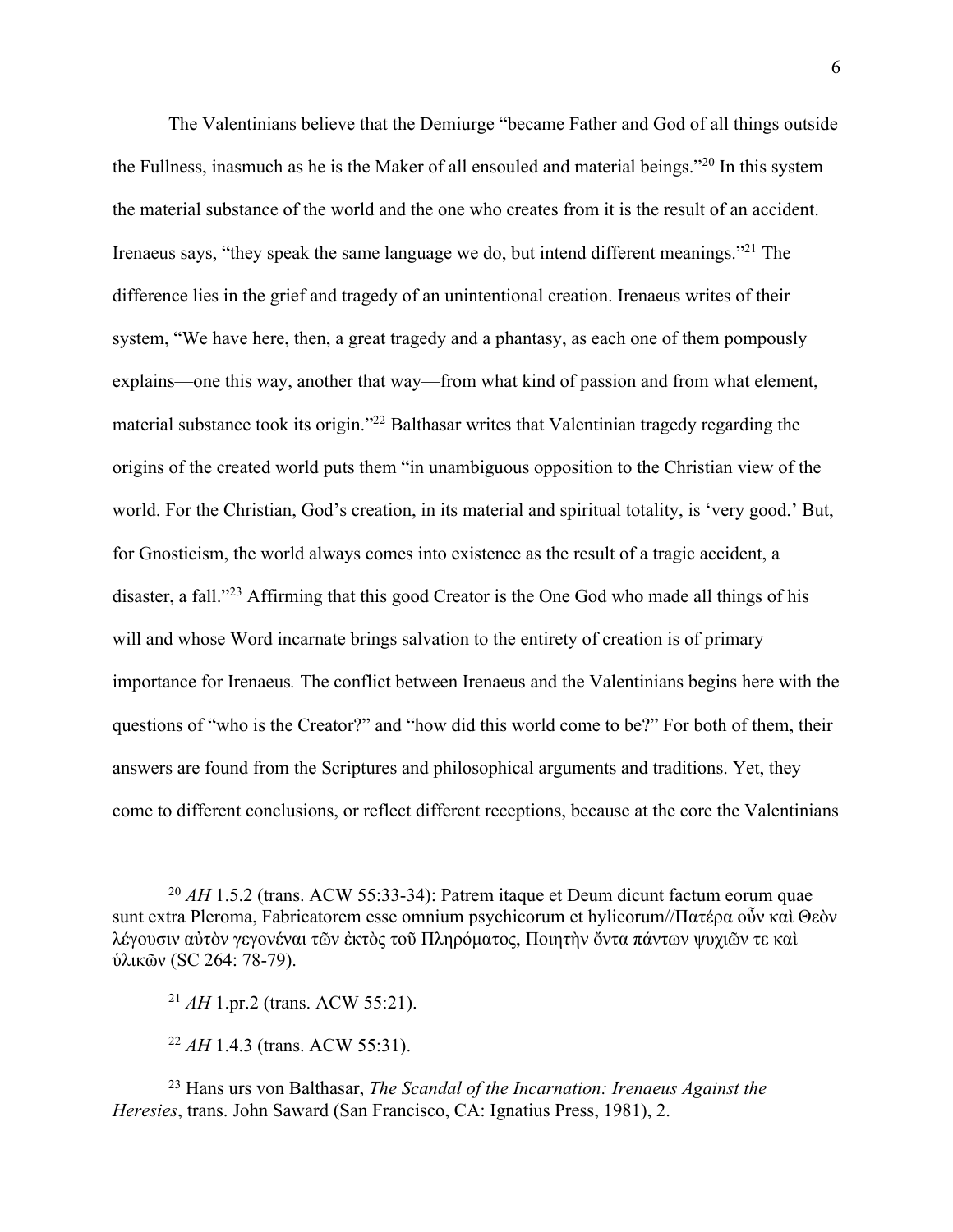The Valentinians believe that the Demiurge "became Father and God of all things outside the Fullness, inasmuch as he is the Maker of all ensouled and material beings."20 In this system the material substance of the world and the one who creates from it is the result of an accident. Irenaeus says, "they speak the same language we do, but intend different meanings."21 The difference lies in the grief and tragedy of an unintentional creation. Irenaeus writes of their system, "We have here, then, a great tragedy and a phantasy, as each one of them pompously explains—one this way, another that way—from what kind of passion and from what element, material substance took its origin."22 Balthasar writes that Valentinian tragedy regarding the origins of the created world puts them "in unambiguous opposition to the Christian view of the world. For the Christian, God's creation, in its material and spiritual totality, is 'very good.' But, for Gnosticism, the world always comes into existence as the result of a tragic accident, a disaster, a fall."23 Affirming that this good Creator is the One God who made all things of his will and whose Word incarnate brings salvation to the entirety of creation is of primary importance for Irenaeus*.* The conflict between Irenaeus and the Valentinians begins here with the questions of "who is the Creator?" and "how did this world come to be?" For both of them, their answers are found from the Scriptures and philosophical arguments and traditions. Yet, they come to different conclusions, or reflect different receptions, because at the core the Valentinians

<sup>20</sup> *AH* 1.5.2 (trans. ACW 55:33-34): Patrem itaque et Deum dicunt factum eorum quae sunt extra Pleroma, Fabricatorem esse omnium psychicorum et hylicorum//Πατέρα οὖν καὶ Θεὸν λέγουσιν αὐτὸν γεγονέναι τῶν ἐκτὸς τοῦ Πληρόματος, Ποιητὴν ὄντα πάντων ψυχιῶν τε καὶ ὑλικῶν (SC 264: 78-79).

<sup>21</sup> *AH* 1.pr.2 (trans. ACW 55:21).

<sup>22</sup> *AH* 1.4.3 (trans. ACW 55:31).

<sup>23</sup> Hans urs von Balthasar, *The Scandal of the Incarnation: Irenaeus Against the Heresies*, trans. John Saward (San Francisco, CA: Ignatius Press, 1981), 2.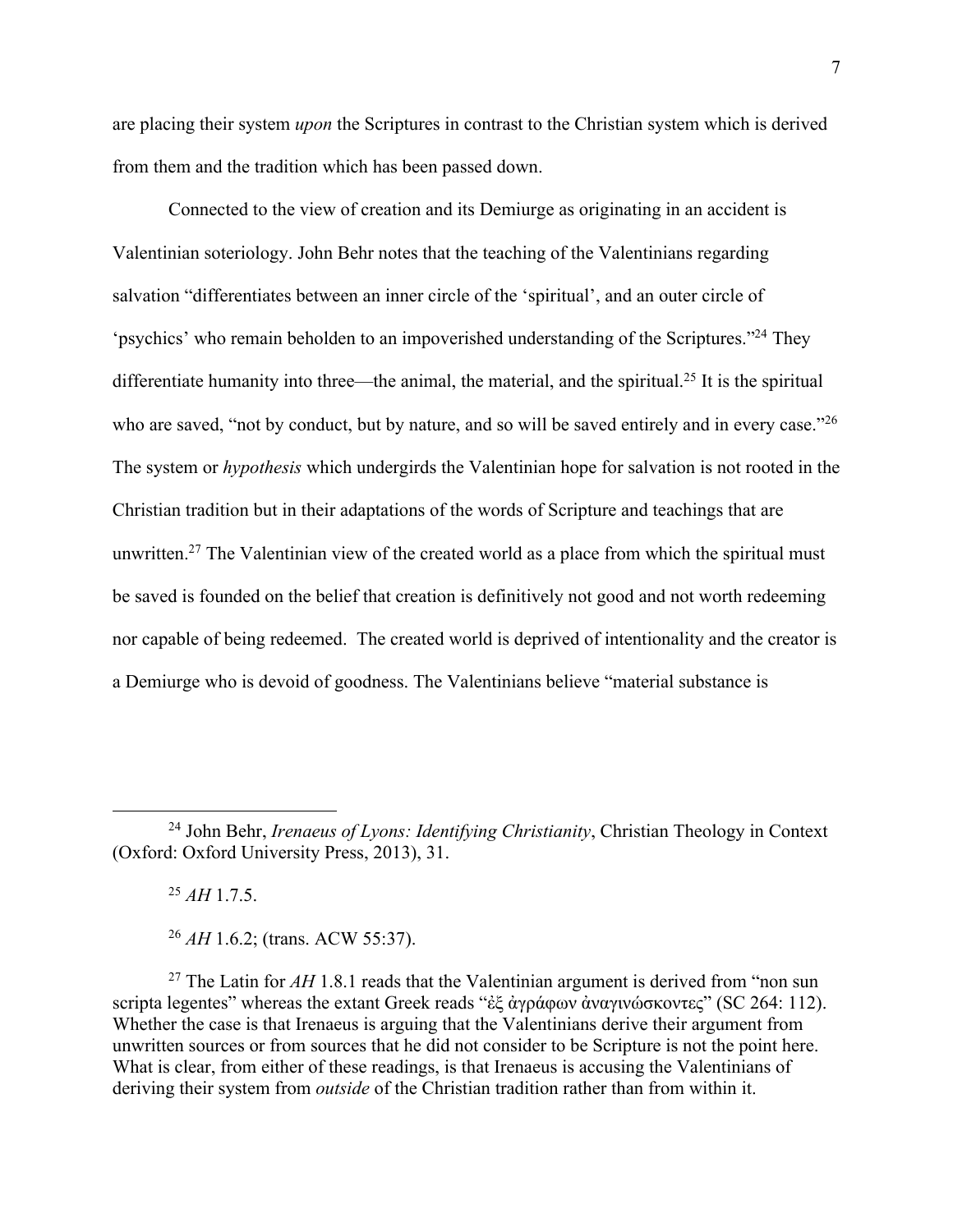are placing their system *upon* the Scriptures in contrast to the Christian system which is derived from them and the tradition which has been passed down.

Connected to the view of creation and its Demiurge as originating in an accident is Valentinian soteriology. John Behr notes that the teaching of the Valentinians regarding salvation "differentiates between an inner circle of the 'spiritual', and an outer circle of 'psychics' who remain beholden to an impoverished understanding of the Scriptures."24 They differentiate humanity into three—the animal, the material, and the spiritual.<sup>25</sup> It is the spiritual who are saved, "not by conduct, but by nature, and so will be saved entirely and in every case."<sup>26</sup> The system or *hypothesis* which undergirds the Valentinian hope for salvation is not rooted in the Christian tradition but in their adaptations of the words of Scripture and teachings that are unwritten.<sup>27</sup> The Valentinian view of the created world as a place from which the spiritual must be saved is founded on the belief that creation is definitively not good and not worth redeeming nor capable of being redeemed. The created world is deprived of intentionality and the creator is a Demiurge who is devoid of goodness. The Valentinians believe "material substance is

<sup>25</sup> *AH* 1.7.5.

<sup>26</sup> *AH* 1.6.2; (trans. ACW 55:37).

<sup>27</sup> The Latin for *ΑΗ* 1.8.1 reads that the Valentinian argument is derived from "non sun scripta legentes" whereas the extant Greek reads "ἐξ ἀγράφων ἀναγινώσκοντες" (SC 264: 112). Whether the case is that Irenaeus is arguing that the Valentinians derive their argument from unwritten sources or from sources that he did not consider to be Scripture is not the point here. What is clear, from either of these readings, is that Irenaeus is accusing the Valentinians of deriving their system from *outside* of the Christian tradition rather than from within it.

<sup>24</sup> John Behr, *Irenaeus of Lyons: Identifying Christianity*, Christian Theology in Context (Oxford: Oxford University Press, 2013), 31.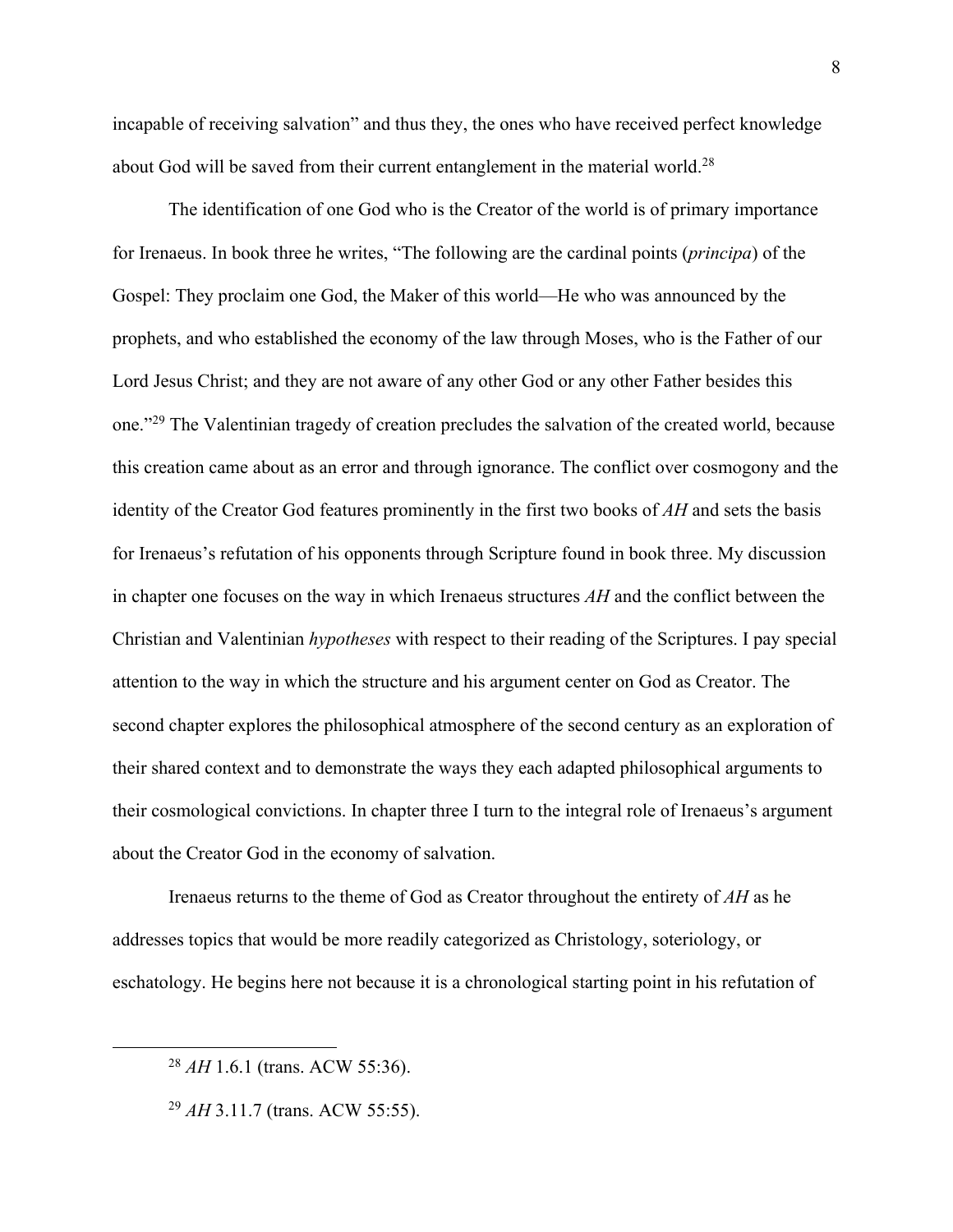incapable of receiving salvation" and thus they, the ones who have received perfect knowledge about God will be saved from their current entanglement in the material world.<sup>28</sup>

The identification of one God who is the Creator of the world is of primary importance for Irenaeus. In book three he writes, "The following are the cardinal points (*principa*) of the Gospel: They proclaim one God, the Maker of this world—He who was announced by the prophets, and who established the economy of the law through Moses, who is the Father of our Lord Jesus Christ; and they are not aware of any other God or any other Father besides this one."29 The Valentinian tragedy of creation precludes the salvation of the created world, because this creation came about as an error and through ignorance. The conflict over cosmogony and the identity of the Creator God features prominently in the first two books of *AH* and sets the basis for Irenaeus's refutation of his opponents through Scripture found in book three. My discussion in chapter one focuses on the way in which Irenaeus structures *AH* and the conflict between the Christian and Valentinian *hypotheses* with respect to their reading of the Scriptures. I pay special attention to the way in which the structure and his argument center on God as Creator. The second chapter explores the philosophical atmosphere of the second century as an exploration of their shared context and to demonstrate the ways they each adapted philosophical arguments to their cosmological convictions. In chapter three I turn to the integral role of Irenaeus's argument about the Creator God in the economy of salvation.

Irenaeus returns to the theme of God as Creator throughout the entirety of *AH* as he addresses topics that would be more readily categorized as Christology, soteriology, or eschatology. He begins here not because it is a chronological starting point in his refutation of

<sup>28</sup> *AH* 1.6.1 (trans. ACW 55:36).

<sup>29</sup> *AH* 3.11.7 (trans. ACW 55:55).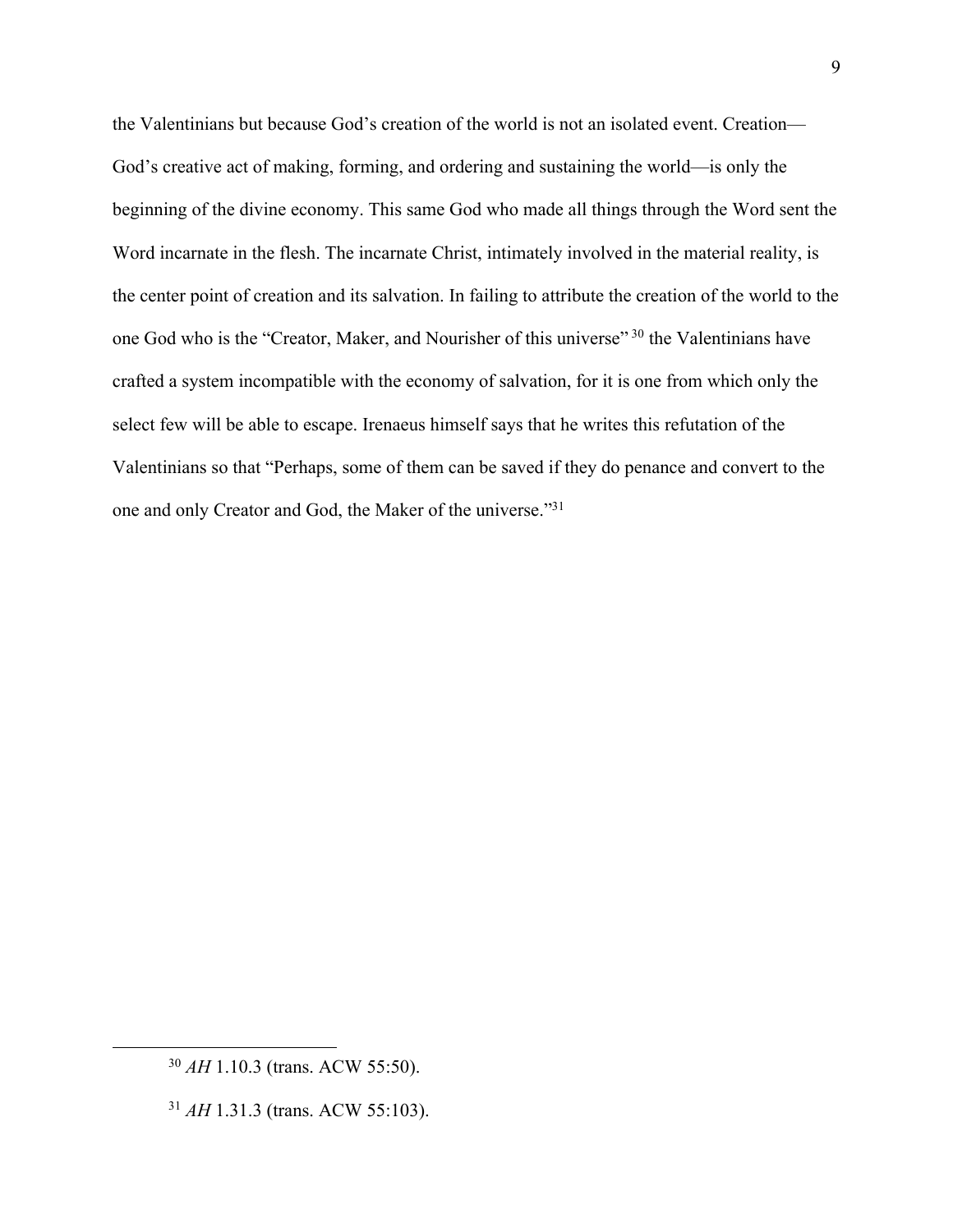the Valentinians but because God's creation of the world is not an isolated event. Creation— God's creative act of making, forming, and ordering and sustaining the world—is only the beginning of the divine economy. This same God who made all things through the Word sent the Word incarnate in the flesh. The incarnate Christ, intimately involved in the material reality, is the center point of creation and its salvation. In failing to attribute the creation of the world to the one God who is the "Creator, Maker, and Nourisher of this universe" <sup>30</sup> the Valentinians have crafted a system incompatible with the economy of salvation, for it is one from which only the select few will be able to escape. Irenaeus himself says that he writes this refutation of the Valentinians so that "Perhaps, some of them can be saved if they do penance and convert to the one and only Creator and God, the Maker of the universe."31

<sup>30</sup> *AH* 1.10.3 (trans. ACW 55:50).

<sup>31</sup> *AH* 1.31.3 (trans. ACW 55:103).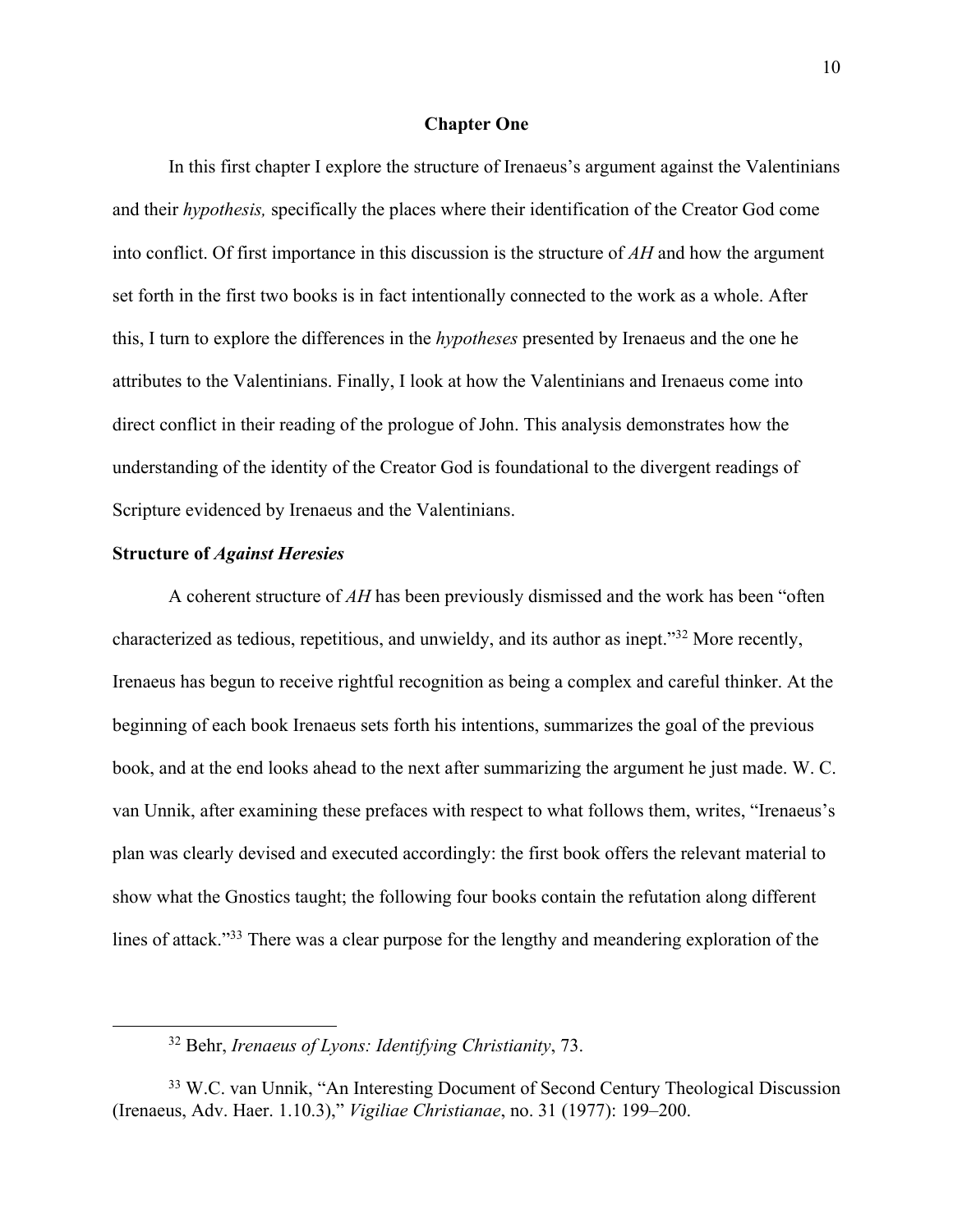## **Chapter One**

In this first chapter I explore the structure of Irenaeus's argument against the Valentinians and their *hypothesis,* specifically the places where their identification of the Creator God come into conflict. Of first importance in this discussion is the structure of *AH* and how the argument set forth in the first two books is in fact intentionally connected to the work as a whole. After this, I turn to explore the differences in the *hypotheses* presented by Irenaeus and the one he attributes to the Valentinians. Finally, I look at how the Valentinians and Irenaeus come into direct conflict in their reading of the prologue of John. This analysis demonstrates how the understanding of the identity of the Creator God is foundational to the divergent readings of Scripture evidenced by Irenaeus and the Valentinians.

#### **Structure of** *Against Heresies*

A coherent structure of *AH* has been previously dismissed and the work has been "often characterized as tedious, repetitious, and unwieldy, and its author as inept."32 More recently, Irenaeus has begun to receive rightful recognition as being a complex and careful thinker. At the beginning of each book Irenaeus sets forth his intentions, summarizes the goal of the previous book, and at the end looks ahead to the next after summarizing the argument he just made. W. C. van Unnik, after examining these prefaces with respect to what follows them, writes, "Irenaeus's plan was clearly devised and executed accordingly: the first book offers the relevant material to show what the Gnostics taught; the following four books contain the refutation along different lines of attack."<sup>33</sup> There was a clear purpose for the lengthy and meandering exploration of the

<sup>32</sup> Behr, *Irenaeus of Lyons: Identifying Christianity*, 73.

<sup>33</sup> W.C. van Unnik, "An Interesting Document of Second Century Theological Discussion (Irenaeus, Adv. Haer. 1.10.3)," *Vigiliae Christianae*, no. 31 (1977): 199–200.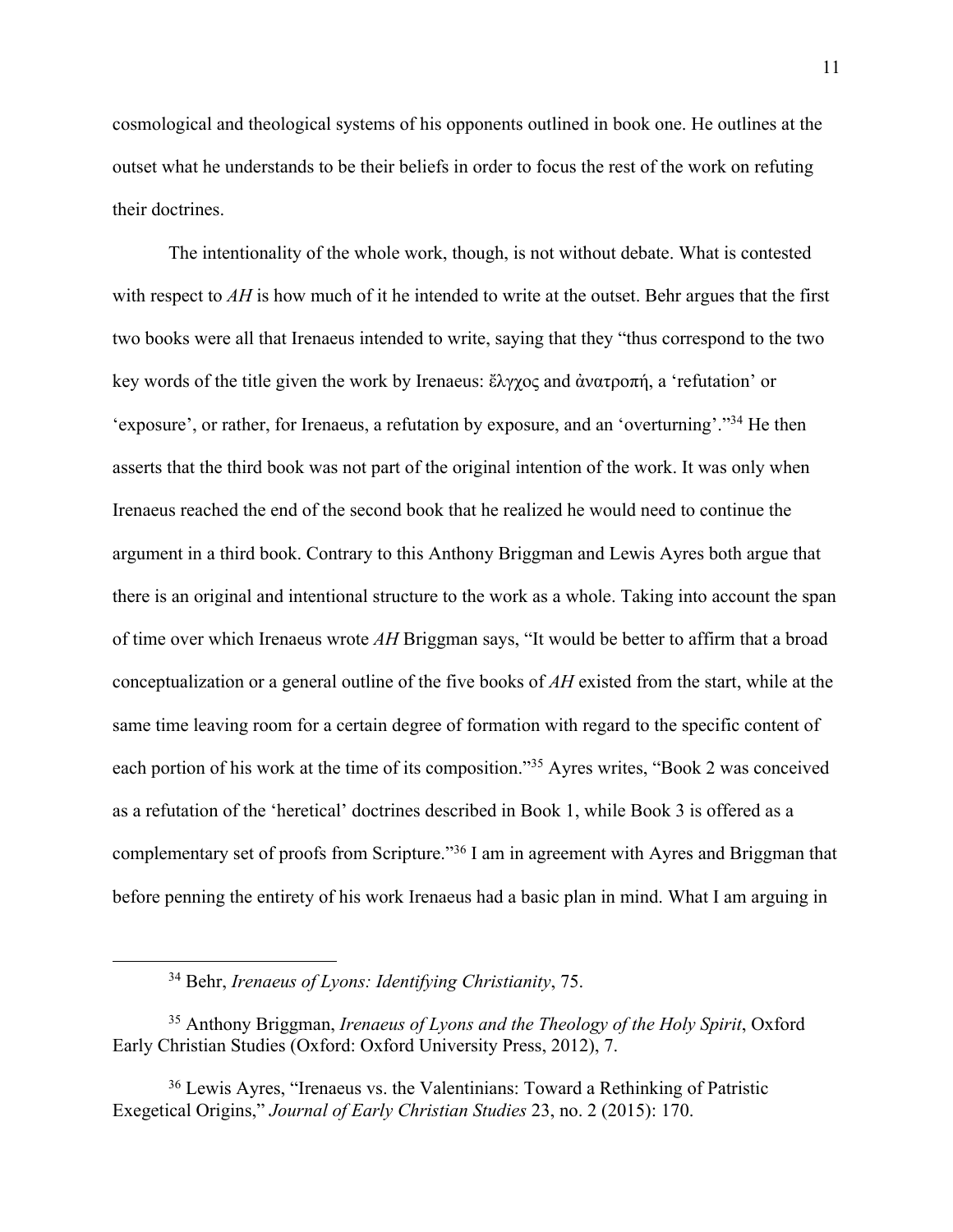cosmological and theological systems of his opponents outlined in book one. He outlines at the outset what he understands to be their beliefs in order to focus the rest of the work on refuting their doctrines.

The intentionality of the whole work, though, is not without debate. What is contested with respect to *AH* is how much of it he intended to write at the outset. Behr argues that the first two books were all that Irenaeus intended to write, saying that they "thus correspond to the two key words of the title given the work by Irenaeus: ἔλγχος and ἀνατροπή, a 'refutation' or 'exposure', or rather, for Irenaeus, a refutation by exposure, and an 'overturning'."34 He then asserts that the third book was not part of the original intention of the work. It was only when Irenaeus reached the end of the second book that he realized he would need to continue the argument in a third book. Contrary to this Anthony Briggman and Lewis Ayres both argue that there is an original and intentional structure to the work as a whole. Taking into account the span of time over which Irenaeus wrote *AH* Briggman says, "It would be better to affirm that a broad conceptualization or a general outline of the five books of *AH* existed from the start, while at the same time leaving room for a certain degree of formation with regard to the specific content of each portion of his work at the time of its composition."35 Ayres writes, "Book 2 was conceived as a refutation of the 'heretical' doctrines described in Book 1, while Book 3 is offered as a complementary set of proofs from Scripture."36 I am in agreement with Ayres and Briggman that before penning the entirety of his work Irenaeus had a basic plan in mind. What I am arguing in

<sup>34</sup> Behr, *Irenaeus of Lyons: Identifying Christianity*, 75.

<sup>35</sup> Anthony Briggman, *Irenaeus of Lyons and the Theology of the Holy Spirit*, Oxford Early Christian Studies (Oxford: Oxford University Press, 2012), 7.

<sup>36</sup> Lewis Ayres, "Irenaeus vs. the Valentinians: Toward a Rethinking of Patristic Exegetical Origins," *Journal of Early Christian Studies* 23, no. 2 (2015): 170.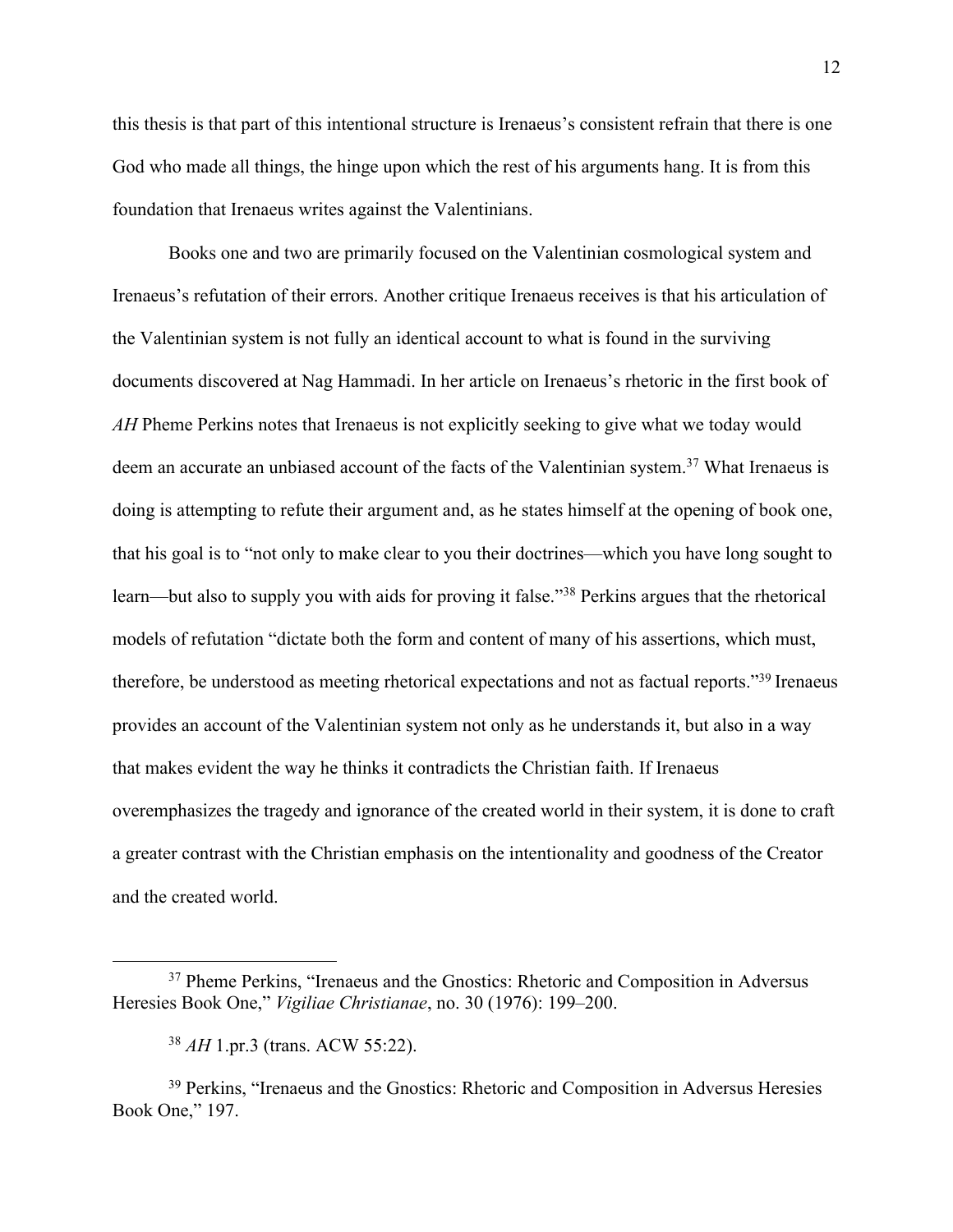this thesis is that part of this intentional structure is Irenaeus's consistent refrain that there is one God who made all things, the hinge upon which the rest of his arguments hang. It is from this foundation that Irenaeus writes against the Valentinians.

Books one and two are primarily focused on the Valentinian cosmological system and Irenaeus's refutation of their errors. Another critique Irenaeus receives is that his articulation of the Valentinian system is not fully an identical account to what is found in the surviving documents discovered at Nag Hammadi. In her article on Irenaeus's rhetoric in the first book of *AH* Pheme Perkins notes that Irenaeus is not explicitly seeking to give what we today would deem an accurate an unbiased account of the facts of the Valentinian system.<sup>37</sup> What Irenaeus is doing is attempting to refute their argument and, as he states himself at the opening of book one, that his goal is to "not only to make clear to you their doctrines—which you have long sought to learn—but also to supply you with aids for proving it false."<sup>38</sup> Perkins argues that the rhetorical models of refutation "dictate both the form and content of many of his assertions, which must, therefore, be understood as meeting rhetorical expectations and not as factual reports."39 Irenaeus provides an account of the Valentinian system not only as he understands it, but also in a way that makes evident the way he thinks it contradicts the Christian faith. If Irenaeus overemphasizes the tragedy and ignorance of the created world in their system, it is done to craft a greater contrast with the Christian emphasis on the intentionality and goodness of the Creator and the created world.

<sup>&</sup>lt;sup>37</sup> Pheme Perkins, "Irenaeus and the Gnostics: Rhetoric and Composition in Adversus Heresies Book One," *Vigiliae Christianae*, no. 30 (1976): 199–200.

<sup>38</sup> *AH* 1.pr.3 (trans. ACW 55:22).

<sup>&</sup>lt;sup>39</sup> Perkins, "Irenaeus and the Gnostics: Rhetoric and Composition in Adversus Heresies Book One," 197.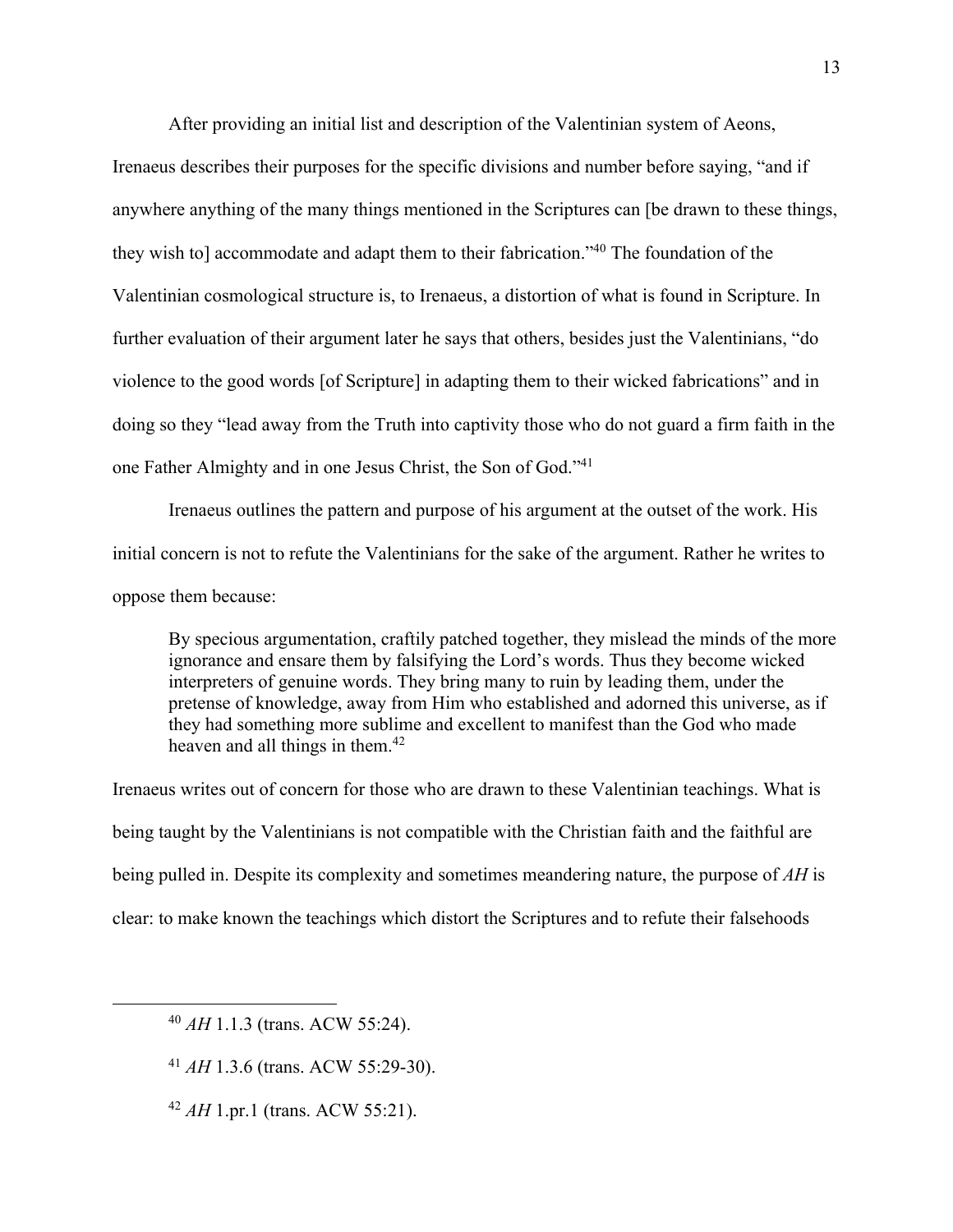After providing an initial list and description of the Valentinian system of Aeons,

Irenaeus describes their purposes for the specific divisions and number before saying, "and if anywhere anything of the many things mentioned in the Scriptures can [be drawn to these things, they wish to] accommodate and adapt them to their fabrication."40 The foundation of the Valentinian cosmological structure is, to Irenaeus, a distortion of what is found in Scripture. In further evaluation of their argument later he says that others, besides just the Valentinians, "do violence to the good words [of Scripture] in adapting them to their wicked fabrications" and in doing so they "lead away from the Truth into captivity those who do not guard a firm faith in the one Father Almighty and in one Jesus Christ, the Son of God."41

Irenaeus outlines the pattern and purpose of his argument at the outset of the work. His initial concern is not to refute the Valentinians for the sake of the argument. Rather he writes to oppose them because:

By specious argumentation, craftily patched together, they mislead the minds of the more ignorance and ensare them by falsifying the Lord's words. Thus they become wicked interpreters of genuine words. They bring many to ruin by leading them, under the pretense of knowledge, away from Him who established and adorned this universe, as if they had something more sublime and excellent to manifest than the God who made heaven and all things in them.<sup>42</sup>

Irenaeus writes out of concern for those who are drawn to these Valentinian teachings. What is being taught by the Valentinians is not compatible with the Christian faith and the faithful are being pulled in. Despite its complexity and sometimes meandering nature, the purpose of *AH* is clear: to make known the teachings which distort the Scriptures and to refute their falsehoods

<sup>40</sup> *AH* 1.1.3 (trans. ACW 55:24).

<sup>41</sup> *AH* 1.3.6 (trans. ACW 55:29-30).

<sup>42</sup> *AH* 1.pr.1 (trans. ACW 55:21).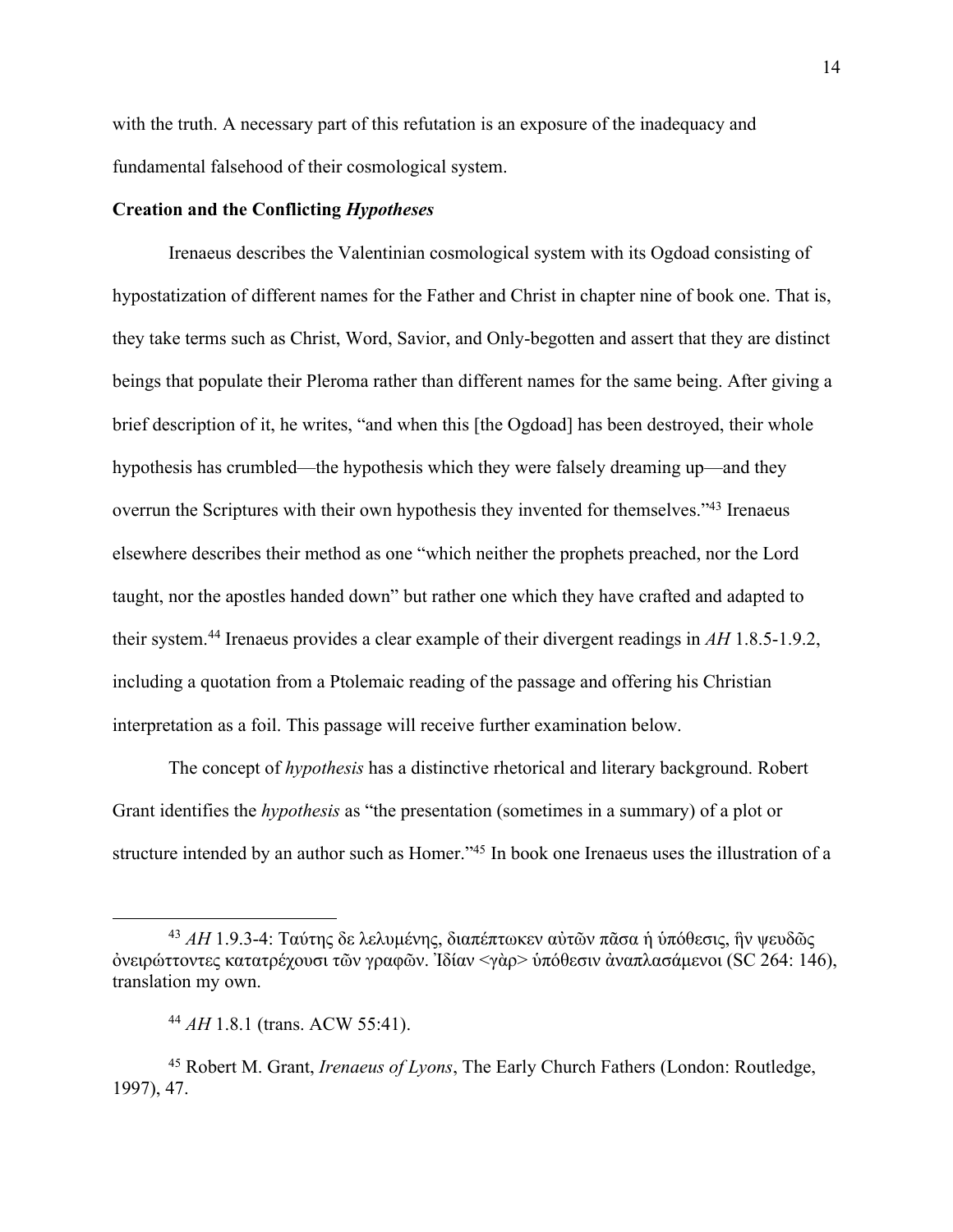with the truth. A necessary part of this refutation is an exposure of the inadequacy and fundamental falsehood of their cosmological system.

## **Creation and the Conflicting** *Hypotheses*

Irenaeus describes the Valentinian cosmological system with its Ogdoad consisting of hypostatization of different names for the Father and Christ in chapter nine of book one. That is, they take terms such as Christ, Word, Savior, and Only-begotten and assert that they are distinct beings that populate their Pleroma rather than different names for the same being. After giving a brief description of it, he writes, "and when this [the Ogdoad] has been destroyed, their whole hypothesis has crumbled—the hypothesis which they were falsely dreaming up—and they overrun the Scriptures with their own hypothesis they invented for themselves."43 Irenaeus elsewhere describes their method as one "which neither the prophets preached, nor the Lord taught, nor the apostles handed down" but rather one which they have crafted and adapted to their system.44 Irenaeus provides a clear example of their divergent readings in *AH* 1.8.5-1.9.2, including a quotation from a Ptolemaic reading of the passage and offering his Christian interpretation as a foil. This passage will receive further examination below.

The concept of *hypothesis* has a distinctive rhetorical and literary background. Robert Grant identifies the *hypothesis* as "the presentation (sometimes in a summary) of a plot or structure intended by an author such as Homer."45 In book one Irenaeus uses the illustration of a

<sup>43</sup> *AH* 1.9.3-4: Ταύτης δε λελυμένης, διαπέπτωκεν αὐτῶν πᾶσα ἡ ὑπόθεσις, ἣν ψευδῶς ὀνειρώττοντες κατατρέχουσι τῶν γραφῶν. Ἰδίαν <γὰρ> ὑπόθεσιν ἀναπλασάμενοι (SC 264: 146), translation my own.

<sup>44</sup> *AH* 1.8.1 (trans. ACW 55:41).

<sup>45</sup> Robert M. Grant, *Irenaeus of Lyons*, The Early Church Fathers (London: Routledge, 1997), 47.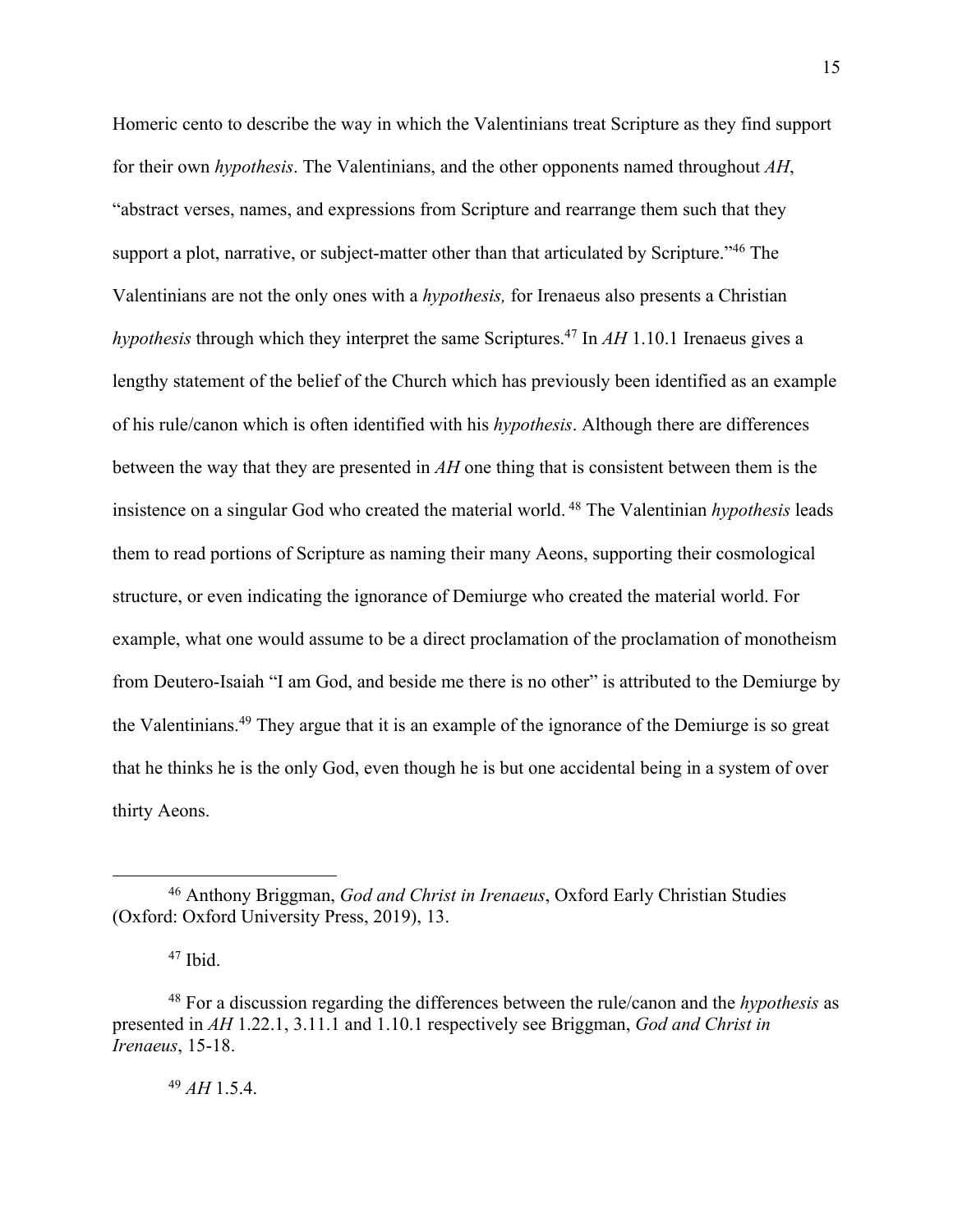Homeric cento to describe the way in which the Valentinians treat Scripture as they find support for their own *hypothesis*. The Valentinians, and the other opponents named throughout *AH*, "abstract verses, names, and expressions from Scripture and rearrange them such that they support a plot, narrative, or subject-matter other than that articulated by Scripture."<sup>46</sup> The Valentinians are not the only ones with a *hypothesis,* for Irenaeus also presents a Christian *hypothesis* through which they interpret the same Scriptures.<sup>47</sup> In *AH* 1.10.1 Irenaeus gives a lengthy statement of the belief of the Church which has previously been identified as an example of his rule/canon which is often identified with his *hypothesis*. Although there are differences between the way that they are presented in *AH* one thing that is consistent between them is the insistence on a singular God who created the material world. <sup>48</sup> The Valentinian *hypothesis* leads them to read portions of Scripture as naming their many Aeons, supporting their cosmological structure, or even indicating the ignorance of Demiurge who created the material world. For example, what one would assume to be a direct proclamation of the proclamation of monotheism from Deutero-Isaiah "I am God, and beside me there is no other" is attributed to the Demiurge by the Valentinians.<sup>49</sup> They argue that it is an example of the ignorance of the Demiurge is so great that he thinks he is the only God, even though he is but one accidental being in a system of over thirty Aeons.

<sup>49</sup> *AH* 1.5.4.

<sup>46</sup> Anthony Briggman, *God and Christ in Irenaeus*, Oxford Early Christian Studies (Oxford: Oxford University Press, 2019), 13.

<sup>47</sup> Ibid.

<sup>48</sup> For a discussion regarding the differences between the rule/canon and the *hypothesis* as presented in *AH* 1.22.1, 3.11.1 and 1.10.1 respectively see Briggman, *God and Christ in Irenaeus*, 15-18.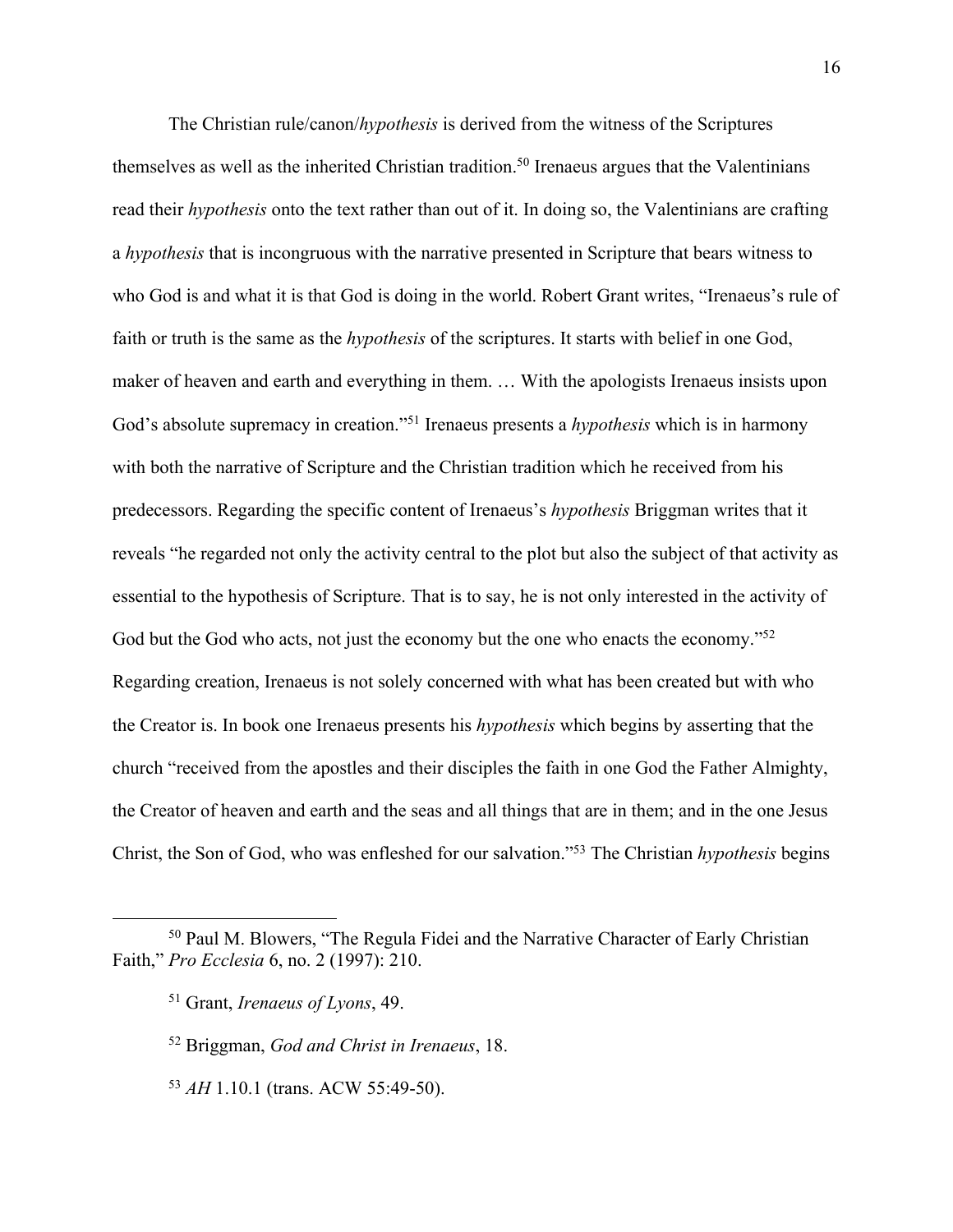The Christian rule/canon/*hypothesis* is derived from the witness of the Scriptures themselves as well as the inherited Christian tradition.<sup>50</sup> Irenaeus argues that the Valentinians read their *hypothesis* onto the text rather than out of it. In doing so, the Valentinians are crafting a *hypothesis* that is incongruous with the narrative presented in Scripture that bears witness to who God is and what it is that God is doing in the world. Robert Grant writes, "Irenaeus's rule of faith or truth is the same as the *hypothesis* of the scriptures. It starts with belief in one God, maker of heaven and earth and everything in them. … With the apologists Irenaeus insists upon God's absolute supremacy in creation."51 Irenaeus presents a *hypothesis* which is in harmony with both the narrative of Scripture and the Christian tradition which he received from his predecessors. Regarding the specific content of Irenaeus's *hypothesis* Briggman writes that it reveals "he regarded not only the activity central to the plot but also the subject of that activity as essential to the hypothesis of Scripture. That is to say, he is not only interested in the activity of God but the God who acts, not just the economy but the one who enacts the economy."<sup>52</sup> Regarding creation, Irenaeus is not solely concerned with what has been created but with who the Creator is. In book one Irenaeus presents his *hypothesis* which begins by asserting that the church "received from the apostles and their disciples the faith in one God the Father Almighty, the Creator of heaven and earth and the seas and all things that are in them; and in the one Jesus Christ, the Son of God, who was enfleshed for our salvation."53 The Christian *hypothesis* begins

<sup>53</sup> *AH* 1.10.1 (trans. ACW 55:49-50).

<sup>50</sup> Paul M. Blowers, "The Regula Fidei and the Narrative Character of Early Christian Faith," *Pro Ecclesia* 6, no. 2 (1997): 210.

<sup>51</sup> Grant, *Irenaeus of Lyons*, 49.

<sup>52</sup> Briggman, *God and Christ in Irenaeus*, 18.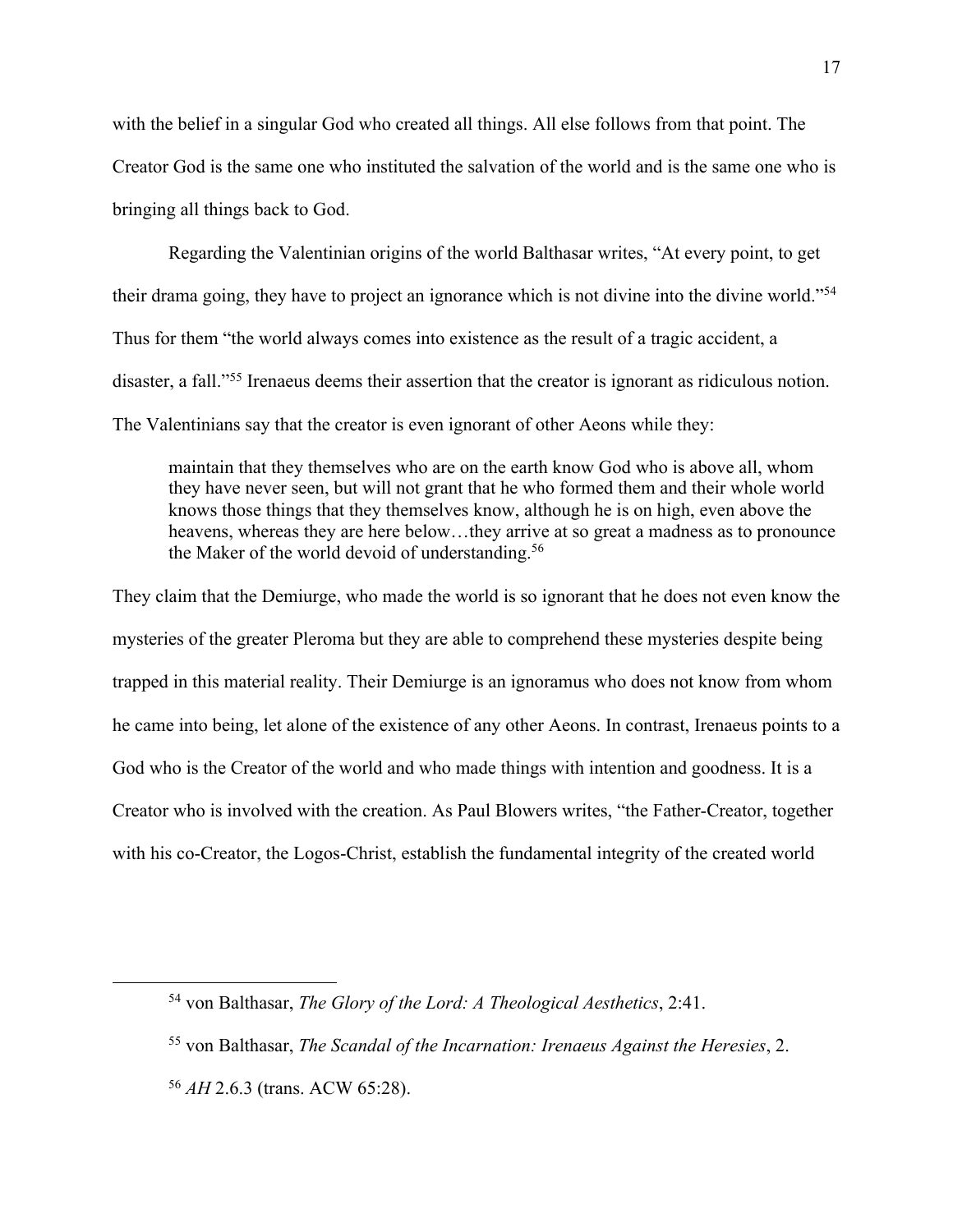with the belief in a singular God who created all things. All else follows from that point. The Creator God is the same one who instituted the salvation of the world and is the same one who is bringing all things back to God.

Regarding the Valentinian origins of the world Balthasar writes, "At every point, to get their drama going, they have to project an ignorance which is not divine into the divine world."54 Thus for them "the world always comes into existence as the result of a tragic accident, a disaster, a fall."55 Irenaeus deems their assertion that the creator is ignorant as ridiculous notion. The Valentinians say that the creator is even ignorant of other Aeons while they:

maintain that they themselves who are on the earth know God who is above all, whom they have never seen, but will not grant that he who formed them and their whole world knows those things that they themselves know, although he is on high, even above the heavens, whereas they are here below...they arrive at so great a madness as to pronounce the Maker of the world devoid of understanding.<sup>56</sup>

They claim that the Demiurge, who made the world is so ignorant that he does not even know the mysteries of the greater Pleroma but they are able to comprehend these mysteries despite being trapped in this material reality. Their Demiurge is an ignoramus who does not know from whom he came into being, let alone of the existence of any other Aeons. In contrast, Irenaeus points to a God who is the Creator of the world and who made things with intention and goodness. It is a Creator who is involved with the creation. As Paul Blowers writes, "the Father-Creator, together with his co-Creator, the Logos-Christ, establish the fundamental integrity of the created world

<sup>54</sup> von Balthasar, *The Glory of the Lord: A Theological Aesthetics*, 2:41.

<sup>55</sup> von Balthasar, *The Scandal of the Incarnation: Irenaeus Against the Heresies*, 2.

<sup>56</sup> *AH* 2.6.3 (trans. ACW 65:28).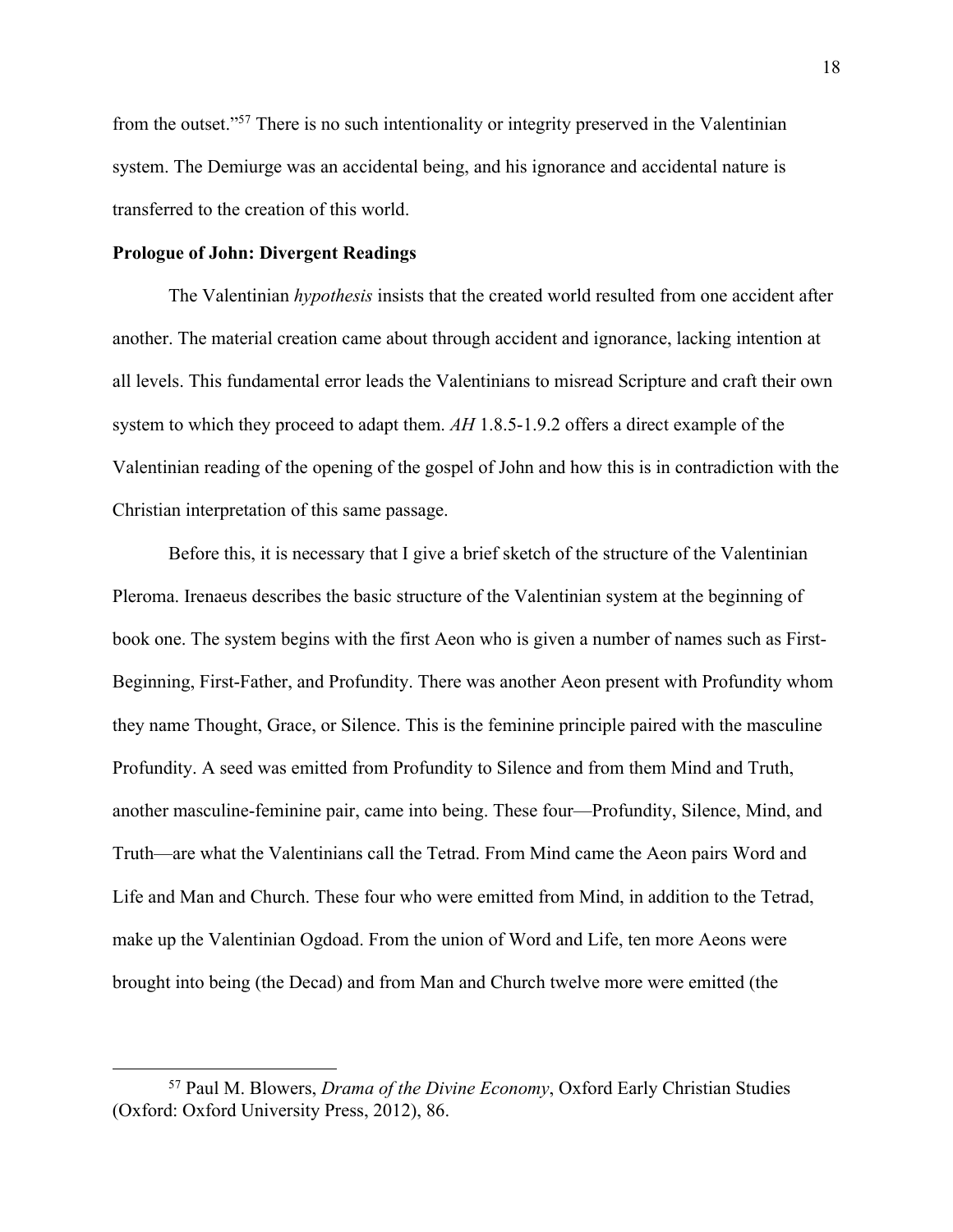from the outset."57 There is no such intentionality or integrity preserved in the Valentinian system. The Demiurge was an accidental being, and his ignorance and accidental nature is transferred to the creation of this world.

# **Prologue of John: Divergent Readings**

The Valentinian *hypothesis* insists that the created world resulted from one accident after another. The material creation came about through accident and ignorance, lacking intention at all levels. This fundamental error leads the Valentinians to misread Scripture and craft their own system to which they proceed to adapt them. *AH* 1.8.5-1.9.2 offers a direct example of the Valentinian reading of the opening of the gospel of John and how this is in contradiction with the Christian interpretation of this same passage.

Before this, it is necessary that I give a brief sketch of the structure of the Valentinian Pleroma. Irenaeus describes the basic structure of the Valentinian system at the beginning of book one. The system begins with the first Aeon who is given a number of names such as First-Beginning, First-Father, and Profundity. There was another Aeon present with Profundity whom they name Thought, Grace, or Silence. This is the feminine principle paired with the masculine Profundity. A seed was emitted from Profundity to Silence and from them Mind and Truth, another masculine-feminine pair, came into being. These four—Profundity, Silence, Mind, and Truth—are what the Valentinians call the Tetrad. From Mind came the Aeon pairs Word and Life and Man and Church. These four who were emitted from Mind, in addition to the Tetrad, make up the Valentinian Ogdoad. From the union of Word and Life, ten more Aeons were brought into being (the Decad) and from Man and Church twelve more were emitted (the

<sup>57</sup> Paul M. Blowers, *Drama of the Divine Economy*, Oxford Early Christian Studies (Oxford: Oxford University Press, 2012), 86.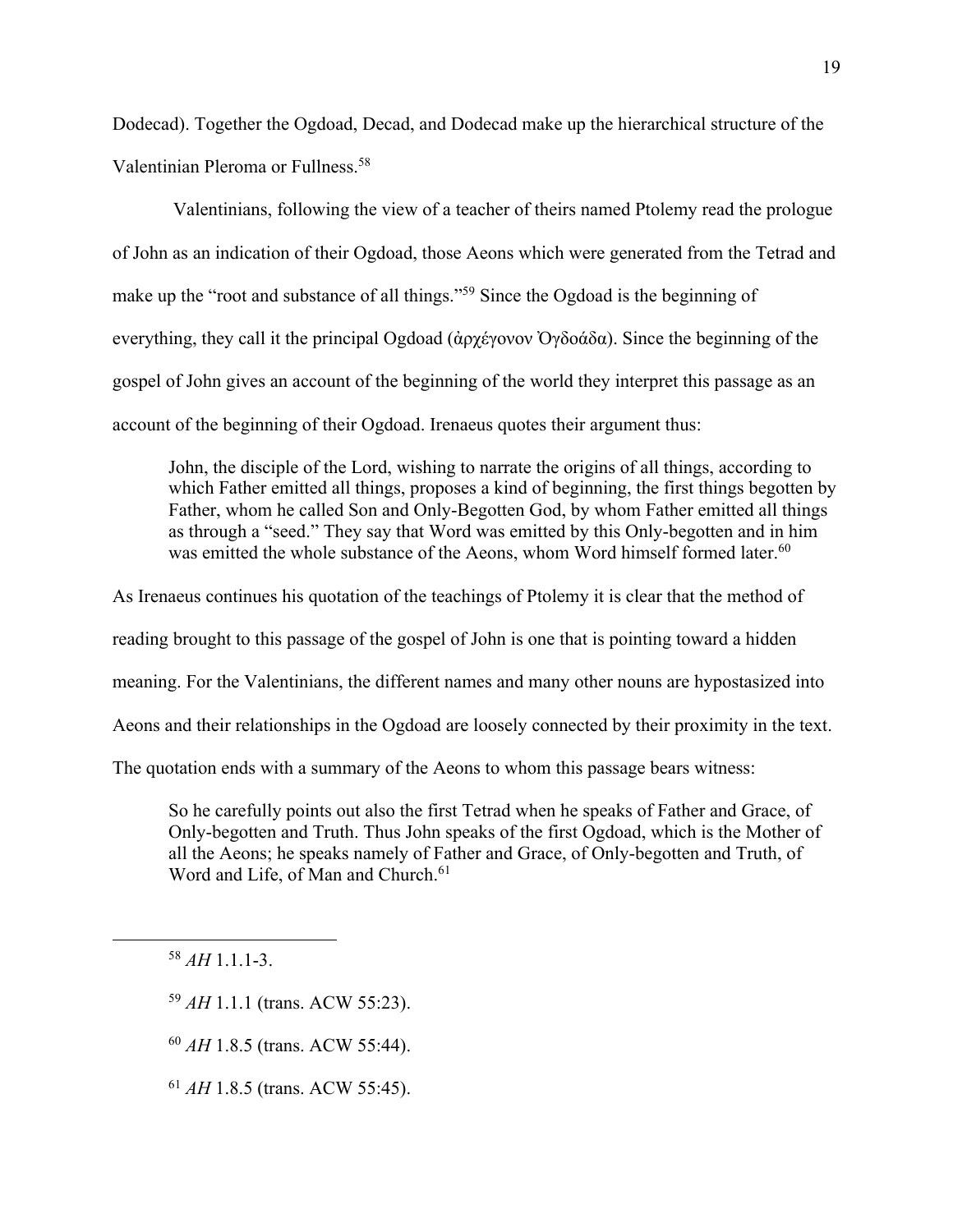Dodecad). Together the Ogdoad, Decad, and Dodecad make up the hierarchical structure of the Valentinian Pleroma or Fullness.58

Valentinians, following the view of a teacher of theirs named Ptolemy read the prologue of John as an indication of their Ogdoad, those Aeons which were generated from the Tetrad and make up the "root and substance of all things."59 Since the Ogdoad is the beginning of everything, they call it the principal Ogdoad (ἀρχέγονον Ὀγδοάδα). Since the beginning of the gospel of John gives an account of the beginning of the world they interpret this passage as an account of the beginning of their Ogdoad. Irenaeus quotes their argument thus:

John, the disciple of the Lord, wishing to narrate the origins of all things, according to which Father emitted all things, proposes a kind of beginning, the first things begotten by Father, whom he called Son and Only-Begotten God, by whom Father emitted all things as through a "seed." They say that Word was emitted by this Only-begotten and in him was emitted the whole substance of the Aeons, whom Word himself formed later.<sup>60</sup>

As Irenaeus continues his quotation of the teachings of Ptolemy it is clear that the method of reading brought to this passage of the gospel of John is one that is pointing toward a hidden meaning. For the Valentinians, the different names and many other nouns are hypostasized into Aeons and their relationships in the Ogdoad are loosely connected by their proximity in the text. The quotation ends with a summary of the Aeons to whom this passage bears witness:

So he carefully points out also the first Tetrad when he speaks of Father and Grace, of Only-begotten and Truth. Thus John speaks of the first Ogdoad, which is the Mother of all the Aeons; he speaks namely of Father and Grace, of Only-begotten and Truth, of Word and Life, of Man and Church.<sup>61</sup>

<sup>58</sup> *AH* 1.1.1-3.

- <sup>59</sup> *AH* 1.1.1 (trans. ACW 55:23).
- <sup>60</sup> *AH* 1.8.5 (trans. ACW 55:44).
- <sup>61</sup> *AH* 1.8.5 (trans. ACW 55:45).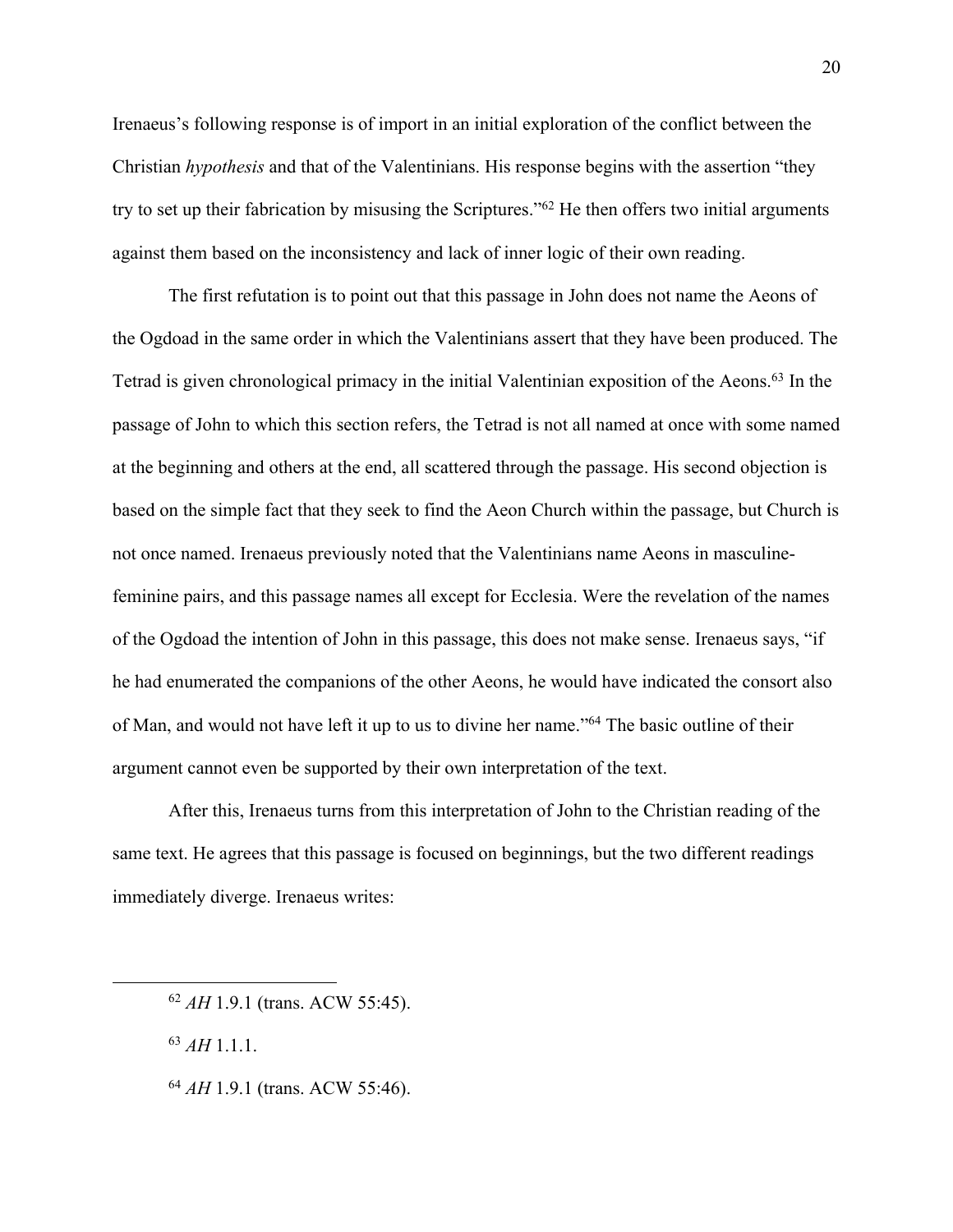Irenaeus's following response is of import in an initial exploration of the conflict between the Christian *hypothesis* and that of the Valentinians. His response begins with the assertion "they try to set up their fabrication by misusing the Scriptures."62 He then offers two initial arguments against them based on the inconsistency and lack of inner logic of their own reading.

The first refutation is to point out that this passage in John does not name the Aeons of the Ogdoad in the same order in which the Valentinians assert that they have been produced. The Tetrad is given chronological primacy in the initial Valentinian exposition of the Aeons.63 In the passage of John to which this section refers, the Tetrad is not all named at once with some named at the beginning and others at the end, all scattered through the passage. His second objection is based on the simple fact that they seek to find the Aeon Church within the passage, but Church is not once named. Irenaeus previously noted that the Valentinians name Aeons in masculinefeminine pairs, and this passage names all except for Ecclesia. Were the revelation of the names of the Ogdoad the intention of John in this passage, this does not make sense. Irenaeus says, "if he had enumerated the companions of the other Aeons, he would have indicated the consort also of Man, and would not have left it up to us to divine her name."64 The basic outline of their argument cannot even be supported by their own interpretation of the text.

After this, Irenaeus turns from this interpretation of John to the Christian reading of the same text. He agrees that this passage is focused on beginnings, but the two different readings immediately diverge. Irenaeus writes:

<sup>62</sup> *AH* 1.9.1 (trans. ACW 55:45).

<sup>63</sup> *AH* 1.1.1.

<sup>64</sup> *AH* 1.9.1 (trans. ACW 55:46).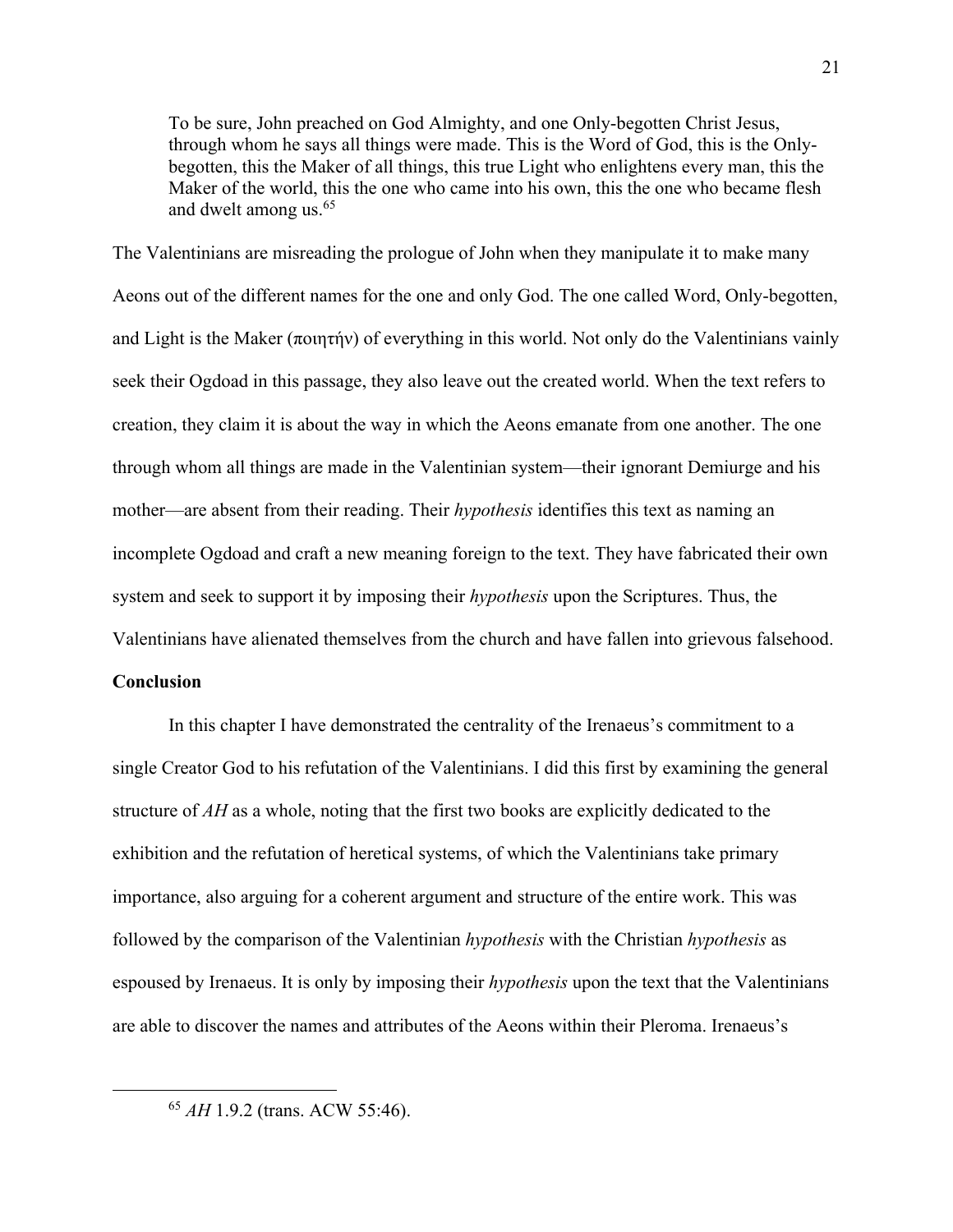To be sure, John preached on God Almighty, and one Only-begotten Christ Jesus, through whom he says all things were made. This is the Word of God, this is the Onlybegotten, this the Maker of all things, this true Light who enlightens every man, this the Maker of the world, this the one who came into his own, this the one who became flesh and dwelt among us.<sup>65</sup>

The Valentinians are misreading the prologue of John when they manipulate it to make many Aeons out of the different names for the one and only God. The one called Word, Only-begotten, and Light is the Maker (ποιητήν) of everything in this world. Not only do the Valentinians vainly seek their Ogdoad in this passage, they also leave out the created world. When the text refers to creation, they claim it is about the way in which the Aeons emanate from one another. The one through whom all things are made in the Valentinian system—their ignorant Demiurge and his mother—are absent from their reading. Their *hypothesis* identifies this text as naming an incomplete Ogdoad and craft a new meaning foreign to the text. They have fabricated their own system and seek to support it by imposing their *hypothesis* upon the Scriptures. Thus, the Valentinians have alienated themselves from the church and have fallen into grievous falsehood.

#### **Conclusion**

In this chapter I have demonstrated the centrality of the Irenaeus's commitment to a single Creator God to his refutation of the Valentinians. I did this first by examining the general structure of *AH* as a whole, noting that the first two books are explicitly dedicated to the exhibition and the refutation of heretical systems, of which the Valentinians take primary importance, also arguing for a coherent argument and structure of the entire work. This was followed by the comparison of the Valentinian *hypothesis* with the Christian *hypothesis* as espoused by Irenaeus. It is only by imposing their *hypothesis* upon the text that the Valentinians are able to discover the names and attributes of the Aeons within their Pleroma. Irenaeus's

<sup>65</sup> *AH* 1.9.2 (trans. ACW 55:46).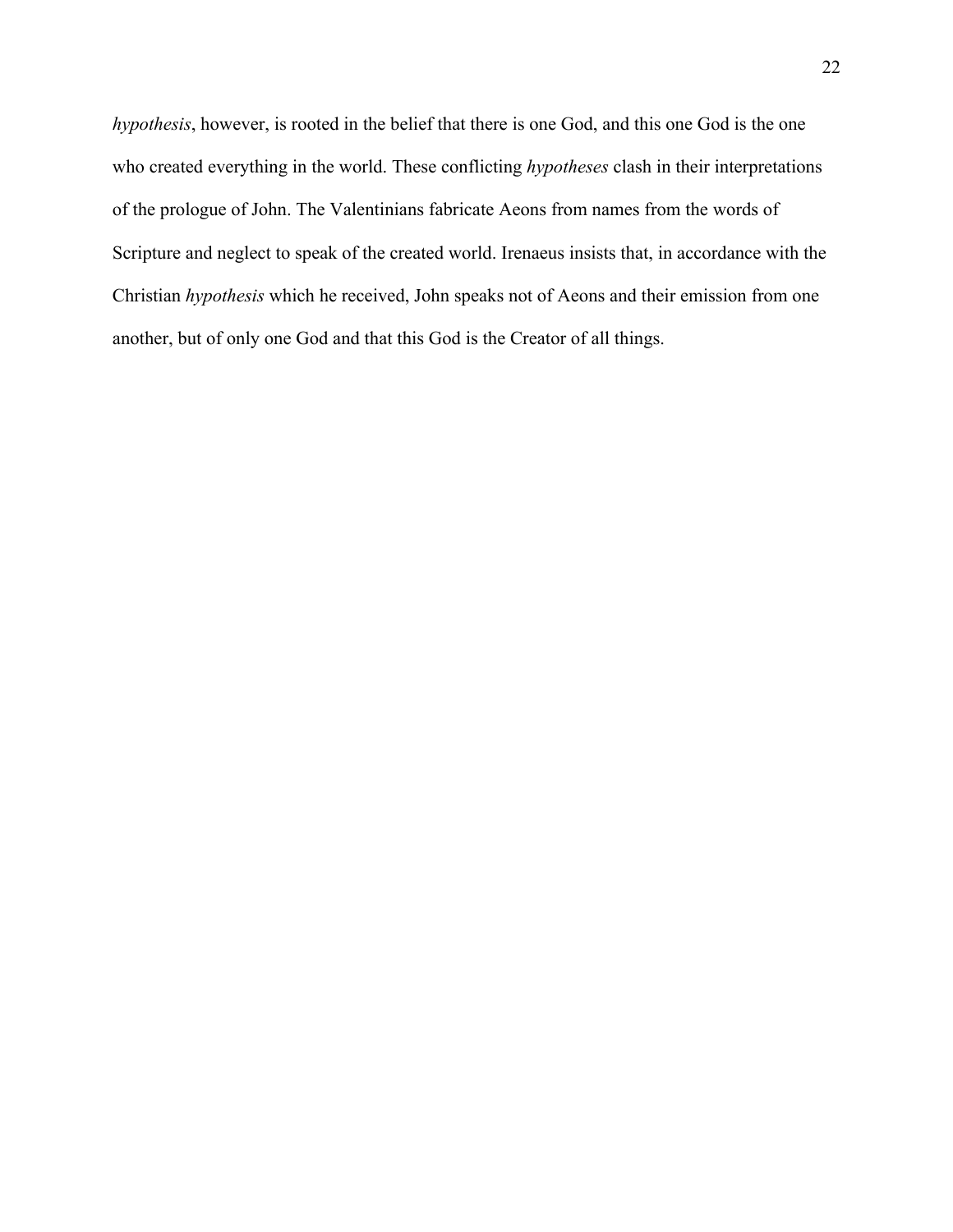*hypothesis*, however, is rooted in the belief that there is one God, and this one God is the one who created everything in the world. These conflicting *hypotheses* clash in their interpretations of the prologue of John. The Valentinians fabricate Aeons from names from the words of Scripture and neglect to speak of the created world. Irenaeus insists that, in accordance with the Christian *hypothesis* which he received, John speaks not of Aeons and their emission from one another, but of only one God and that this God is the Creator of all things.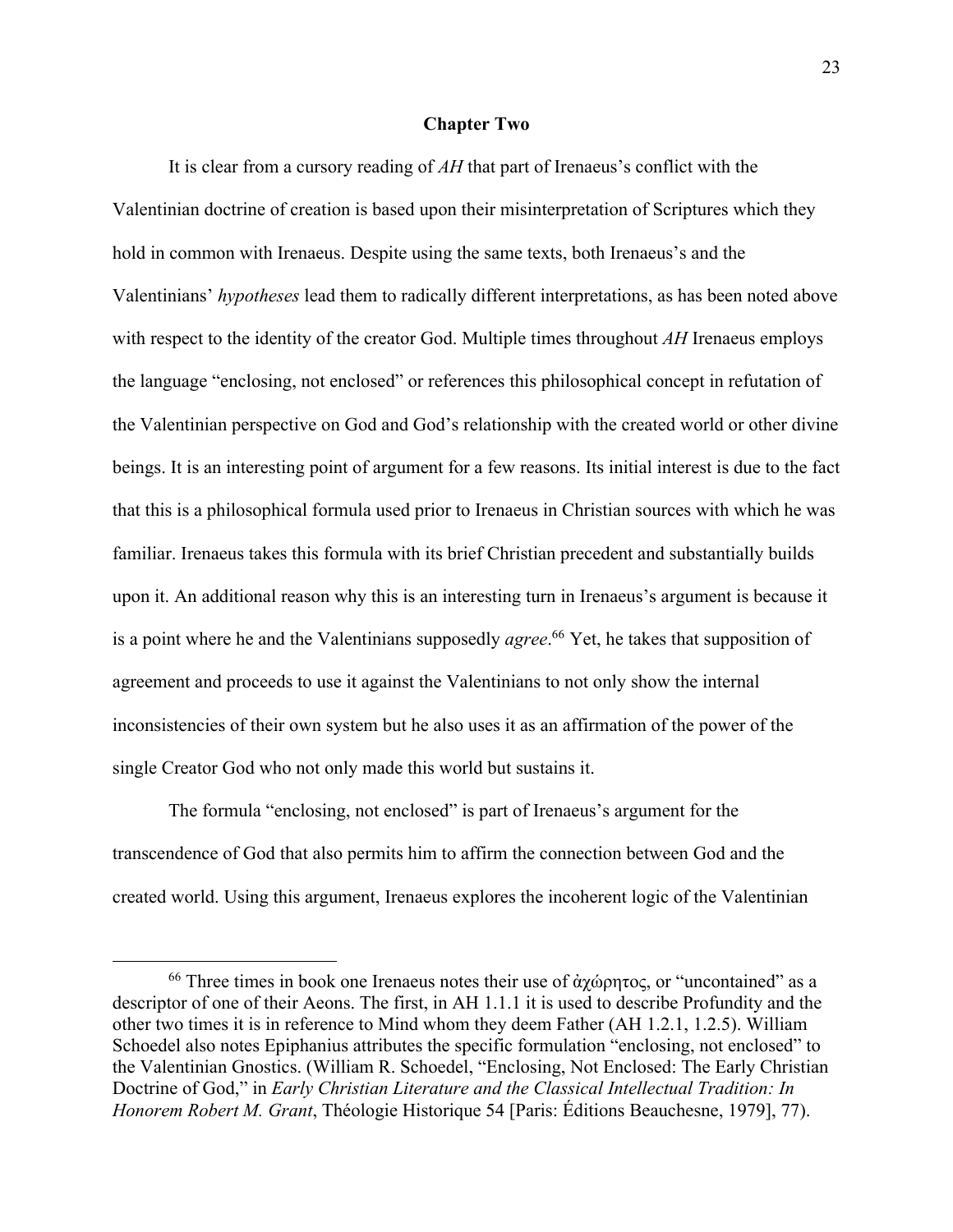## **Chapter Two**

It is clear from a cursory reading of *AH* that part of Irenaeus's conflict with the Valentinian doctrine of creation is based upon their misinterpretation of Scriptures which they hold in common with Irenaeus. Despite using the same texts, both Irenaeus's and the Valentinians' *hypotheses* lead them to radically different interpretations, as has been noted above with respect to the identity of the creator God. Multiple times throughout *AH* Irenaeus employs the language "enclosing, not enclosed" or references this philosophical concept in refutation of the Valentinian perspective on God and God's relationship with the created world or other divine beings. It is an interesting point of argument for a few reasons. Its initial interest is due to the fact that this is a philosophical formula used prior to Irenaeus in Christian sources with which he was familiar. Irenaeus takes this formula with its brief Christian precedent and substantially builds upon it. An additional reason why this is an interesting turn in Irenaeus's argument is because it is a point where he and the Valentinians supposedly *agree*. <sup>66</sup> Yet, he takes that supposition of agreement and proceeds to use it against the Valentinians to not only show the internal inconsistencies of their own system but he also uses it as an affirmation of the power of the single Creator God who not only made this world but sustains it.

The formula "enclosing, not enclosed" is part of Irenaeus's argument for the transcendence of God that also permits him to affirm the connection between God and the created world. Using this argument, Irenaeus explores the incoherent logic of the Valentinian

 $66$  Three times in book one Irenaeus notes their use of άχώρητος, or "uncontained" as a descriptor of one of their Aeons. The first, in AH 1.1.1 it is used to describe Profundity and the other two times it is in reference to Mind whom they deem Father (AH 1.2.1, 1.2.5). William Schoedel also notes Epiphanius attributes the specific formulation "enclosing, not enclosed" to the Valentinian Gnostics. (William R. Schoedel, "Enclosing, Not Enclosed: The Early Christian Doctrine of God," in *Early Christian Literature and the Classical Intellectual Tradition: In Honorem Robert M. Grant*, Théologie Historique 54 [Paris: Éditions Beauchesne, 1979], 77).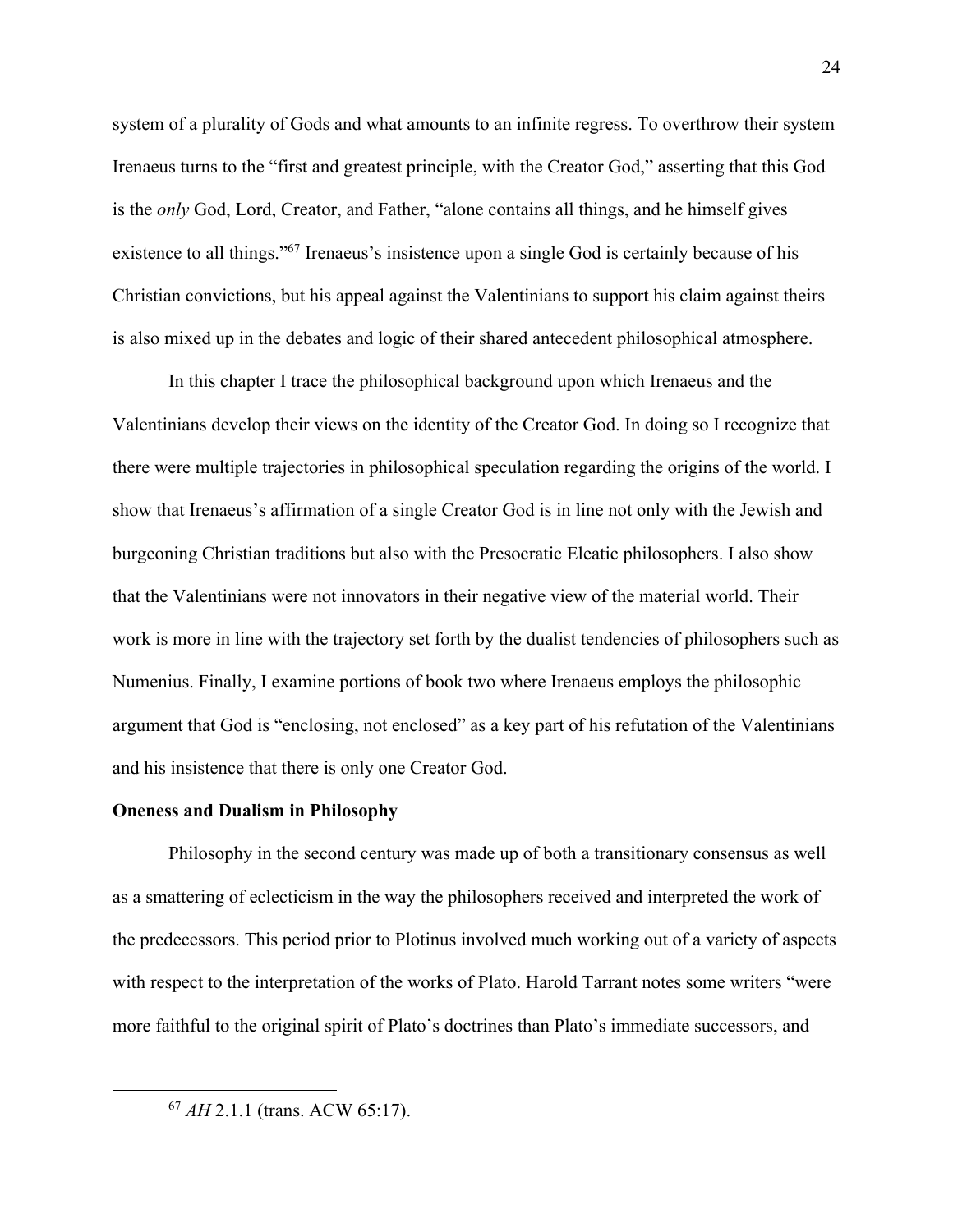system of a plurality of Gods and what amounts to an infinite regress. To overthrow their system Irenaeus turns to the "first and greatest principle, with the Creator God," asserting that this God is the *only* God, Lord, Creator, and Father, "alone contains all things, and he himself gives existence to all things."67 Irenaeus's insistence upon a single God is certainly because of his Christian convictions, but his appeal against the Valentinians to support his claim against theirs is also mixed up in the debates and logic of their shared antecedent philosophical atmosphere.

In this chapter I trace the philosophical background upon which Irenaeus and the Valentinians develop their views on the identity of the Creator God. In doing so I recognize that there were multiple trajectories in philosophical speculation regarding the origins of the world. I show that Irenaeus's affirmation of a single Creator God is in line not only with the Jewish and burgeoning Christian traditions but also with the Presocratic Eleatic philosophers. I also show that the Valentinians were not innovators in their negative view of the material world. Their work is more in line with the trajectory set forth by the dualist tendencies of philosophers such as Numenius. Finally, I examine portions of book two where Irenaeus employs the philosophic argument that God is "enclosing, not enclosed" as a key part of his refutation of the Valentinians and his insistence that there is only one Creator God.

#### **Oneness and Dualism in Philosophy**

Philosophy in the second century was made up of both a transitionary consensus as well as a smattering of eclecticism in the way the philosophers received and interpreted the work of the predecessors. This period prior to Plotinus involved much working out of a variety of aspects with respect to the interpretation of the works of Plato. Harold Tarrant notes some writers "were more faithful to the original spirit of Plato's doctrines than Plato's immediate successors, and

<sup>67</sup> *AH* 2.1.1 (trans. ACW 65:17).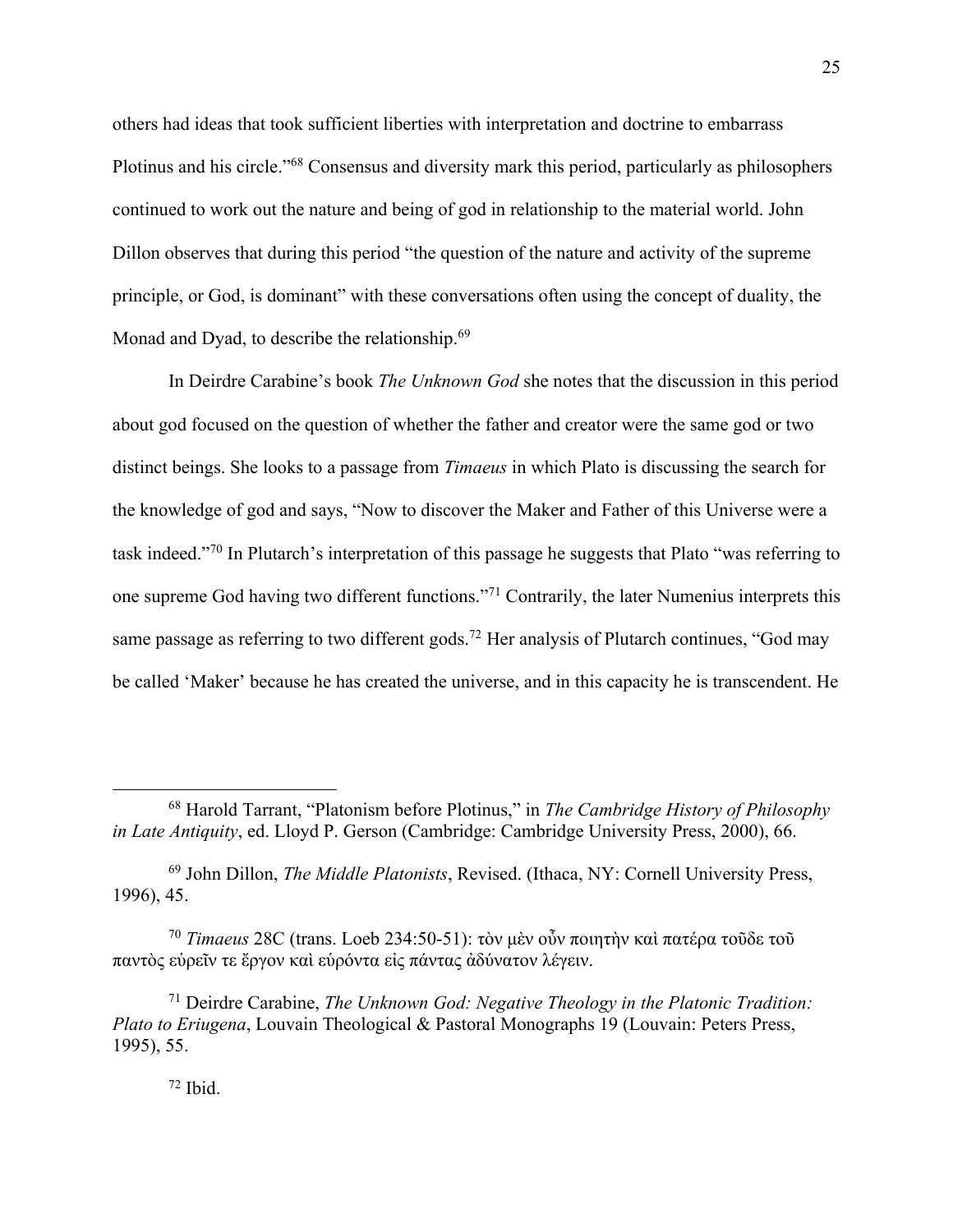others had ideas that took sufficient liberties with interpretation and doctrine to embarrass Plotinus and his circle."68 Consensus and diversity mark this period, particularly as philosophers continued to work out the nature and being of god in relationship to the material world. John Dillon observes that during this period "the question of the nature and activity of the supreme principle, or God, is dominant" with these conversations often using the concept of duality, the Monad and Dyad, to describe the relationship.<sup>69</sup>

In Deirdre Carabine's book *The Unknown God* she notes that the discussion in this period about god focused on the question of whether the father and creator were the same god or two distinct beings. She looks to a passage from *Timaeus* in which Plato is discussing the search for the knowledge of god and says, "Now to discover the Maker and Father of this Universe were a task indeed."70 In Plutarch's interpretation of this passage he suggests that Plato "was referring to one supreme God having two different functions."71 Contrarily, the later Numenius interprets this same passage as referring to two different gods.<sup>72</sup> Her analysis of Plutarch continues, "God may be called 'Maker' because he has created the universe, and in this capacity he is transcendent. He

<sup>69</sup> John Dillon, *The Middle Platonists*, Revised. (Ithaca, NY: Cornell University Press, 1996), 45.

<sup>70</sup> *Timaeus* 28C (trans. Loeb 234:50-51): τὸν μὲν οὖν ποιητὴν καὶ πατέρα τοῦδε τοῦ παντὸς εὑρεῖν τε ἔργον καὶ εὑρόντα εἰς πάντας ἀδύνατον λέγειν.

<sup>71</sup> Deirdre Carabine, *The Unknown God: Negative Theology in the Platonic Tradition: Plato to Eriugena*, Louvain Theological & Pastoral Monographs 19 (Louvain: Peters Press, 1995), 55.

 $72$  Ibid.

<sup>68</sup> Harold Tarrant, "Platonism before Plotinus," in *The Cambridge History of Philosophy in Late Antiquity*, ed. Lloyd P. Gerson (Cambridge: Cambridge University Press, 2000), 66.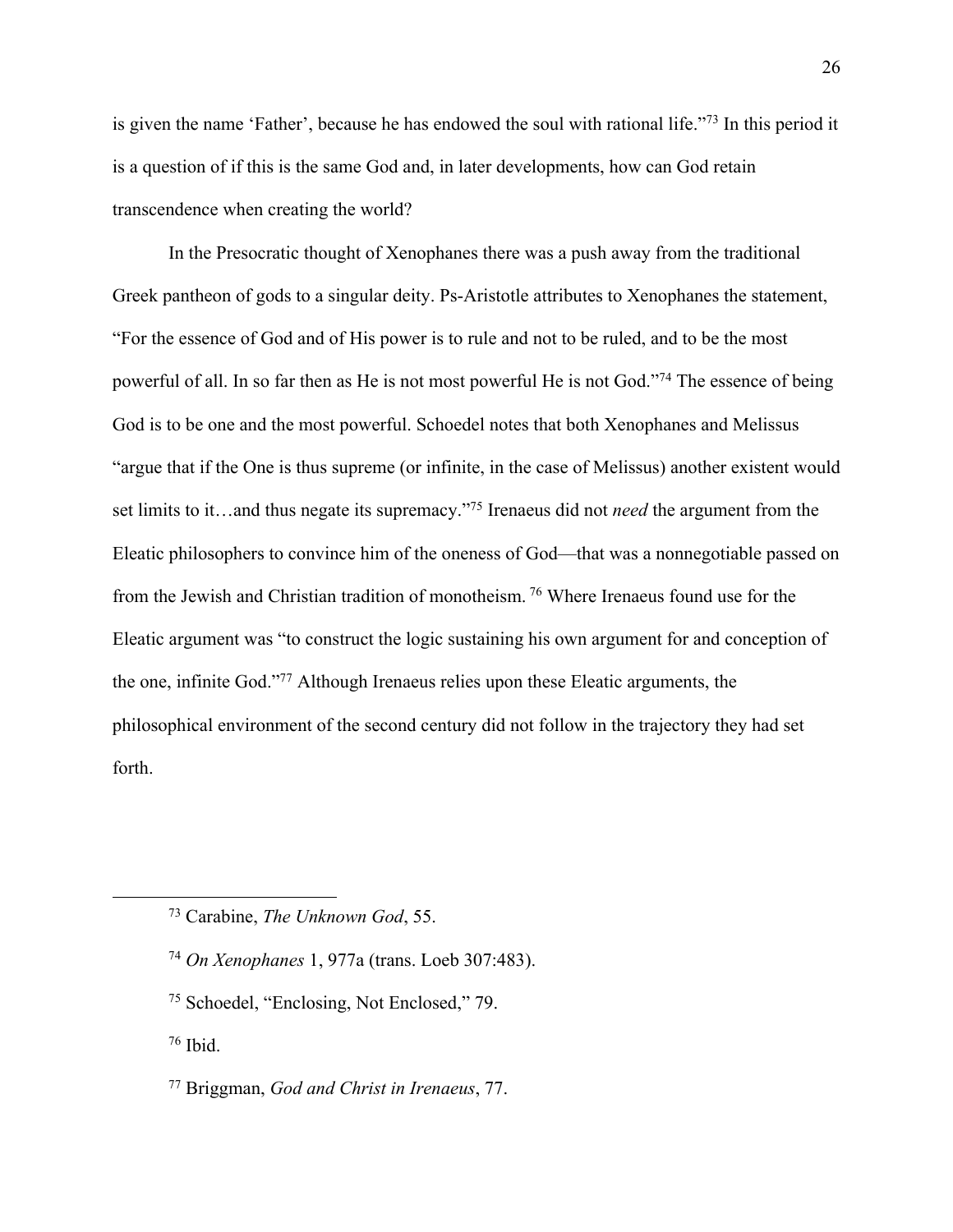is given the name 'Father', because he has endowed the soul with rational life."73 In this period it is a question of if this is the same God and, in later developments, how can God retain transcendence when creating the world?

In the Presocratic thought of Xenophanes there was a push away from the traditional Greek pantheon of gods to a singular deity. Ps-Aristotle attributes to Xenophanes the statement, "For the essence of God and of His power is to rule and not to be ruled, and to be the most powerful of all. In so far then as He is not most powerful He is not God."74 The essence of being God is to be one and the most powerful. Schoedel notes that both Xenophanes and Melissus "argue that if the One is thus supreme (or infinite, in the case of Melissus) another existent would set limits to it…and thus negate its supremacy."75 Irenaeus did not *need* the argument from the Eleatic philosophers to convince him of the oneness of God—that was a nonnegotiable passed on from the Jewish and Christian tradition of monotheism. <sup>76</sup> Where Irenaeus found use for the Eleatic argument was "to construct the logic sustaining his own argument for and conception of the one, infinite God."77 Although Irenaeus relies upon these Eleatic arguments, the philosophical environment of the second century did not follow in the trajectory they had set forth.

- <sup>74</sup> *On Xenophanes* 1, 977a (trans. Loeb 307:483).
- <sup>75</sup> Schoedel, "Enclosing, Not Enclosed," 79.
- <sup>76</sup> Ibid.

<sup>73</sup> Carabine, *The Unknown God*, 55.

<sup>77</sup> Briggman, *God and Christ in Irenaeus*, 77.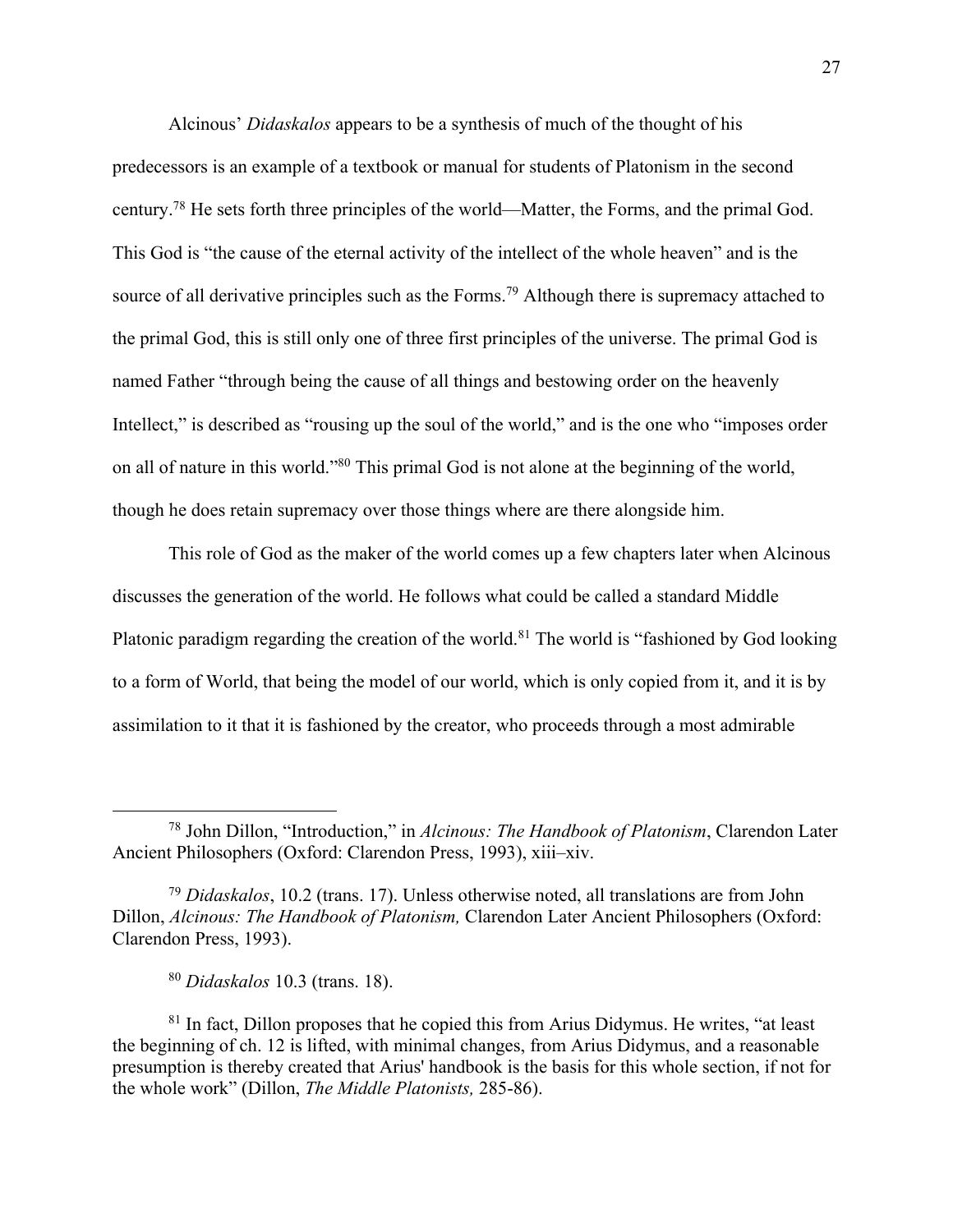Alcinous' *Didaskalos* appears to be a synthesis of much of the thought of his predecessors is an example of a textbook or manual for students of Platonism in the second century.78 He sets forth three principles of the world—Matter, the Forms, and the primal God. This God is "the cause of the eternal activity of the intellect of the whole heaven" and is the source of all derivative principles such as the Forms.<sup>79</sup> Although there is supremacy attached to the primal God, this is still only one of three first principles of the universe. The primal God is named Father "through being the cause of all things and bestowing order on the heavenly Intellect," is described as "rousing up the soul of the world," and is the one who "imposes order on all of nature in this world."80 This primal God is not alone at the beginning of the world, though he does retain supremacy over those things where are there alongside him.

This role of God as the maker of the world comes up a few chapters later when Alcinous discusses the generation of the world. He follows what could be called a standard Middle Platonic paradigm regarding the creation of the world.<sup>81</sup> The world is "fashioned by God looking to a form of World, that being the model of our world, which is only copied from it, and it is by assimilation to it that it is fashioned by the creator, who proceeds through a most admirable

<sup>78</sup> John Dillon, "Introduction," in *Alcinous: The Handbook of Platonism*, Clarendon Later Ancient Philosophers (Oxford: Clarendon Press, 1993), xiii–xiv.

<sup>79</sup> *Didaskalos*, 10.2 (trans. 17). Unless otherwise noted, all translations are from John Dillon, *Alcinous: The Handbook of Platonism,* Clarendon Later Ancient Philosophers (Oxford: Clarendon Press, 1993).

<sup>80</sup> *Didaskalos* 10.3 (trans. 18).

 $81$  In fact, Dillon proposes that he copied this from Arius Didymus. He writes, "at least the beginning of ch. 12 is lifted, with minimal changes, from Arius Didymus, and a reasonable presumption is thereby created that Arius' handbook is the basis for this whole section, if not for the whole work" (Dillon, *The Middle Platonists,* 285-86).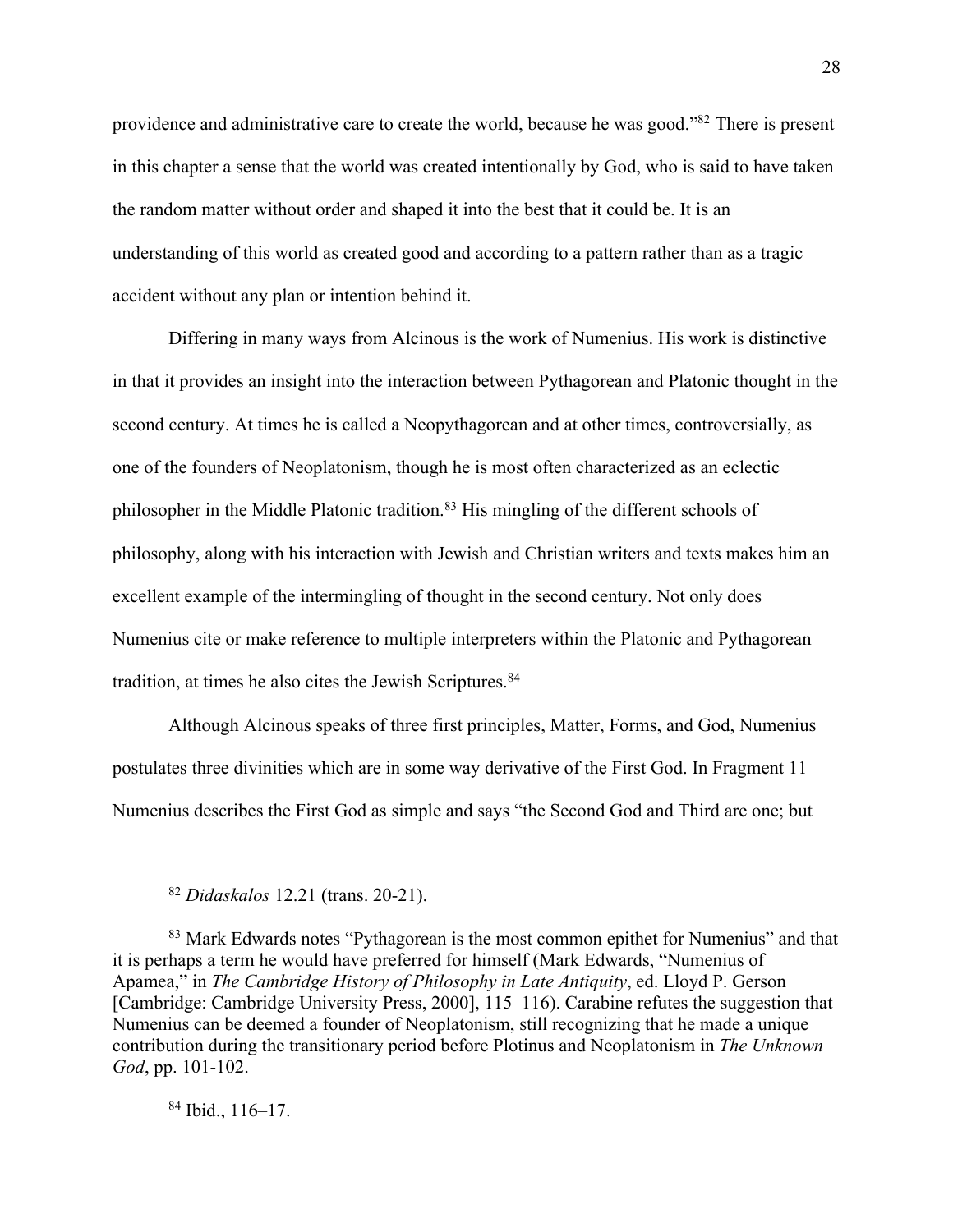providence and administrative care to create the world, because he was good."82 There is present in this chapter a sense that the world was created intentionally by God, who is said to have taken the random matter without order and shaped it into the best that it could be. It is an understanding of this world as created good and according to a pattern rather than as a tragic accident without any plan or intention behind it.

Differing in many ways from Alcinous is the work of Numenius. His work is distinctive in that it provides an insight into the interaction between Pythagorean and Platonic thought in the second century. At times he is called a Neopythagorean and at other times, controversially, as one of the founders of Neoplatonism, though he is most often characterized as an eclectic philosopher in the Middle Platonic tradition.<sup>83</sup> His mingling of the different schools of philosophy, along with his interaction with Jewish and Christian writers and texts makes him an excellent example of the intermingling of thought in the second century. Not only does Numenius cite or make reference to multiple interpreters within the Platonic and Pythagorean tradition, at times he also cites the Jewish Scriptures.<sup>84</sup>

Although Alcinous speaks of three first principles, Matter, Forms, and God, Numenius postulates three divinities which are in some way derivative of the First God. In Fragment 11 Numenius describes the First God as simple and says "the Second God and Third are one; but

<sup>84</sup> Ibid., 116–17.

<sup>82</sup> *Didaskalos* 12.21 (trans. 20-21).

<sup>&</sup>lt;sup>83</sup> Mark Edwards notes "Pythagorean is the most common epithet for Numenius" and that it is perhaps a term he would have preferred for himself (Mark Edwards, "Numenius of Apamea," in *The Cambridge History of Philosophy in Late Antiquity*, ed. Lloyd P. Gerson [Cambridge: Cambridge University Press, 2000], 115–116). Carabine refutes the suggestion that Numenius can be deemed a founder of Neoplatonism, still recognizing that he made a unique contribution during the transitionary period before Plotinus and Neoplatonism in *The Unknown God*, pp. 101-102.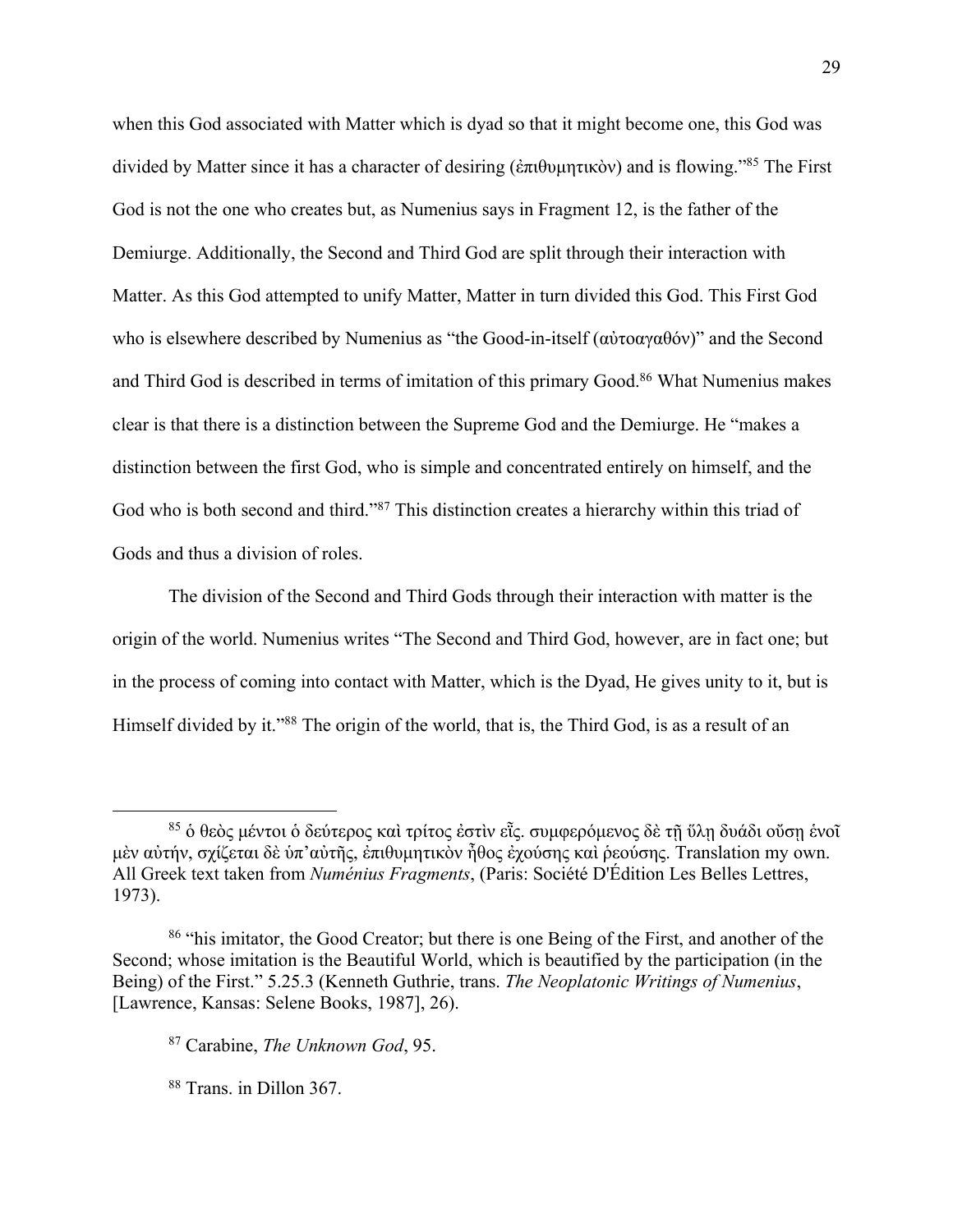when this God associated with Matter which is dyad so that it might become one, this God was divided by Matter since it has a character of desiring (ἐπιθυμητικὸν) and is flowing."85 The First God is not the one who creates but, as Numenius says in Fragment 12, is the father of the Demiurge. Additionally, the Second and Third God are split through their interaction with Matter. As this God attempted to unify Matter, Matter in turn divided this God. This First God who is elsewhere described by Numenius as "the Good-in-itself (αὐτοαγαθόν)" and the Second and Third God is described in terms of imitation of this primary Good.<sup>86</sup> What Numenius makes clear is that there is a distinction between the Supreme God and the Demiurge. He "makes a distinction between the first God, who is simple and concentrated entirely on himself, and the God who is both second and third."87 This distinction creates a hierarchy within this triad of Gods and thus a division of roles.

The division of the Second and Third Gods through their interaction with matter is the origin of the world. Numenius writes "The Second and Third God, however, are in fact one; but in the process of coming into contact with Matter, which is the Dyad, He gives unity to it, but is Himself divided by it."<sup>88</sup> The origin of the world, that is, the Third God, is as a result of an

<sup>&</sup>lt;sup>85</sup> ὁ θεὸς μέντοι ὁ δεύτερος καὶ τρίτος ἐστὶν εῗς. συμφερόμενος δὲ τῇ ὕλῃ δυάδι ούσῃ ἑνοῖ μὲν αὐτήν, σχίζεται δὲ ὑπ'αὐτῆς, ἐπιθυμητικὸν ἦθος ἐχούσης καὶ ῥεούσης. Translation my own. All Greek text taken from *Numénius Fragments*, (Paris: Société D'Édition Les Belles Lettres, 1973).

<sup>&</sup>lt;sup>86</sup> "his imitator, the Good Creator; but there is one Being of the First, and another of the Second; whose imitation is the Beautiful World, which is beautified by the participation (in the Being) of the First." 5.25.3 (Kenneth Guthrie, trans. *The Neoplatonic Writings of Numenius*, [Lawrence, Kansas: Selene Books, 1987], 26).

<sup>87</sup> Carabine, *The Unknown God*, 95.

<sup>88</sup> Trans. in Dillon 367.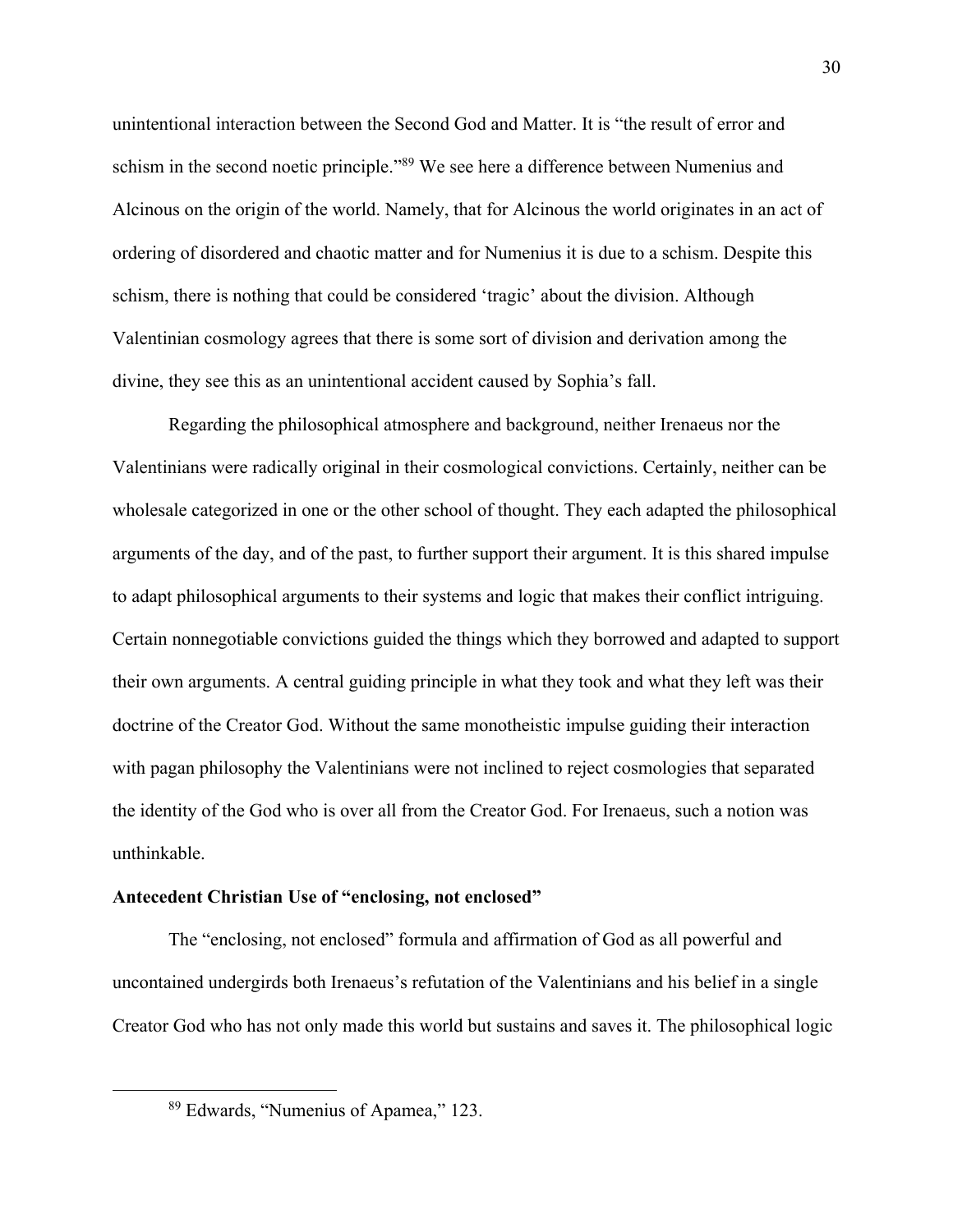unintentional interaction between the Second God and Matter. It is "the result of error and schism in the second noetic principle."89 We see here a difference between Numenius and Alcinous on the origin of the world. Namely, that for Alcinous the world originates in an act of ordering of disordered and chaotic matter and for Numenius it is due to a schism. Despite this schism, there is nothing that could be considered 'tragic' about the division. Although Valentinian cosmology agrees that there is some sort of division and derivation among the divine, they see this as an unintentional accident caused by Sophia's fall.

Regarding the philosophical atmosphere and background, neither Irenaeus nor the Valentinians were radically original in their cosmological convictions. Certainly, neither can be wholesale categorized in one or the other school of thought. They each adapted the philosophical arguments of the day, and of the past, to further support their argument. It is this shared impulse to adapt philosophical arguments to their systems and logic that makes their conflict intriguing. Certain nonnegotiable convictions guided the things which they borrowed and adapted to support their own arguments. A central guiding principle in what they took and what they left was their doctrine of the Creator God. Without the same monotheistic impulse guiding their interaction with pagan philosophy the Valentinians were not inclined to reject cosmologies that separated the identity of the God who is over all from the Creator God. For Irenaeus, such a notion was unthinkable.

#### **Antecedent Christian Use of "enclosing, not enclosed"**

The "enclosing, not enclosed" formula and affirmation of God as all powerful and uncontained undergirds both Irenaeus's refutation of the Valentinians and his belief in a single Creator God who has not only made this world but sustains and saves it. The philosophical logic

<sup>89</sup> Edwards, "Numenius of Apamea," 123.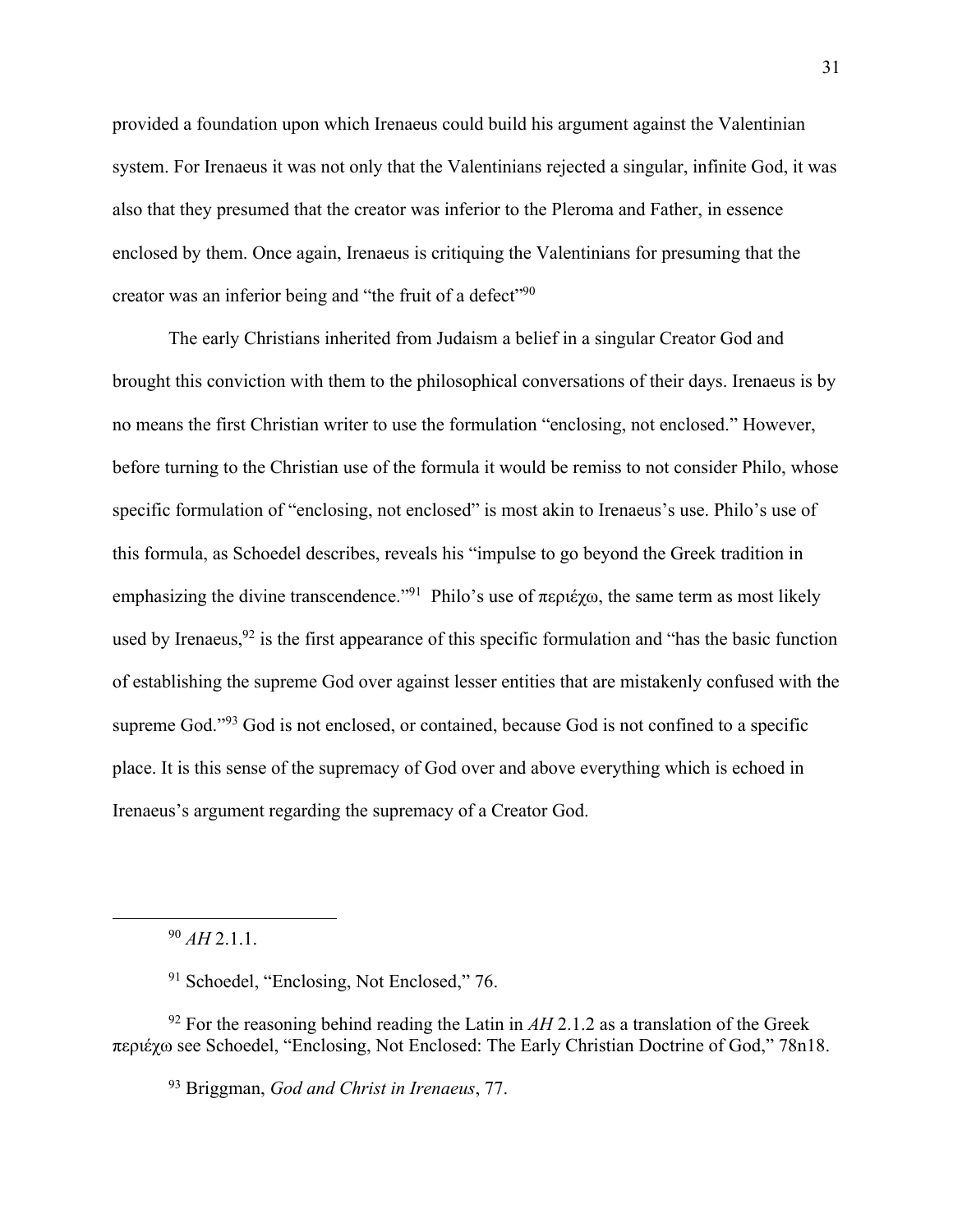provided a foundation upon which Irenaeus could build his argument against the Valentinian system. For Irenaeus it was not only that the Valentinians rejected a singular, infinite God, it was also that they presumed that the creator was inferior to the Pleroma and Father, in essence enclosed by them. Once again, Irenaeus is critiquing the Valentinians for presuming that the creator was an inferior being and "the fruit of a defect"<sup>90</sup>

The early Christians inherited from Judaism a belief in a singular Creator God and brought this conviction with them to the philosophical conversations of their days. Irenaeus is by no means the first Christian writer to use the formulation "enclosing, not enclosed." However, before turning to the Christian use of the formula it would be remiss to not consider Philo, whose specific formulation of "enclosing, not enclosed" is most akin to Irenaeus's use. Philo's use of this formula, as Schoedel describes, reveals his "impulse to go beyond the Greek tradition in emphasizing the divine transcendence."91 Philo's use of περιέχω, the same term as most likely used by Irenaeus,  $92$  is the first appearance of this specific formulation and "has the basic function" of establishing the supreme God over against lesser entities that are mistakenly confused with the supreme God."<sup>93</sup> God is not enclosed, or contained, because God is not confined to a specific place. It is this sense of the supremacy of God over and above everything which is echoed in Irenaeus's argument regarding the supremacy of a Creator God.

<sup>90</sup> *AH* 2.1.1.

<sup>91</sup> Schoedel, "Enclosing, Not Enclosed," 76.

 $92$  For the reasoning behind reading the Latin in  $AH$  2.1.2 as a translation of the Greek περιέχω see Schoedel, "Enclosing, Not Enclosed: The Early Christian Doctrine of God," 78n18.

<sup>93</sup> Briggman, *God and Christ in Irenaeus*, 77.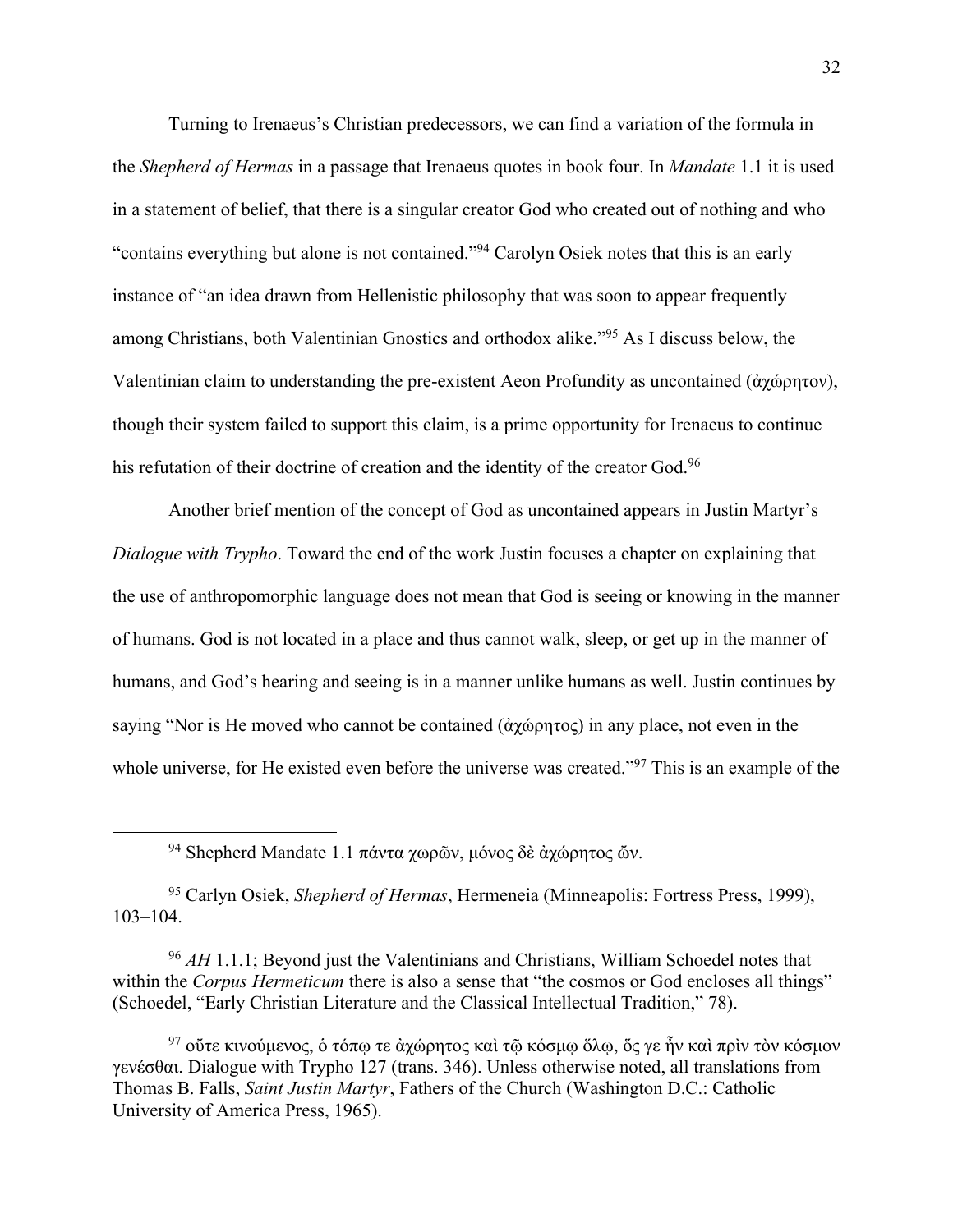Turning to Irenaeus's Christian predecessors, we can find a variation of the formula in the *Shepherd of Hermas* in a passage that Irenaeus quotes in book four. In *Mandate* 1.1 it is used in a statement of belief, that there is a singular creator God who created out of nothing and who "contains everything but alone is not contained."94 Carolyn Osiek notes that this is an early instance of "an idea drawn from Hellenistic philosophy that was soon to appear frequently among Christians, both Valentinian Gnostics and orthodox alike."95 As I discuss below, the Valentinian claim to understanding the pre-existent Aeon Profundity as uncontained (ἀχώρητον), though their system failed to support this claim, is a prime opportunity for Irenaeus to continue his refutation of their doctrine of creation and the identity of the creator God.<sup>96</sup>

Another brief mention of the concept of God as uncontained appears in Justin Martyr's *Dialogue with Trypho*. Toward the end of the work Justin focuses a chapter on explaining that the use of anthropomorphic language does not mean that God is seeing or knowing in the manner of humans. God is not located in a place and thus cannot walk, sleep, or get up in the manner of humans, and God's hearing and seeing is in a manner unlike humans as well. Justin continues by saying "Nor is He moved who cannot be contained (ἀχώρητος) in any place, not even in the whole universe, for He existed even before the universe was created."<sup>97</sup> This is an example of the

<sup>94</sup> Shepherd Mandate 1.1 πάντα χωρῶν, μόνος δὲ ἀχώρητος ὤν.

<sup>95</sup> Carlyn Osiek, *Shepherd of Hermas*, Hermeneia (Minneapolis: Fortress Press, 1999), 103–104.

<sup>96</sup> *AH* 1.1.1; Beyond just the Valentinians and Christians, William Schoedel notes that within the *Corpus Hermeticum* there is also a sense that "the cosmos or God encloses all things" (Schoedel, "Early Christian Literature and the Classical Intellectual Tradition," 78).

<sup>97</sup> ούτε κινούμενος, ὁ τόπω τε ἀχώρητος καὶ τῷ κόσμῳ ὅλφ, ὅς γε ἦν καὶ πρὶν τὸν κόσμον γενέσθαι. Dialogue with Trypho 127 (trans. 346). Unless otherwise noted, all translations from Thomas B. Falls, *Saint Justin Martyr*, Fathers of the Church (Washington D.C.: Catholic University of America Press, 1965).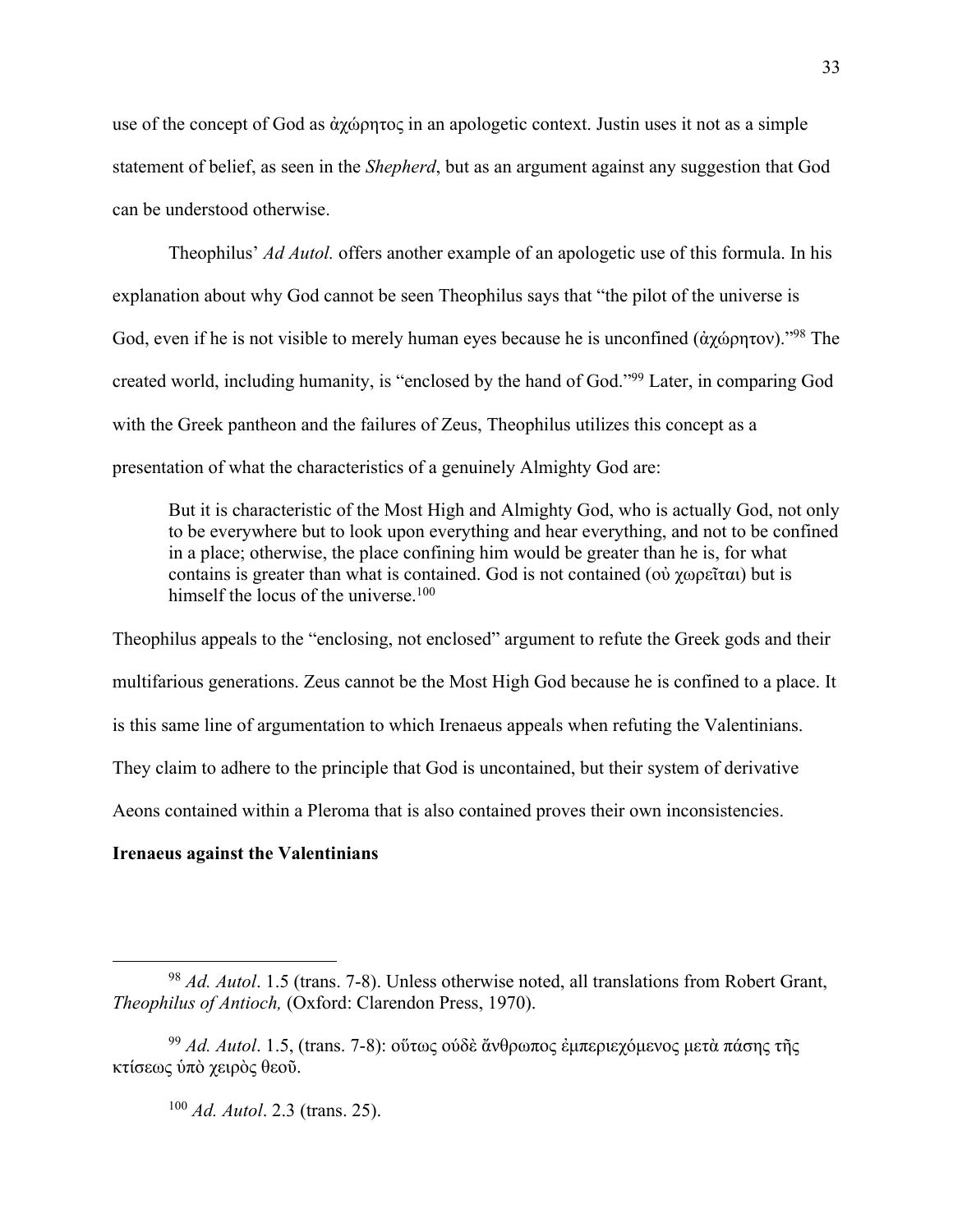use of the concept of God as ἀχώρητος in an apologetic context. Justin uses it not as a simple statement of belief, as seen in the *Shepherd*, but as an argument against any suggestion that God can be understood otherwise.

Theophilus' *Ad Autol.* offers another example of an apologetic use of this formula. In his explanation about why God cannot be seen Theophilus says that "the pilot of the universe is God, even if he is not visible to merely human eyes because he is unconfined (άχώρητον).<sup>"98</sup> The created world, including humanity, is "enclosed by the hand of God."99 Later, in comparing God with the Greek pantheon and the failures of Zeus, Theophilus utilizes this concept as a presentation of what the characteristics of a genuinely Almighty God are:

But it is characteristic of the Most High and Almighty God, who is actually God, not only to be everywhere but to look upon everything and hear everything, and not to be confined in a place; otherwise, the place confining him would be greater than he is, for what contains is greater than what is contained. God is not contained (οὐ χωρεῖται) but is himself the locus of the universe. $100$ 

Theophilus appeals to the "enclosing, not enclosed" argument to refute the Greek gods and their multifarious generations. Zeus cannot be the Most High God because he is confined to a place. It is this same line of argumentation to which Irenaeus appeals when refuting the Valentinians. They claim to adhere to the principle that God is uncontained, but their system of derivative Aeons contained within a Pleroma that is also contained proves their own inconsistencies.

## **Irenaeus against the Valentinians**

<sup>100</sup> *Ad. Autol*. 2.3 (trans. 25).

<sup>98</sup> *Ad. Autol*. 1.5 (trans. 7-8). Unless otherwise noted, all translations from Robert Grant, *Theophilus of Antioch,* (Oxford: Clarendon Press, 1970).

<sup>99</sup> *Ad. Autol*. 1.5, (trans. 7-8): οὕτως ούδὲ ἄνθρωπος ἐμπεριεχόμενος μετὰ πάσης τῆς κτίσεως ὑπὸ χειρὸς θεοῦ.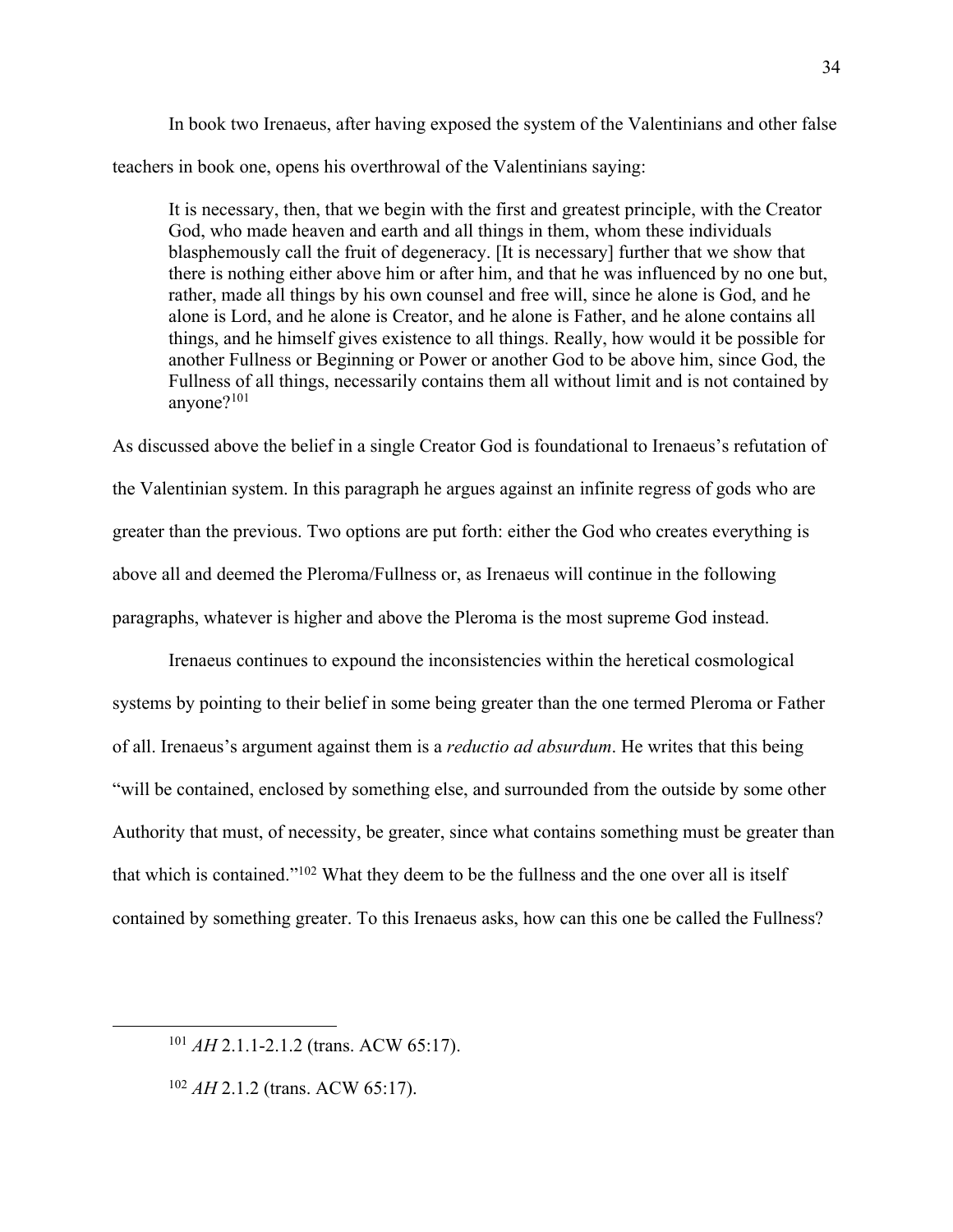In book two Irenaeus, after having exposed the system of the Valentinians and other false teachers in book one, opens his overthrowal of the Valentinians saying:

It is necessary, then, that we begin with the first and greatest principle, with the Creator God, who made heaven and earth and all things in them, whom these individuals blasphemously call the fruit of degeneracy. [It is necessary] further that we show that there is nothing either above him or after him, and that he was influenced by no one but, rather, made all things by his own counsel and free will, since he alone is God, and he alone is Lord, and he alone is Creator, and he alone is Father, and he alone contains all things, and he himself gives existence to all things. Really, how would it be possible for another Fullness or Beginning or Power or another God to be above him, since God, the Fullness of all things, necessarily contains them all without limit and is not contained by anyone?101

As discussed above the belief in a single Creator God is foundational to Irenaeus's refutation of the Valentinian system. In this paragraph he argues against an infinite regress of gods who are greater than the previous. Two options are put forth: either the God who creates everything is above all and deemed the Pleroma/Fullness or, as Irenaeus will continue in the following paragraphs, whatever is higher and above the Pleroma is the most supreme God instead.

Irenaeus continues to expound the inconsistencies within the heretical cosmological systems by pointing to their belief in some being greater than the one termed Pleroma or Father of all. Irenaeus's argument against them is a *reductio ad absurdum*. He writes that this being "will be contained, enclosed by something else, and surrounded from the outside by some other Authority that must, of necessity, be greater, since what contains something must be greater than that which is contained."102 What they deem to be the fullness and the one over all is itself contained by something greater. To this Irenaeus asks, how can this one be called the Fullness?

<sup>101</sup> *AH* 2.1.1-2.1.2 (trans. ACW 65:17).

<sup>102</sup> *AH* 2.1.2 (trans. ACW 65:17).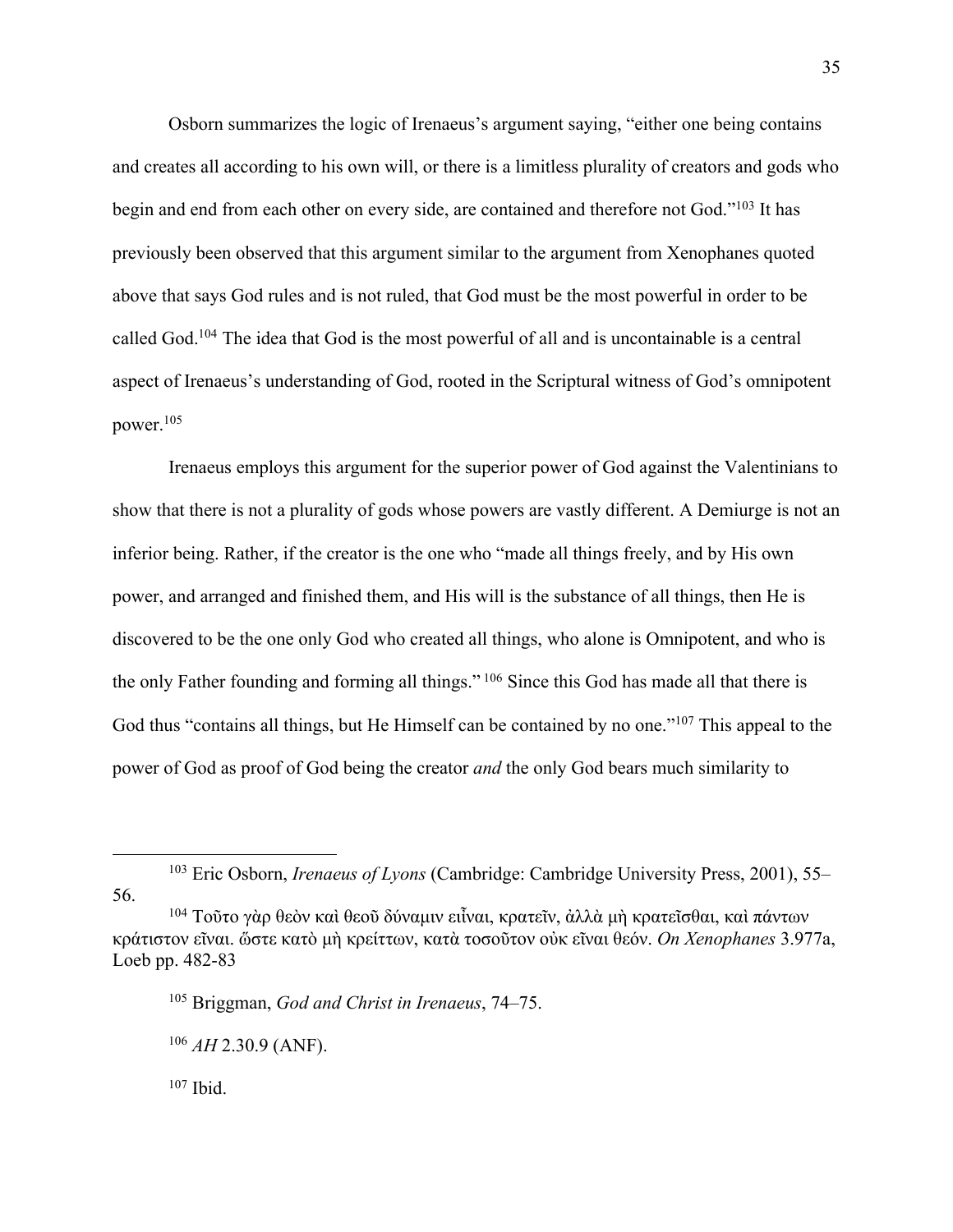Osborn summarizes the logic of Irenaeus's argument saying, "either one being contains and creates all according to his own will, or there is a limitless plurality of creators and gods who begin and end from each other on every side, are contained and therefore not God."103 It has previously been observed that this argument similar to the argument from Xenophanes quoted above that says God rules and is not ruled, that God must be the most powerful in order to be called God.104 The idea that God is the most powerful of all and is uncontainable is a central aspect of Irenaeus's understanding of God, rooted in the Scriptural witness of God's omnipotent power.105

Irenaeus employs this argument for the superior power of God against the Valentinians to show that there is not a plurality of gods whose powers are vastly different. A Demiurge is not an inferior being. Rather, if the creator is the one who "made all things freely, and by His own power, and arranged and finished them, and His will is the substance of all things, then He is discovered to be the one only God who created all things, who alone is Omnipotent, and who is the only Father founding and forming all things." <sup>106</sup> Since this God has made all that there is God thus "contains all things, but He Himself can be contained by no one."107 This appeal to the power of God as proof of God being the creator *and* the only God bears much similarity to

<sup>107</sup> Ibid.

<sup>103</sup> Eric Osborn, *Irenaeus of Lyons* (Cambridge: Cambridge University Press, 2001), 55– 56.

<sup>104</sup> Τοῦτο γὰρ θεὸν καὶ θεοῦ δύναμιν ειἶναι, κρατεῖν, ἀλλὰ μὴ κρατεῖσθαι, καὶ πάντων κράτιστον εῖναι. ὥστε κατὸ μὴ κρείττων, κατὰ τοσοῦτον οὐκ εῖναι θεόν. *On Xenophanes* 3.977a, Loeb pp. 482-83

<sup>105</sup> Briggman, *God and Christ in Irenaeus*, 74–75.

 $106$  *AH* 2.30.9 (ANF).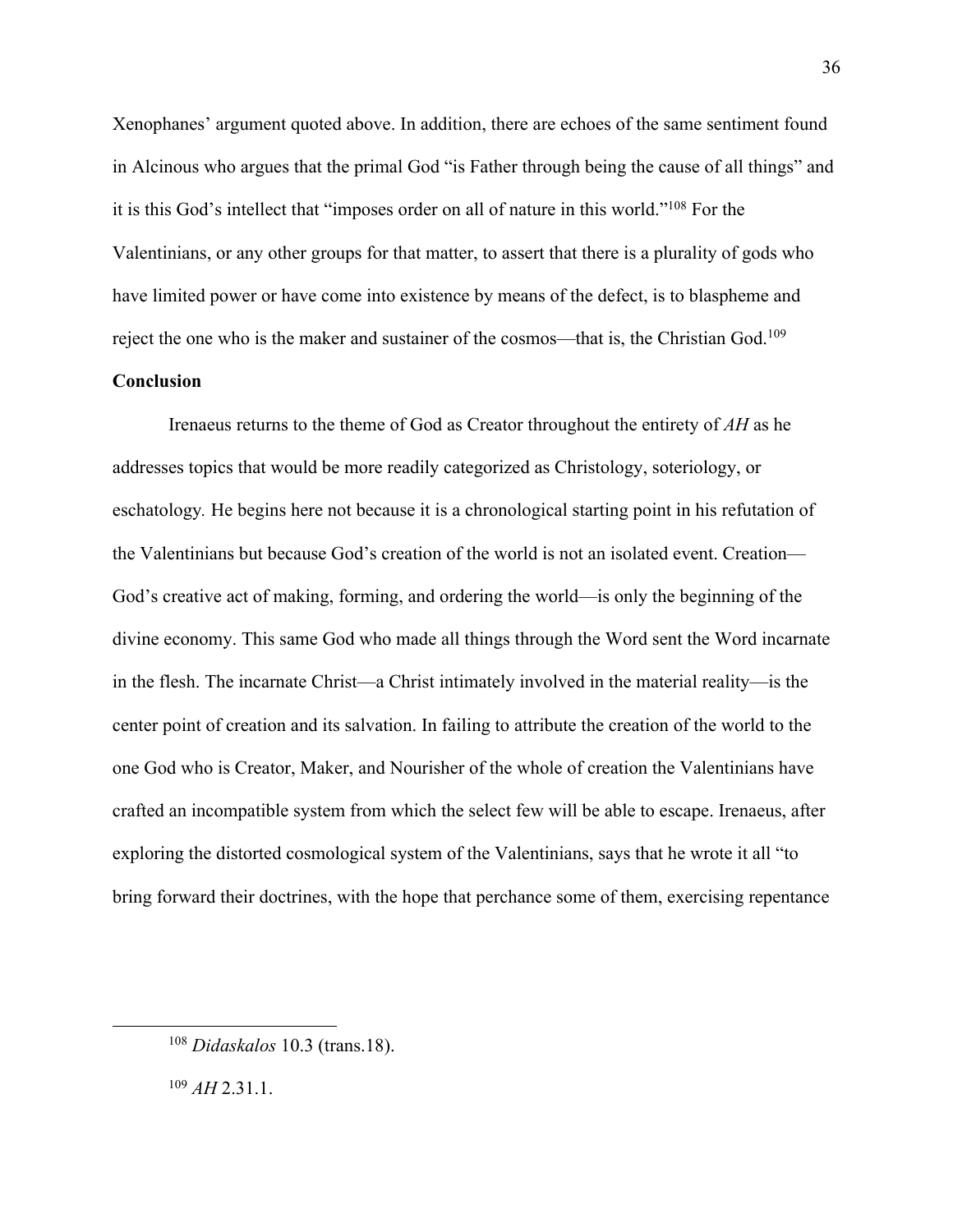Xenophanes' argument quoted above. In addition, there are echoes of the same sentiment found in Alcinous who argues that the primal God "is Father through being the cause of all things" and it is this God's intellect that "imposes order on all of nature in this world."108 For the Valentinians, or any other groups for that matter, to assert that there is a plurality of gods who have limited power or have come into existence by means of the defect, is to blaspheme and reject the one who is the maker and sustainer of the cosmos—that is, the Christian God.109

# **Conclusion**

Irenaeus returns to the theme of God as Creator throughout the entirety of *AH* as he addresses topics that would be more readily categorized as Christology, soteriology, or eschatology*.* He begins here not because it is a chronological starting point in his refutation of the Valentinians but because God's creation of the world is not an isolated event. Creation— God's creative act of making, forming, and ordering the world—is only the beginning of the divine economy. This same God who made all things through the Word sent the Word incarnate in the flesh. The incarnate Christ—a Christ intimately involved in the material reality—is the center point of creation and its salvation. In failing to attribute the creation of the world to the one God who is Creator, Maker, and Nourisher of the whole of creation the Valentinians have crafted an incompatible system from which the select few will be able to escape. Irenaeus, after exploring the distorted cosmological system of the Valentinians, says that he wrote it all "to bring forward their doctrines, with the hope that perchance some of them, exercising repentance

<sup>109</sup> *AH* 2.31.1.

<sup>108</sup> *Didaskalos* 10.3 (trans.18).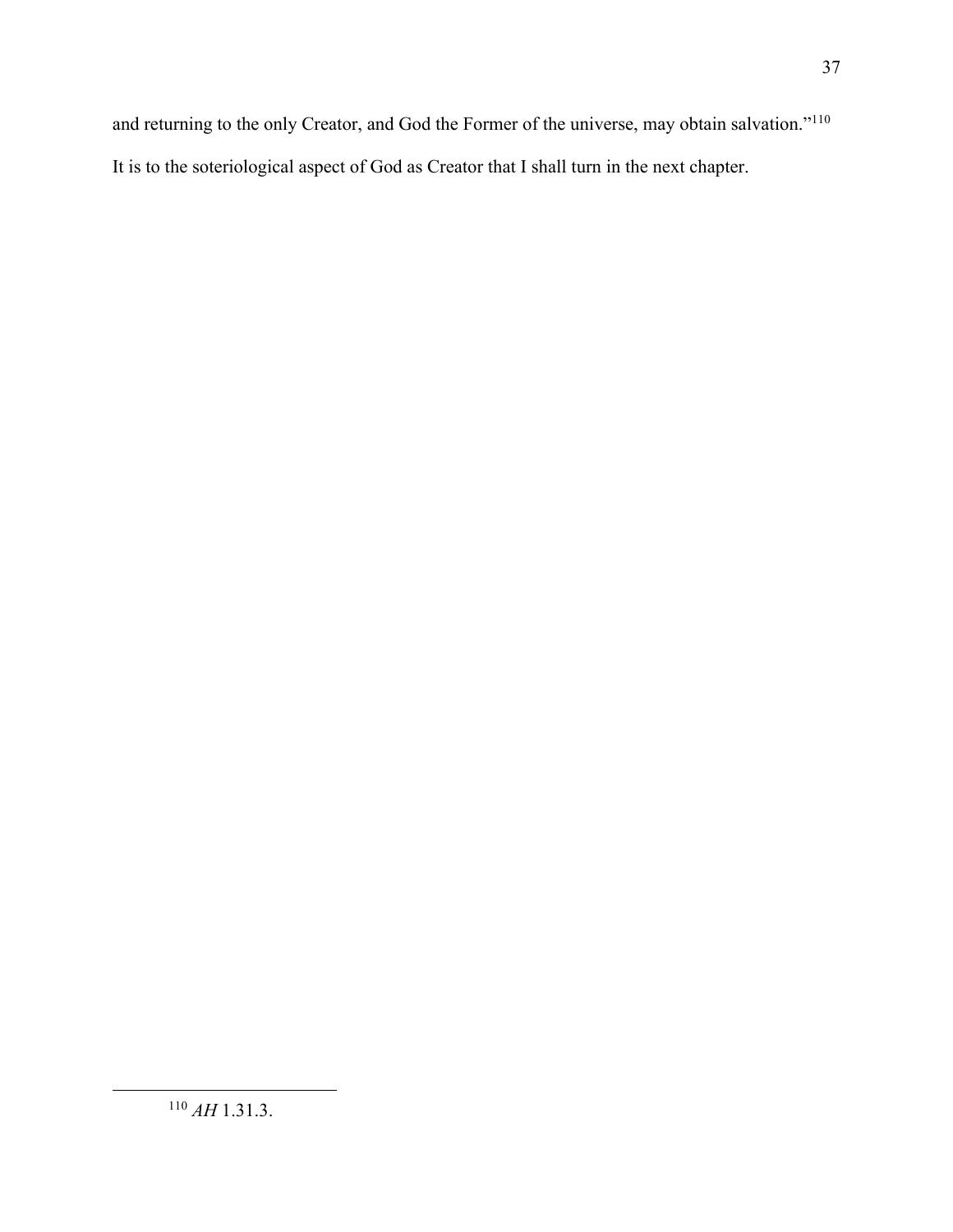and returning to the only Creator, and God the Former of the universe, may obtain salvation."110 It is to the soteriological aspect of God as Creator that I shall turn in the next chapter.

<sup>110</sup> *AH* 1.31.3.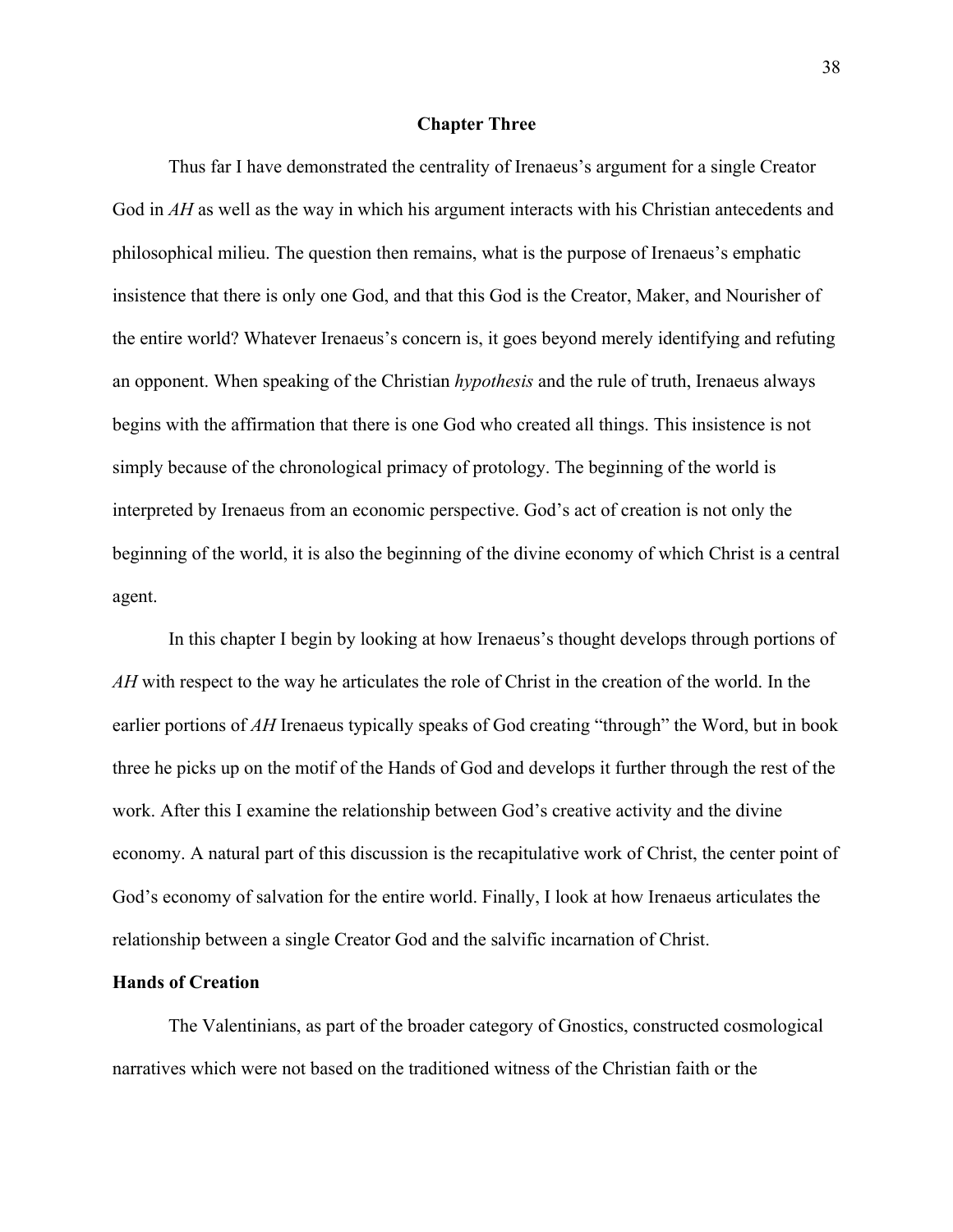#### **Chapter Three**

Thus far I have demonstrated the centrality of Irenaeus's argument for a single Creator God in *AH* as well as the way in which his argument interacts with his Christian antecedents and philosophical milieu. The question then remains, what is the purpose of Irenaeus's emphatic insistence that there is only one God, and that this God is the Creator, Maker, and Nourisher of the entire world? Whatever Irenaeus's concern is, it goes beyond merely identifying and refuting an opponent. When speaking of the Christian *hypothesis* and the rule of truth, Irenaeus always begins with the affirmation that there is one God who created all things. This insistence is not simply because of the chronological primacy of protology. The beginning of the world is interpreted by Irenaeus from an economic perspective. God's act of creation is not only the beginning of the world, it is also the beginning of the divine economy of which Christ is a central agent.

In this chapter I begin by looking at how Irenaeus's thought develops through portions of *AH* with respect to the way he articulates the role of Christ in the creation of the world. In the earlier portions of *AH* Irenaeus typically speaks of God creating "through" the Word, but in book three he picks up on the motif of the Hands of God and develops it further through the rest of the work. After this I examine the relationship between God's creative activity and the divine economy. A natural part of this discussion is the recapitulative work of Christ, the center point of God's economy of salvation for the entire world. Finally, I look at how Irenaeus articulates the relationship between a single Creator God and the salvific incarnation of Christ.

#### **Hands of Creation**

The Valentinians, as part of the broader category of Gnostics, constructed cosmological narratives which were not based on the traditioned witness of the Christian faith or the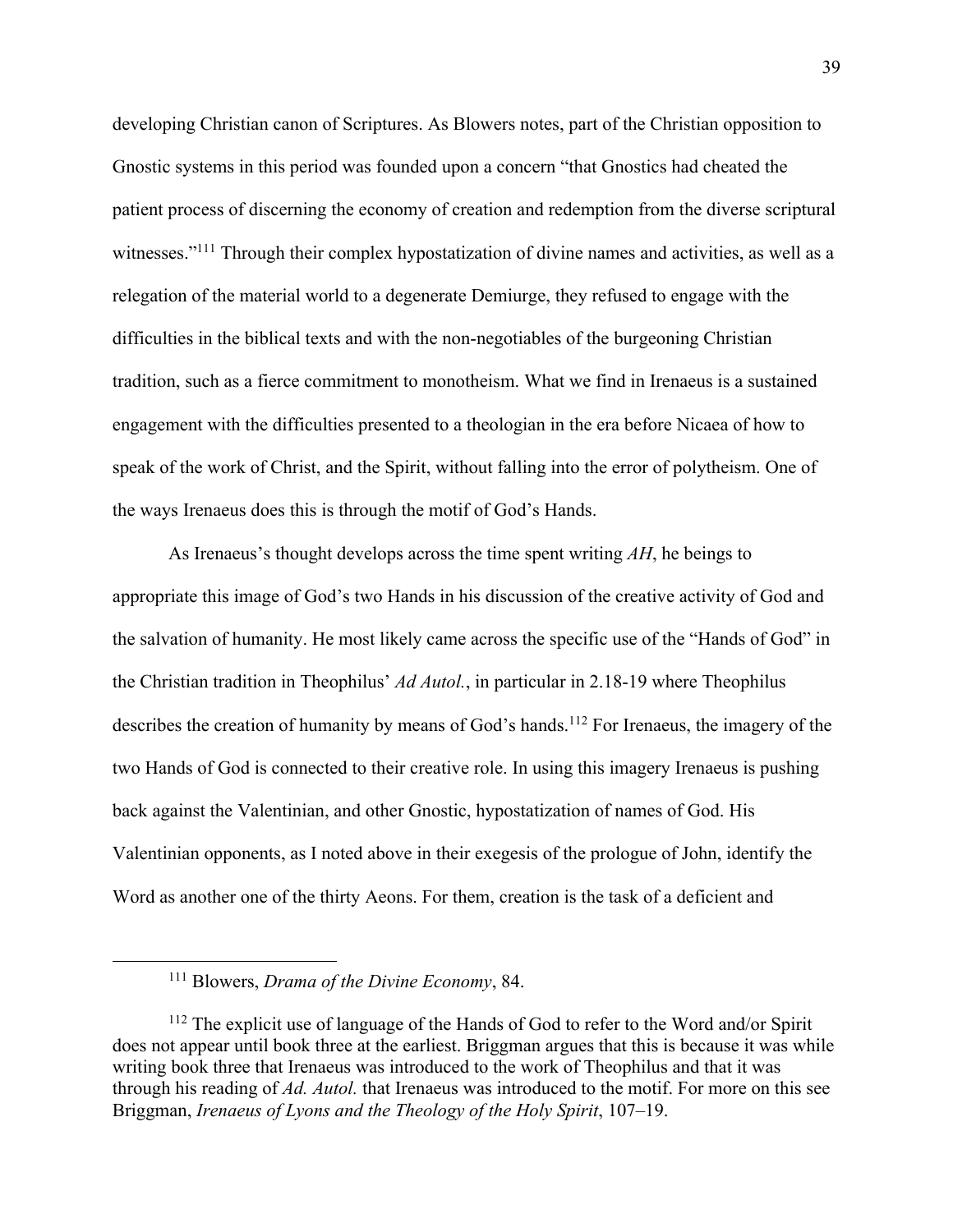developing Christian canon of Scriptures. As Blowers notes, part of the Christian opposition to Gnostic systems in this period was founded upon a concern "that Gnostics had cheated the patient process of discerning the economy of creation and redemption from the diverse scriptural witnesses."<sup>111</sup> Through their complex hypostatization of divine names and activities, as well as a relegation of the material world to a degenerate Demiurge, they refused to engage with the difficulties in the biblical texts and with the non-negotiables of the burgeoning Christian tradition, such as a fierce commitment to monotheism. What we find in Irenaeus is a sustained engagement with the difficulties presented to a theologian in the era before Nicaea of how to speak of the work of Christ, and the Spirit, without falling into the error of polytheism. One of the ways Irenaeus does this is through the motif of God's Hands.

As Irenaeus's thought develops across the time spent writing *AH*, he beings to appropriate this image of God's two Hands in his discussion of the creative activity of God and the salvation of humanity. He most likely came across the specific use of the "Hands of God" in the Christian tradition in Theophilus' *Ad Autol.*, in particular in 2.18-19 where Theophilus describes the creation of humanity by means of God's hands. <sup>112</sup> For Irenaeus, the imagery of the two Hands of God is connected to their creative role. In using this imagery Irenaeus is pushing back against the Valentinian, and other Gnostic, hypostatization of names of God. His Valentinian opponents, as I noted above in their exegesis of the prologue of John, identify the Word as another one of the thirty Aeons. For them, creation is the task of a deficient and

<sup>111</sup> Blowers, *Drama of the Divine Economy*, 84.

<sup>&</sup>lt;sup>112</sup> The explicit use of language of the Hands of God to refer to the Word and/or Spirit does not appear until book three at the earliest. Briggman argues that this is because it was while writing book three that Irenaeus was introduced to the work of Theophilus and that it was through his reading of *Ad. Autol.* that Irenaeus was introduced to the motif. For more on this see Briggman, *Irenaeus of Lyons and the Theology of the Holy Spirit*, 107–19.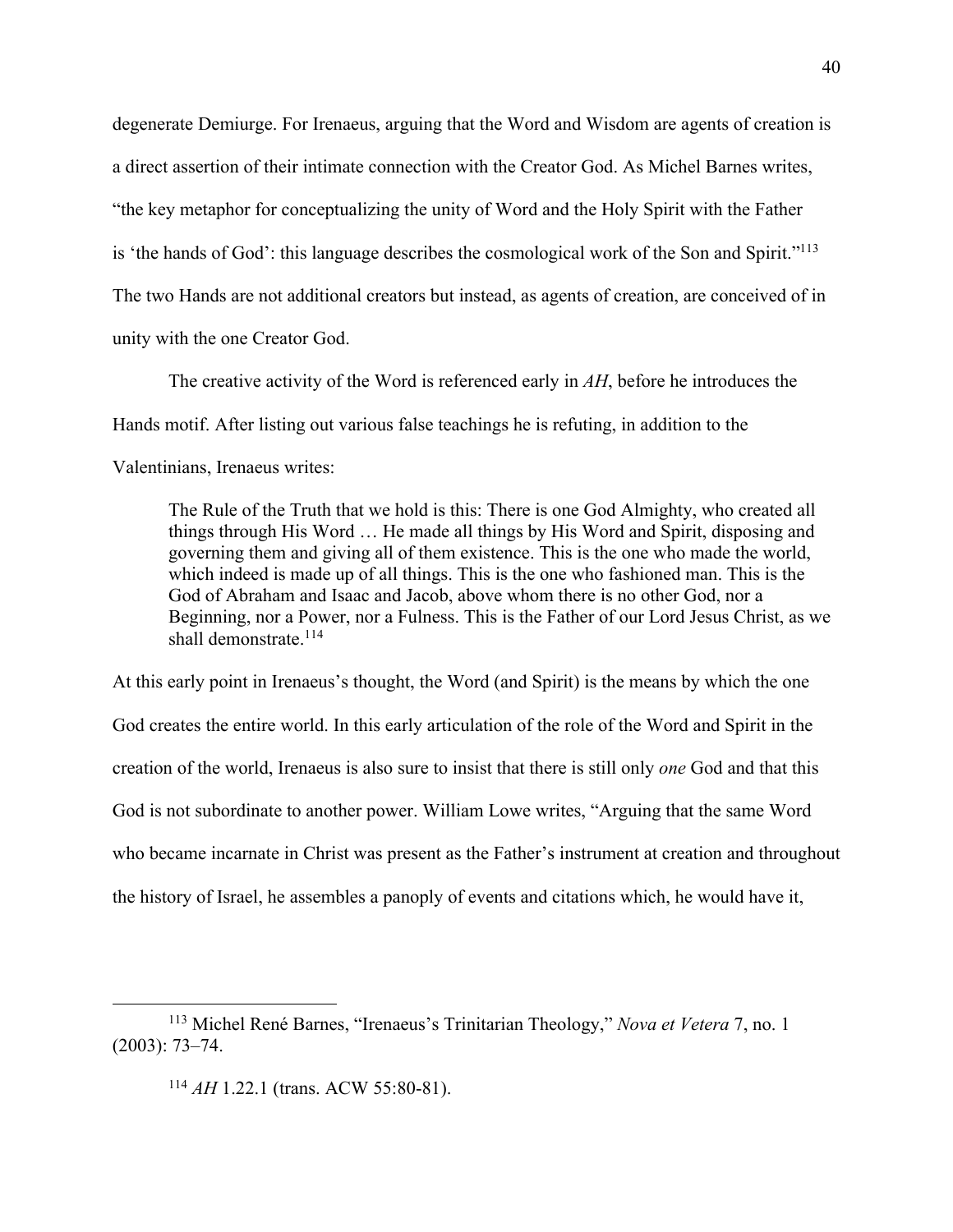degenerate Demiurge. For Irenaeus, arguing that the Word and Wisdom are agents of creation is a direct assertion of their intimate connection with the Creator God. As Michel Barnes writes, "the key metaphor for conceptualizing the unity of Word and the Holy Spirit with the Father is 'the hands of God': this language describes the cosmological work of the Son and Spirit."113 The two Hands are not additional creators but instead, as agents of creation, are conceived of in unity with the one Creator God.

The creative activity of the Word is referenced early in *AH*, before he introduces the Hands motif. After listing out various false teachings he is refuting, in addition to the Valentinians, Irenaeus writes:

The Rule of the Truth that we hold is this: There is one God Almighty, who created all things through His Word … He made all things by His Word and Spirit, disposing and governing them and giving all of them existence. This is the one who made the world, which indeed is made up of all things. This is the one who fashioned man. This is the God of Abraham and Isaac and Jacob, above whom there is no other God, nor a Beginning, nor a Power, nor a Fulness. This is the Father of our Lord Jesus Christ, as we shall demonstrate.<sup>114</sup>

At this early point in Irenaeus's thought, the Word (and Spirit) is the means by which the one God creates the entire world. In this early articulation of the role of the Word and Spirit in the creation of the world, Irenaeus is also sure to insist that there is still only *one* God and that this God is not subordinate to another power. William Lowe writes, "Arguing that the same Word who became incarnate in Christ was present as the Father's instrument at creation and throughout the history of Israel, he assembles a panoply of events and citations which, he would have it,

<sup>113</sup> Michel René Barnes, "Irenaeus's Trinitarian Theology," *Nova et Vetera* 7, no. 1 (2003): 73–74.

<sup>114</sup> *AH* 1.22.1 (trans. ACW 55:80-81).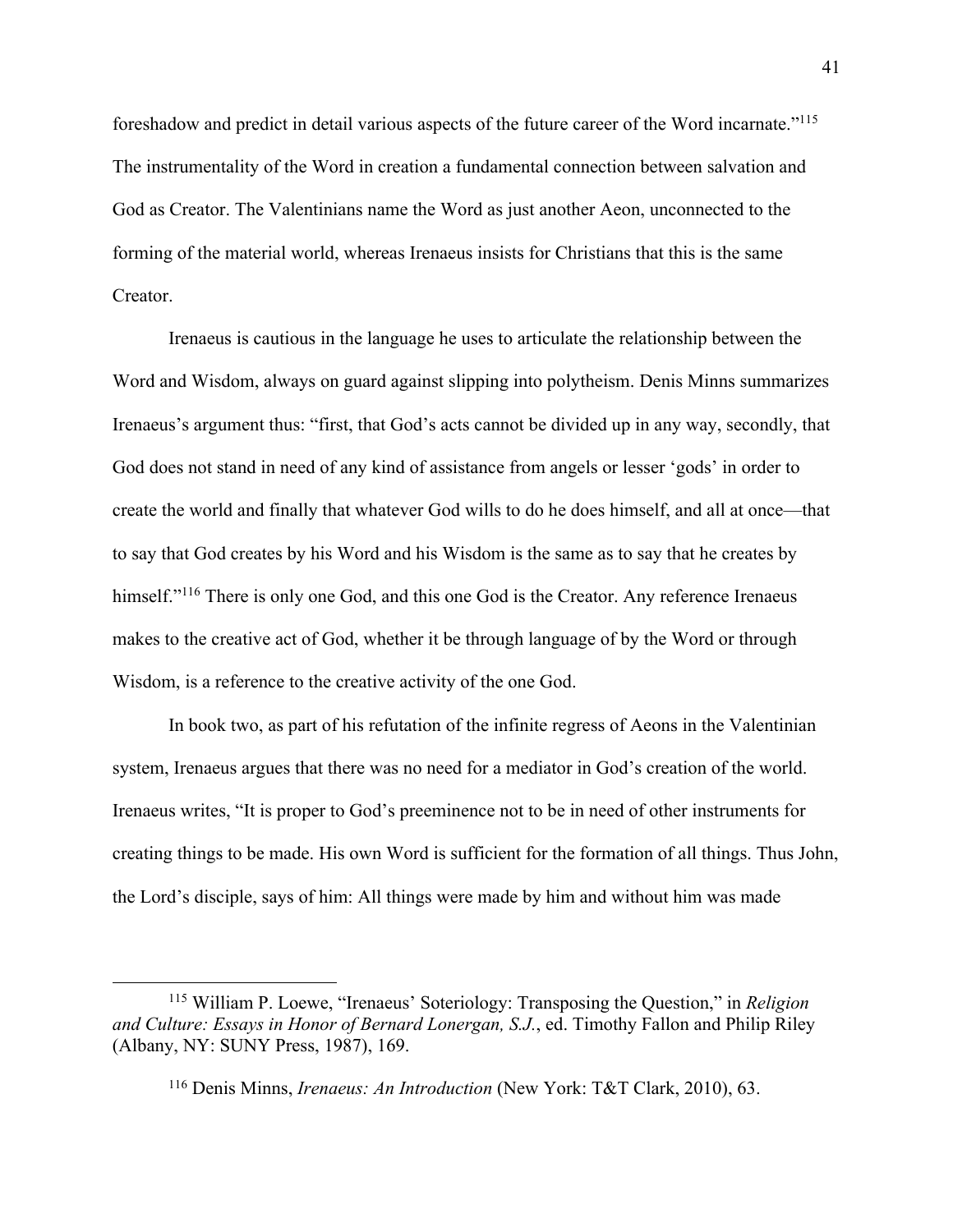foreshadow and predict in detail various aspects of the future career of the Word incarnate."115 The instrumentality of the Word in creation a fundamental connection between salvation and God as Creator. The Valentinians name the Word as just another Aeon, unconnected to the forming of the material world, whereas Irenaeus insists for Christians that this is the same Creator.

Irenaeus is cautious in the language he uses to articulate the relationship between the Word and Wisdom, always on guard against slipping into polytheism. Denis Minns summarizes Irenaeus's argument thus: "first, that God's acts cannot be divided up in any way, secondly, that God does not stand in need of any kind of assistance from angels or lesser 'gods' in order to create the world and finally that whatever God wills to do he does himself, and all at once—that to say that God creates by his Word and his Wisdom is the same as to say that he creates by himself."<sup>116</sup> There is only one God, and this one God is the Creator. Any reference Irenaeus makes to the creative act of God, whether it be through language of by the Word or through Wisdom, is a reference to the creative activity of the one God.

In book two, as part of his refutation of the infinite regress of Aeons in the Valentinian system, Irenaeus argues that there was no need for a mediator in God's creation of the world. Irenaeus writes, "It is proper to God's preeminence not to be in need of other instruments for creating things to be made. His own Word is sufficient for the formation of all things. Thus John, the Lord's disciple, says of him: All things were made by him and without him was made

<sup>115</sup> William P. Loewe, "Irenaeus' Soteriology: Transposing the Question," in *Religion and Culture: Essays in Honor of Bernard Lonergan, S.J.*, ed. Timothy Fallon and Philip Riley (Albany, NY: SUNY Press, 1987), 169.

<sup>116</sup> Denis Minns, *Irenaeus: An Introduction* (New York: T&T Clark, 2010), 63.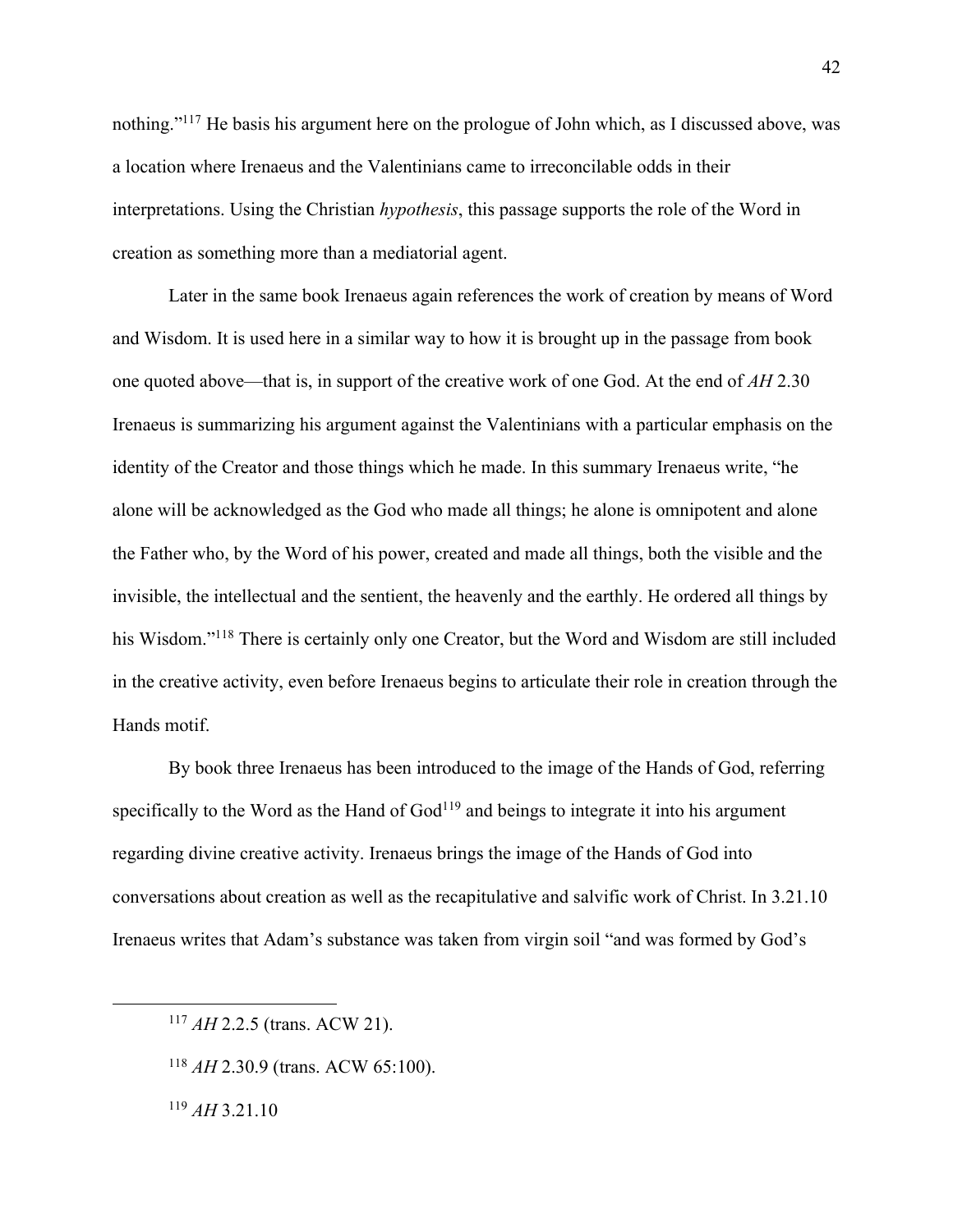nothing."117 He basis his argument here on the prologue of John which, as I discussed above, was a location where Irenaeus and the Valentinians came to irreconcilable odds in their interpretations. Using the Christian *hypothesis*, this passage supports the role of the Word in creation as something more than a mediatorial agent.

Later in the same book Irenaeus again references the work of creation by means of Word and Wisdom. It is used here in a similar way to how it is brought up in the passage from book one quoted above—that is, in support of the creative work of one God. At the end of *AH* 2.30 Irenaeus is summarizing his argument against the Valentinians with a particular emphasis on the identity of the Creator and those things which he made. In this summary Irenaeus write, "he alone will be acknowledged as the God who made all things; he alone is omnipotent and alone the Father who, by the Word of his power, created and made all things, both the visible and the invisible, the intellectual and the sentient, the heavenly and the earthly. He ordered all things by his Wisdom."<sup>118</sup> There is certainly only one Creator, but the Word and Wisdom are still included in the creative activity, even before Irenaeus begins to articulate their role in creation through the Hands motif.

By book three Irenaeus has been introduced to the image of the Hands of God, referring specifically to the Word as the Hand of  $God<sup>119</sup>$  and beings to integrate it into his argument regarding divine creative activity. Irenaeus brings the image of the Hands of God into conversations about creation as well as the recapitulative and salvific work of Christ. In 3.21.10 Irenaeus writes that Adam's substance was taken from virgin soil "and was formed by God's

<sup>119</sup> *AH* 3.21.10

<sup>117</sup> *AH* 2.2.5 (trans. ACW 21).

<sup>118</sup> *AH* 2.30.9 (trans. ACW 65:100).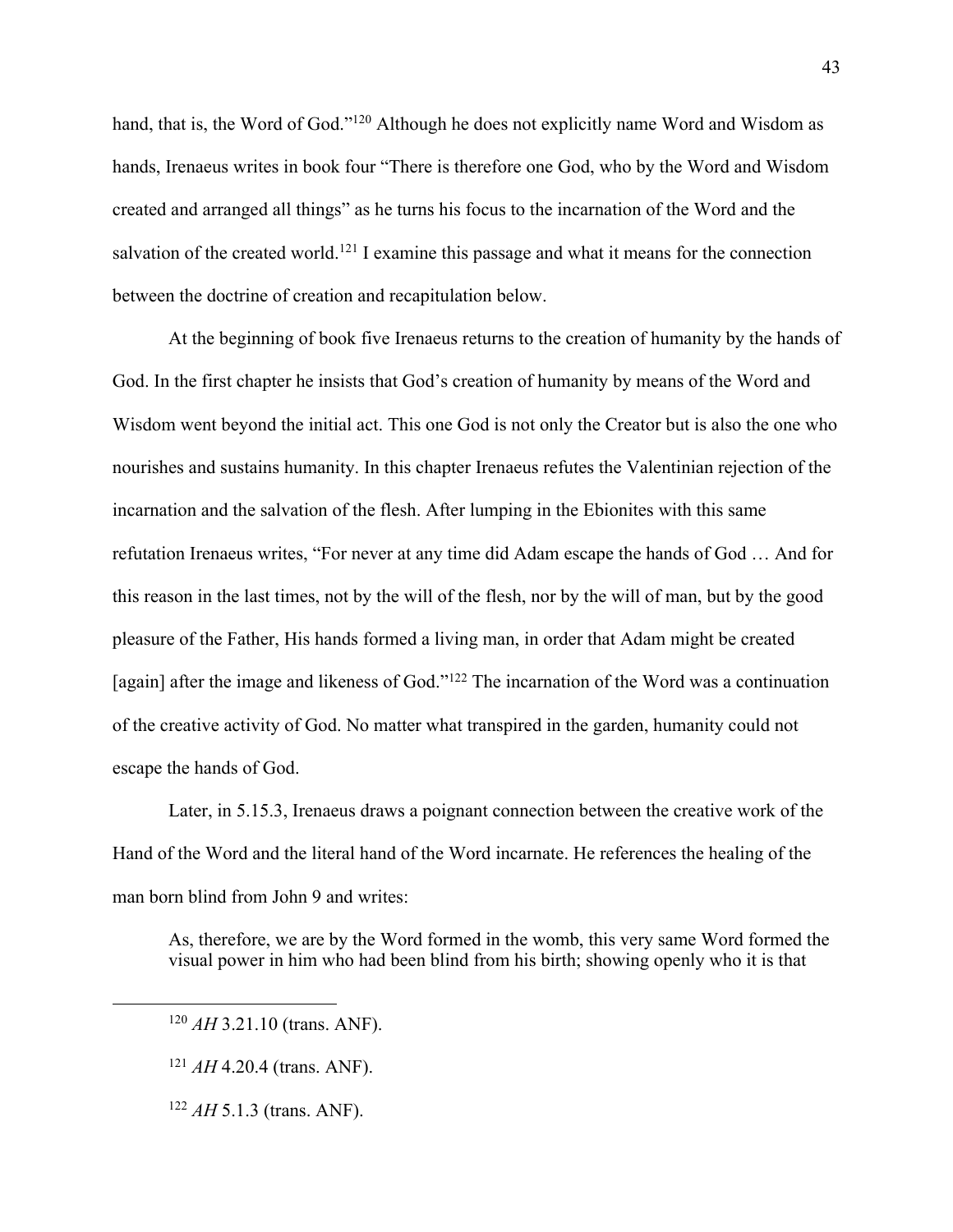hand, that is, the Word of God."<sup>120</sup> Although he does not explicitly name Word and Wisdom as hands, Irenaeus writes in book four "There is therefore one God, who by the Word and Wisdom created and arranged all things" as he turns his focus to the incarnation of the Word and the salvation of the created world.<sup>121</sup> I examine this passage and what it means for the connection between the doctrine of creation and recapitulation below.

At the beginning of book five Irenaeus returns to the creation of humanity by the hands of God. In the first chapter he insists that God's creation of humanity by means of the Word and Wisdom went beyond the initial act. This one God is not only the Creator but is also the one who nourishes and sustains humanity. In this chapter Irenaeus refutes the Valentinian rejection of the incarnation and the salvation of the flesh. After lumping in the Ebionites with this same refutation Irenaeus writes, "For never at any time did Adam escape the hands of God … And for this reason in the last times, not by the will of the flesh, nor by the will of man, but by the good pleasure of the Father, His hands formed a living man, in order that Adam might be created [again] after the image and likeness of God."<sup>122</sup> The incarnation of the Word was a continuation of the creative activity of God. No matter what transpired in the garden, humanity could not escape the hands of God.

Later, in 5.15.3, Irenaeus draws a poignant connection between the creative work of the Hand of the Word and the literal hand of the Word incarnate. He references the healing of the man born blind from John 9 and writes:

As, therefore, we are by the Word formed in the womb, this very same Word formed the visual power in him who had been blind from his birth; showing openly who it is that

<sup>122</sup> *AH* 5.1.3 (trans. ANF).

<sup>120</sup> *AH* 3.21.10 (trans. ANF).

<sup>121</sup> *AH* 4.20.4 (trans. ANF).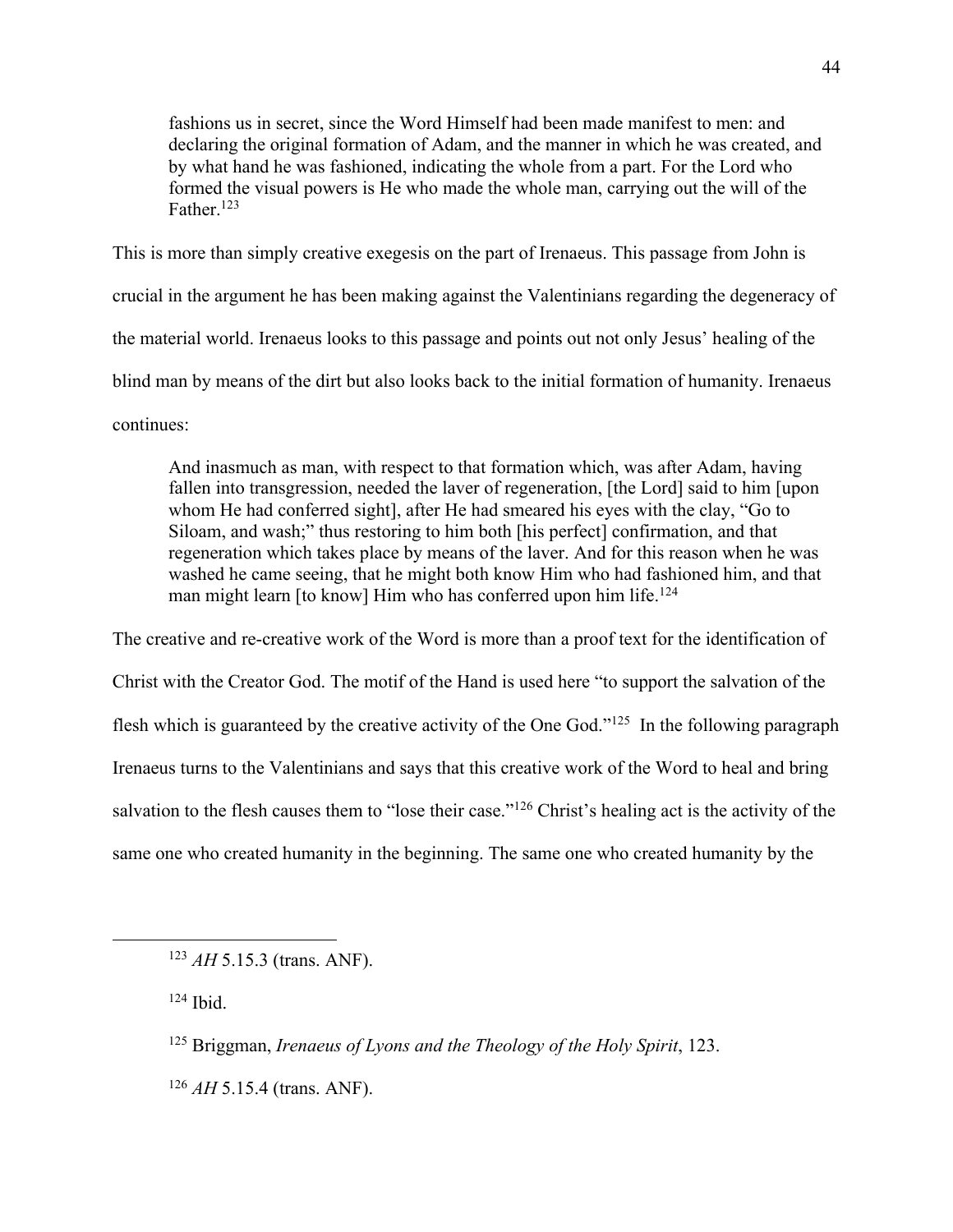fashions us in secret, since the Word Himself had been made manifest to men: and declaring the original formation of Adam, and the manner in which he was created, and by what hand he was fashioned, indicating the whole from a part. For the Lord who formed the visual powers is He who made the whole man, carrying out the will of the Father.<sup>123</sup>

This is more than simply creative exegesis on the part of Irenaeus. This passage from John is crucial in the argument he has been making against the Valentinians regarding the degeneracy of the material world. Irenaeus looks to this passage and points out not only Jesus' healing of the blind man by means of the dirt but also looks back to the initial formation of humanity. Irenaeus continues:

And inasmuch as man, with respect to that formation which, was after Adam, having fallen into transgression, needed the laver of regeneration, [the Lord] said to him [upon whom He had conferred sight], after He had smeared his eyes with the clay, "Go to Siloam, and wash;" thus restoring to him both [his perfect] confirmation, and that regeneration which takes place by means of the laver. And for this reason when he was washed he came seeing, that he might both know Him who had fashioned him, and that man might learn [to know] Him who has conferred upon him life.<sup>124</sup>

The creative and re-creative work of the Word is more than a proof text for the identification of Christ with the Creator God. The motif of the Hand is used here "to support the salvation of the flesh which is guaranteed by the creative activity of the One God."<sup>125</sup> In the following paragraph Irenaeus turns to the Valentinians and says that this creative work of the Word to heal and bring salvation to the flesh causes them to "lose their case."<sup>126</sup> Christ's healing act is the activity of the same one who created humanity in the beginning. The same one who created humanity by the

<sup>124</sup> Ibid.

<sup>123</sup> *AH* 5.15.3 (trans. ANF).

<sup>125</sup> Briggman, *Irenaeus of Lyons and the Theology of the Holy Spirit*, 123.

<sup>126</sup> *AH* 5.15.4 (trans. ANF).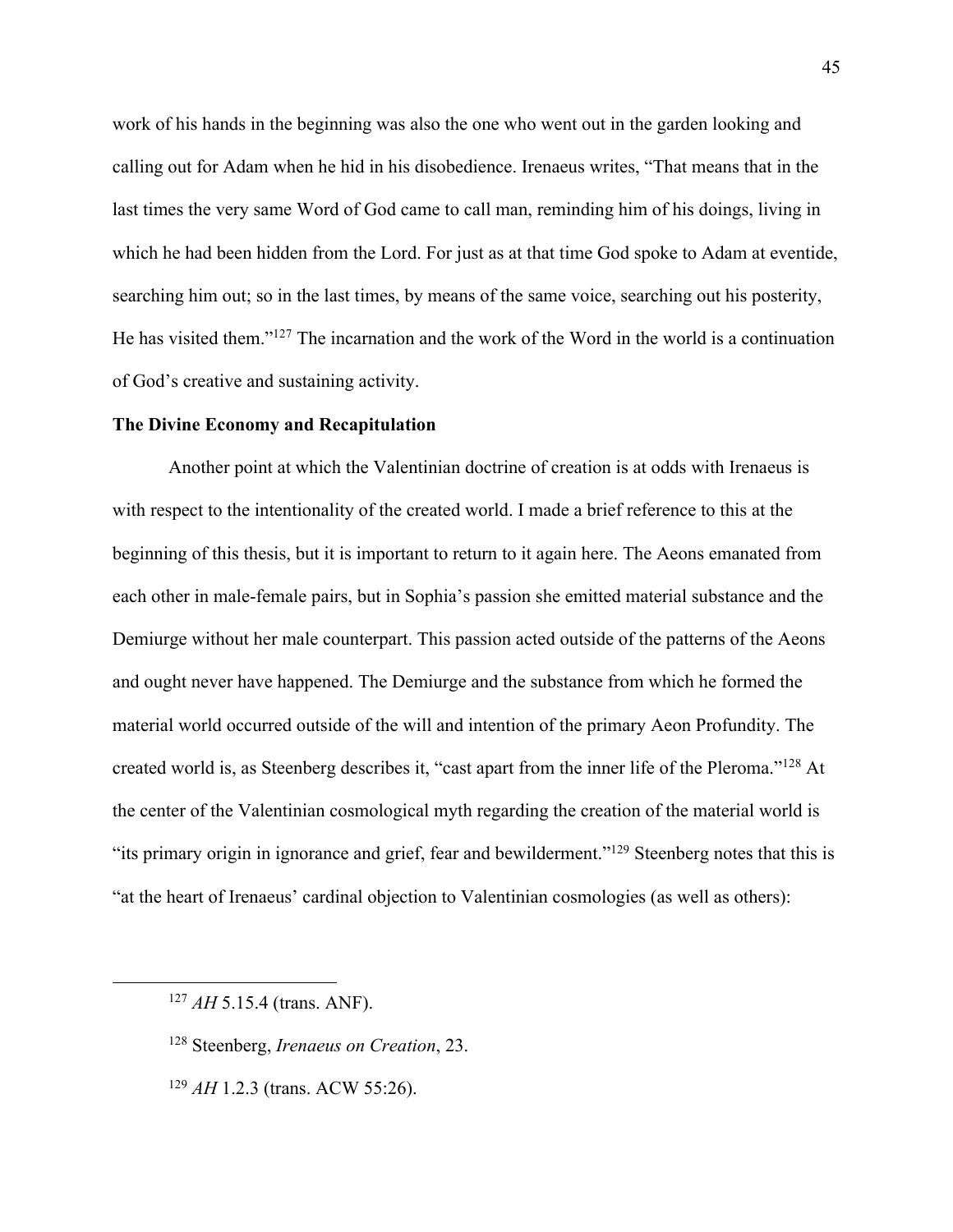work of his hands in the beginning was also the one who went out in the garden looking and calling out for Adam when he hid in his disobedience. Irenaeus writes, "That means that in the last times the very same Word of God came to call man, reminding him of his doings, living in which he had been hidden from the Lord. For just as at that time God spoke to Adam at eventide, searching him out; so in the last times, by means of the same voice, searching out his posterity, He has visited them."127 The incarnation and the work of the Word in the world is a continuation of God's creative and sustaining activity.

## **The Divine Economy and Recapitulation**

Another point at which the Valentinian doctrine of creation is at odds with Irenaeus is with respect to the intentionality of the created world. I made a brief reference to this at the beginning of this thesis, but it is important to return to it again here. The Aeons emanated from each other in male-female pairs, but in Sophia's passion she emitted material substance and the Demiurge without her male counterpart. This passion acted outside of the patterns of the Aeons and ought never have happened. The Demiurge and the substance from which he formed the material world occurred outside of the will and intention of the primary Aeon Profundity. The created world is, as Steenberg describes it, "cast apart from the inner life of the Pleroma."128 At the center of the Valentinian cosmological myth regarding the creation of the material world is "its primary origin in ignorance and grief, fear and bewilderment."129 Steenberg notes that this is "at the heart of Irenaeus' cardinal objection to Valentinian cosmologies (as well as others):

<sup>127</sup> *AH* 5.15.4 (trans. ANF).

<sup>128</sup> Steenberg, *Irenaeus on Creation*, 23.

<sup>129</sup> *AH* 1.2.3 (trans. ACW 55:26).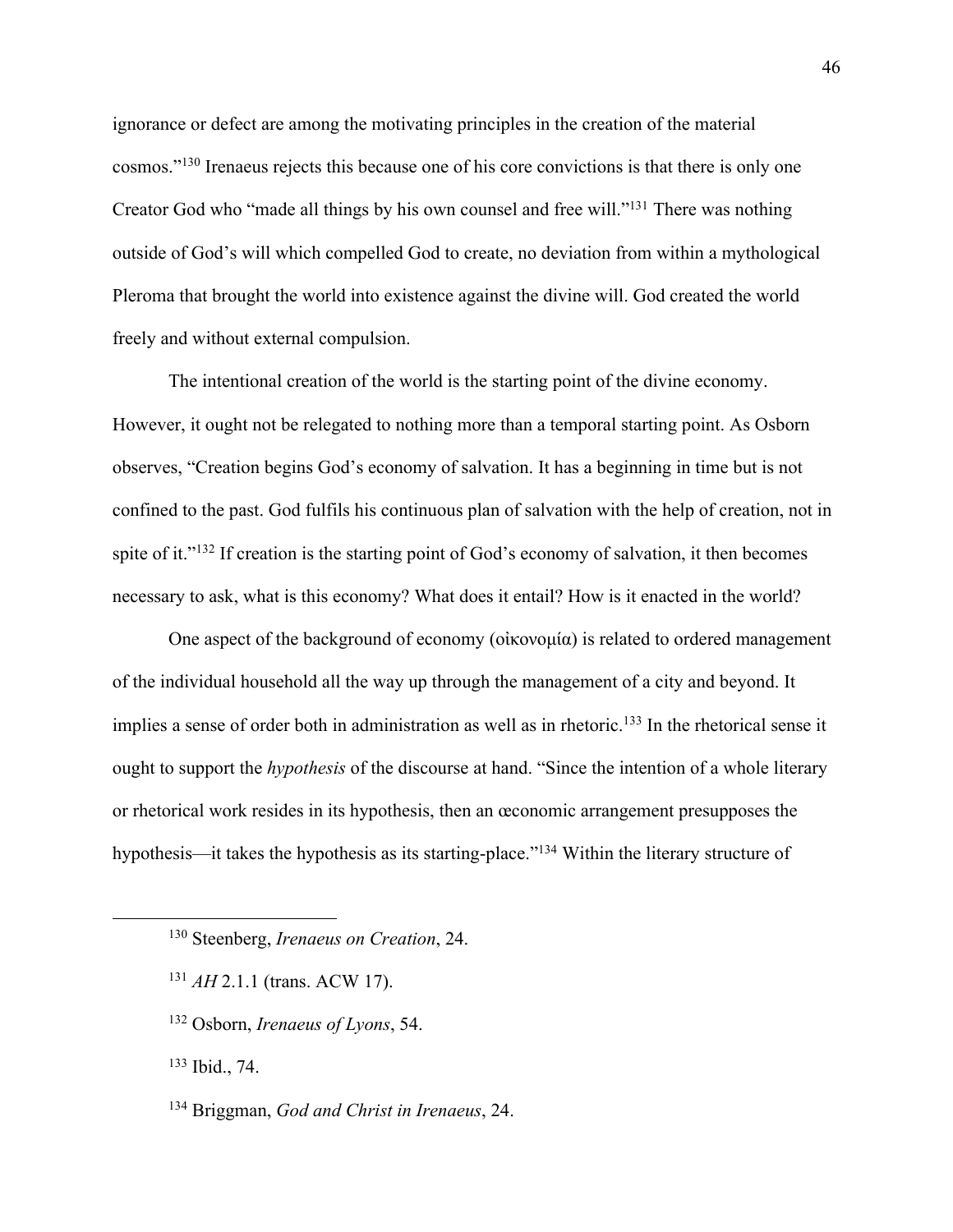ignorance or defect are among the motivating principles in the creation of the material cosmos."130 Irenaeus rejects this because one of his core convictions is that there is only one Creator God who "made all things by his own counsel and free will."131 There was nothing outside of God's will which compelled God to create, no deviation from within a mythological Pleroma that brought the world into existence against the divine will. God created the world freely and without external compulsion.

The intentional creation of the world is the starting point of the divine economy. However, it ought not be relegated to nothing more than a temporal starting point. As Osborn observes, "Creation begins God's economy of salvation. It has a beginning in time but is not confined to the past. God fulfils his continuous plan of salvation with the help of creation, not in spite of it."<sup>132</sup> If creation is the starting point of God's economy of salvation, it then becomes necessary to ask, what is this economy? What does it entail? How is it enacted in the world?

One aspect of the background of economy (οἰκονομία) is related to ordered management of the individual household all the way up through the management of a city and beyond. It implies a sense of order both in administration as well as in rhetoric.<sup>133</sup> In the rhetorical sense it ought to support the *hypothesis* of the discourse at hand. "Since the intention of a whole literary or rhetorical work resides in its hypothesis, then an œconomic arrangement presupposes the hypothesis—it takes the hypothesis as its starting-place."134 Within the literary structure of

- <sup>131</sup> *AH* 2.1.1 (trans. ACW 17).
- <sup>132</sup> Osborn, *Irenaeus of Lyons*, 54.
- <sup>133</sup> Ibid., 74.
- <sup>134</sup> Briggman, *God and Christ in Irenaeus*, 24.

<sup>130</sup> Steenberg, *Irenaeus on Creation*, 24.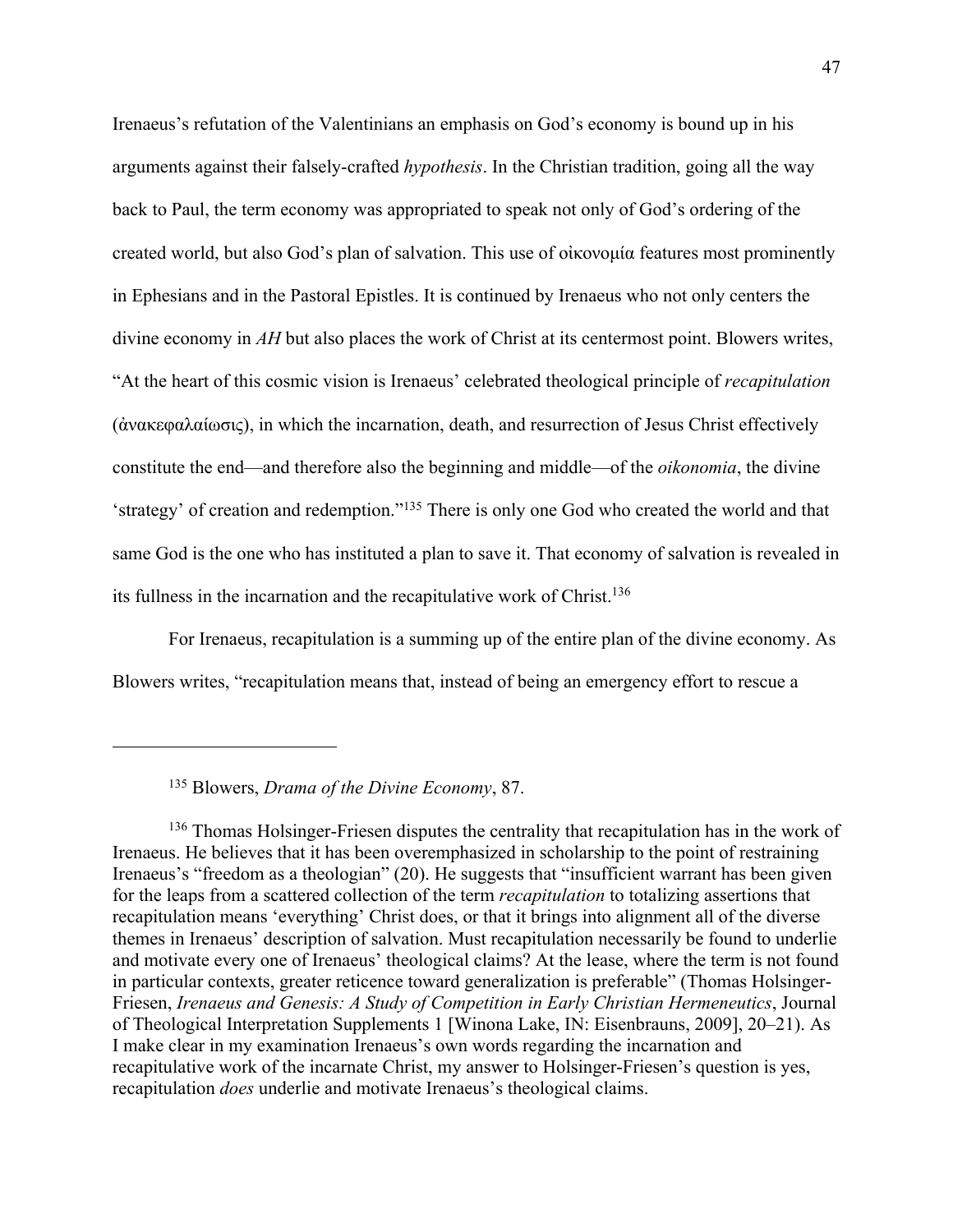Irenaeus's refutation of the Valentinians an emphasis on God's economy is bound up in his arguments against their falsely-crafted *hypothesis*. In the Christian tradition, going all the way back to Paul, the term economy was appropriated to speak not only of God's ordering of the created world, but also God's plan of salvation. This use of οἰκονομία features most prominently in Ephesians and in the Pastoral Epistles. It is continued by Irenaeus who not only centers the divine economy in *AH* but also places the work of Christ at its centermost point. Blowers writes, "At the heart of this cosmic vision is Irenaeus' celebrated theological principle of *recapitulation*  (ἀνακεφαλαίωσις), in which the incarnation, death, and resurrection of Jesus Christ effectively constitute the end—and therefore also the beginning and middle—of the *oikonomia*, the divine 'strategy' of creation and redemption."135 There is only one God who created the world and that same God is the one who has instituted a plan to save it. That economy of salvation is revealed in its fullness in the incarnation and the recapitulative work of Christ.136

For Irenaeus, recapitulation is a summing up of the entire plan of the divine economy. As Blowers writes, "recapitulation means that, instead of being an emergency effort to rescue a

<sup>135</sup> Blowers, *Drama of the Divine Economy*, 87.

<sup>136</sup> Thomas Holsinger-Friesen disputes the centrality that recapitulation has in the work of Irenaeus. He believes that it has been overemphasized in scholarship to the point of restraining Irenaeus's "freedom as a theologian" (20). He suggests that "insufficient warrant has been given for the leaps from a scattered collection of the term *recapitulation* to totalizing assertions that recapitulation means 'everything' Christ does, or that it brings into alignment all of the diverse themes in Irenaeus' description of salvation. Must recapitulation necessarily be found to underlie and motivate every one of Irenaeus' theological claims? At the lease, where the term is not found in particular contexts, greater reticence toward generalization is preferable" (Thomas Holsinger-Friesen, *Irenaeus and Genesis: A Study of Competition in Early Christian Hermeneutics*, Journal of Theological Interpretation Supplements 1 [Winona Lake, IN: Eisenbrauns, 2009], 20–21). As I make clear in my examination Irenaeus's own words regarding the incarnation and recapitulative work of the incarnate Christ, my answer to Holsinger-Friesen's question is yes, recapitulation *does* underlie and motivate Irenaeus's theological claims.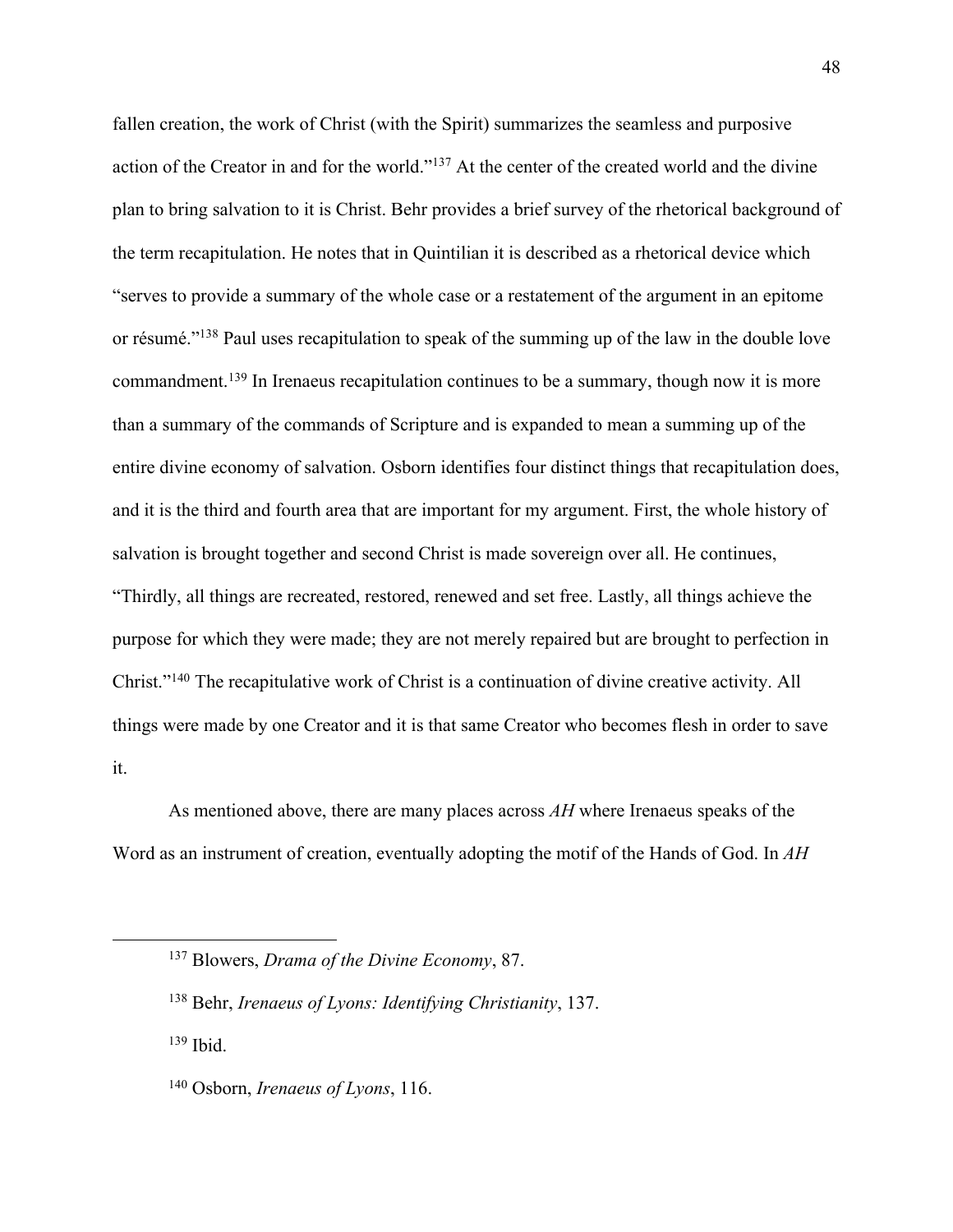fallen creation, the work of Christ (with the Spirit) summarizes the seamless and purposive action of the Creator in and for the world."137 At the center of the created world and the divine plan to bring salvation to it is Christ. Behr provides a brief survey of the rhetorical background of the term recapitulation. He notes that in Quintilian it is described as a rhetorical device which "serves to provide a summary of the whole case or a restatement of the argument in an epitome or résumé."138 Paul uses recapitulation to speak of the summing up of the law in the double love commandment.<sup>139</sup> In Irenaeus recapitulation continues to be a summary, though now it is more than a summary of the commands of Scripture and is expanded to mean a summing up of the entire divine economy of salvation. Osborn identifies four distinct things that recapitulation does, and it is the third and fourth area that are important for my argument. First, the whole history of salvation is brought together and second Christ is made sovereign over all. He continues, "Thirdly, all things are recreated, restored, renewed and set free. Lastly, all things achieve the purpose for which they were made; they are not merely repaired but are brought to perfection in Christ."140 The recapitulative work of Christ is a continuation of divine creative activity. All things were made by one Creator and it is that same Creator who becomes flesh in order to save it.

As mentioned above, there are many places across *AH* where Irenaeus speaks of the Word as an instrument of creation, eventually adopting the motif of the Hands of God. In *AH* 

<sup>139</sup> Ibid.

<sup>137</sup> Blowers, *Drama of the Divine Economy*, 87.

<sup>138</sup> Behr, *Irenaeus of Lyons: Identifying Christianity*, 137.

<sup>140</sup> Osborn, *Irenaeus of Lyons*, 116.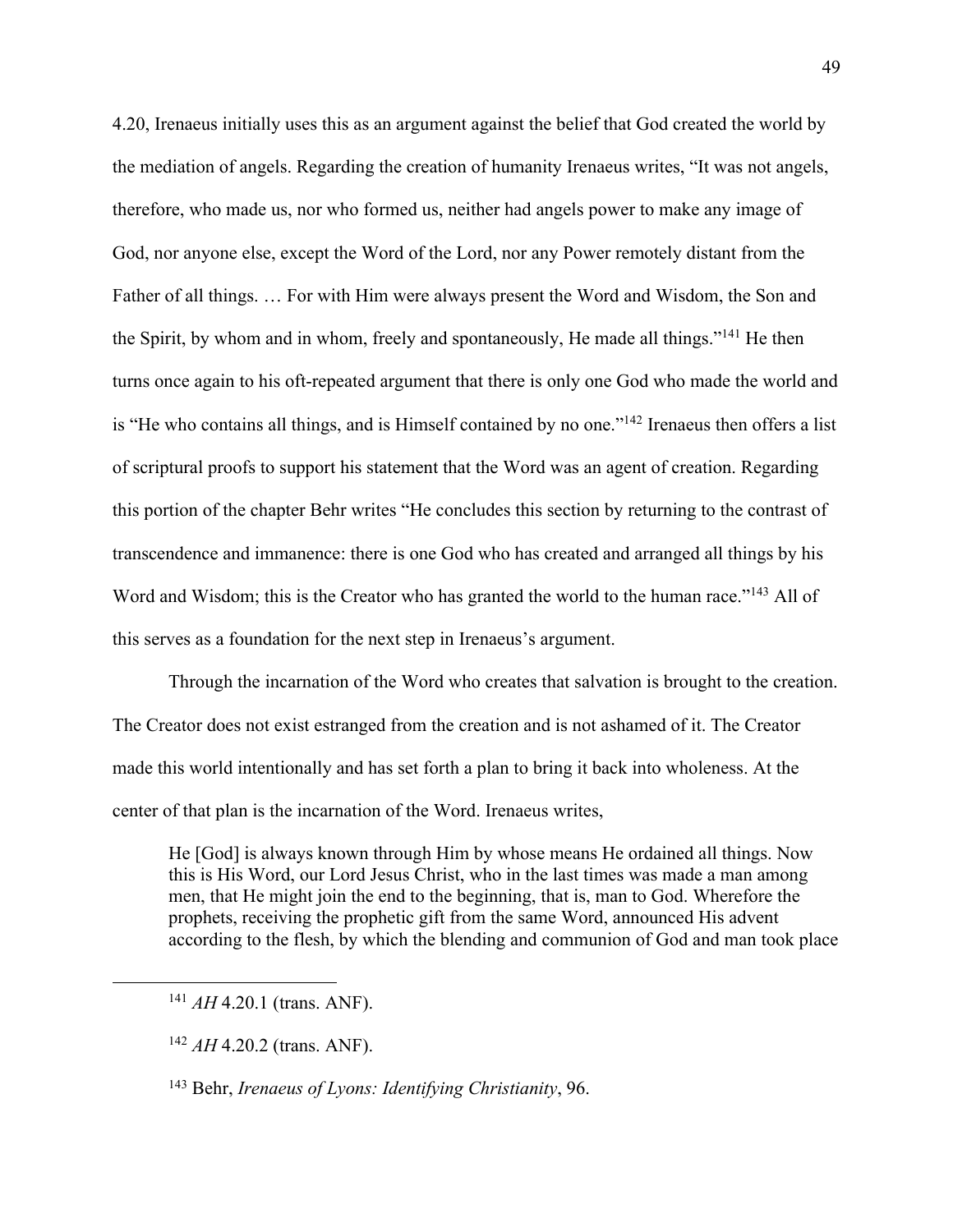4.20, Irenaeus initially uses this as an argument against the belief that God created the world by the mediation of angels. Regarding the creation of humanity Irenaeus writes, "It was not angels, therefore, who made us, nor who formed us, neither had angels power to make any image of God, nor anyone else, except the Word of the Lord, nor any Power remotely distant from the Father of all things. … For with Him were always present the Word and Wisdom, the Son and the Spirit, by whom and in whom, freely and spontaneously, He made all things."141 He then turns once again to his oft-repeated argument that there is only one God who made the world and is "He who contains all things, and is Himself contained by no one."<sup>142</sup> Irenaeus then offers a list of scriptural proofs to support his statement that the Word was an agent of creation. Regarding this portion of the chapter Behr writes "He concludes this section by returning to the contrast of transcendence and immanence: there is one God who has created and arranged all things by his Word and Wisdom; this is the Creator who has granted the world to the human race."<sup>143</sup> All of this serves as a foundation for the next step in Irenaeus's argument.

Through the incarnation of the Word who creates that salvation is brought to the creation. The Creator does not exist estranged from the creation and is not ashamed of it. The Creator made this world intentionally and has set forth a plan to bring it back into wholeness. At the center of that plan is the incarnation of the Word. Irenaeus writes,

He [God] is always known through Him by whose means He ordained all things. Now this is His Word, our Lord Jesus Christ, who in the last times was made a man among men, that He might join the end to the beginning, that is, man to God. Wherefore the prophets, receiving the prophetic gift from the same Word, announced His advent according to the flesh, by which the blending and communion of God and man took place

<sup>141</sup> *AH* 4.20.1 (trans. ANF).

<sup>142</sup> *AH* 4.20.2 (trans. ANF).

<sup>143</sup> Behr, *Irenaeus of Lyons: Identifying Christianity*, 96.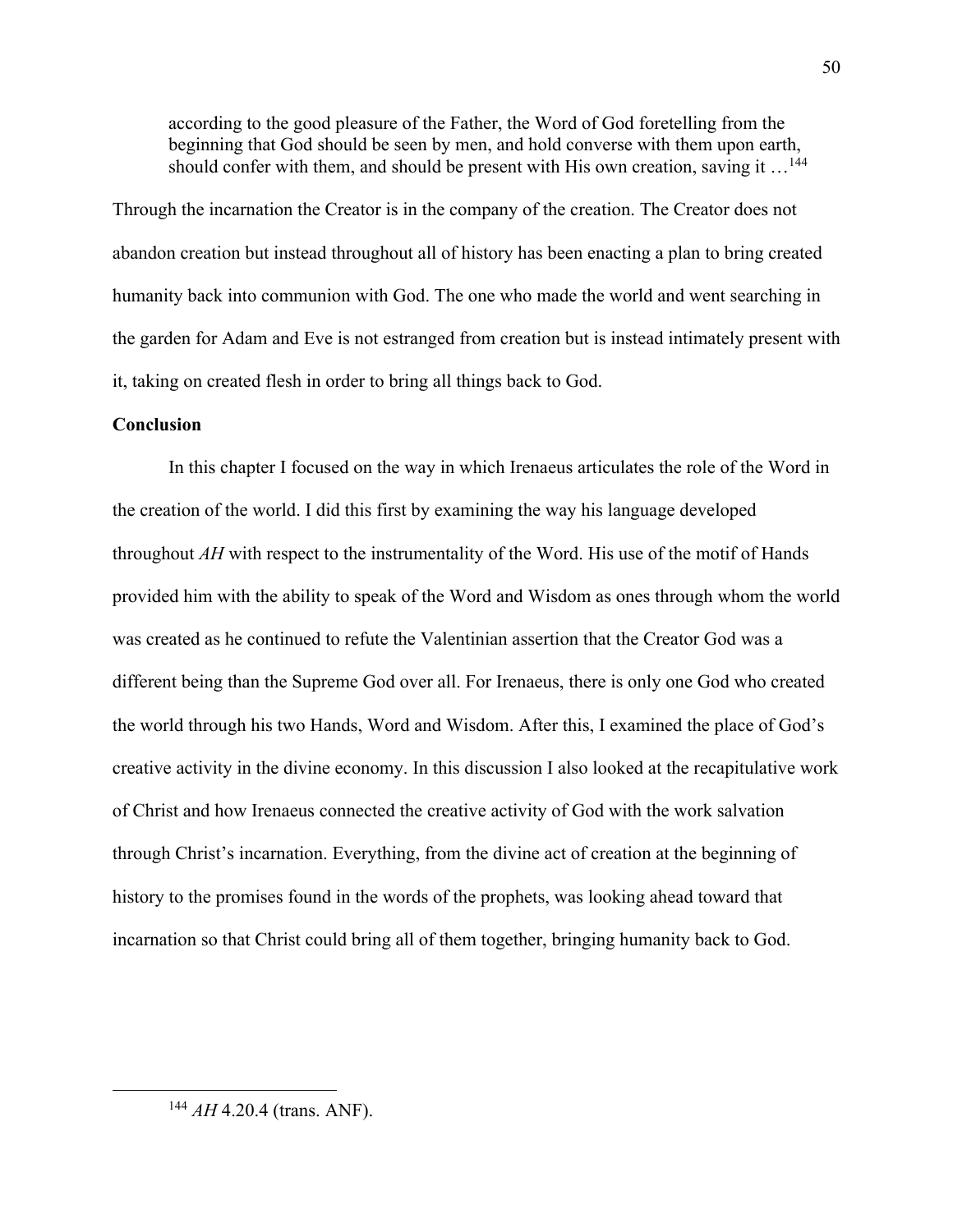according to the good pleasure of the Father, the Word of God foretelling from the beginning that God should be seen by men, and hold converse with them upon earth, should confer with them, and should be present with His own creation, saving it  $\dots$ <sup>144</sup>

Through the incarnation the Creator is in the company of the creation. The Creator does not abandon creation but instead throughout all of history has been enacting a plan to bring created humanity back into communion with God. The one who made the world and went searching in the garden for Adam and Eve is not estranged from creation but is instead intimately present with it, taking on created flesh in order to bring all things back to God.

## **Conclusion**

In this chapter I focused on the way in which Irenaeus articulates the role of the Word in the creation of the world. I did this first by examining the way his language developed throughout *AH* with respect to the instrumentality of the Word. His use of the motif of Hands provided him with the ability to speak of the Word and Wisdom as ones through whom the world was created as he continued to refute the Valentinian assertion that the Creator God was a different being than the Supreme God over all. For Irenaeus, there is only one God who created the world through his two Hands, Word and Wisdom. After this, I examined the place of God's creative activity in the divine economy. In this discussion I also looked at the recapitulative work of Christ and how Irenaeus connected the creative activity of God with the work salvation through Christ's incarnation. Everything, from the divine act of creation at the beginning of history to the promises found in the words of the prophets, was looking ahead toward that incarnation so that Christ could bring all of them together, bringing humanity back to God.

<sup>144</sup> *AH* 4.20.4 (trans. ANF).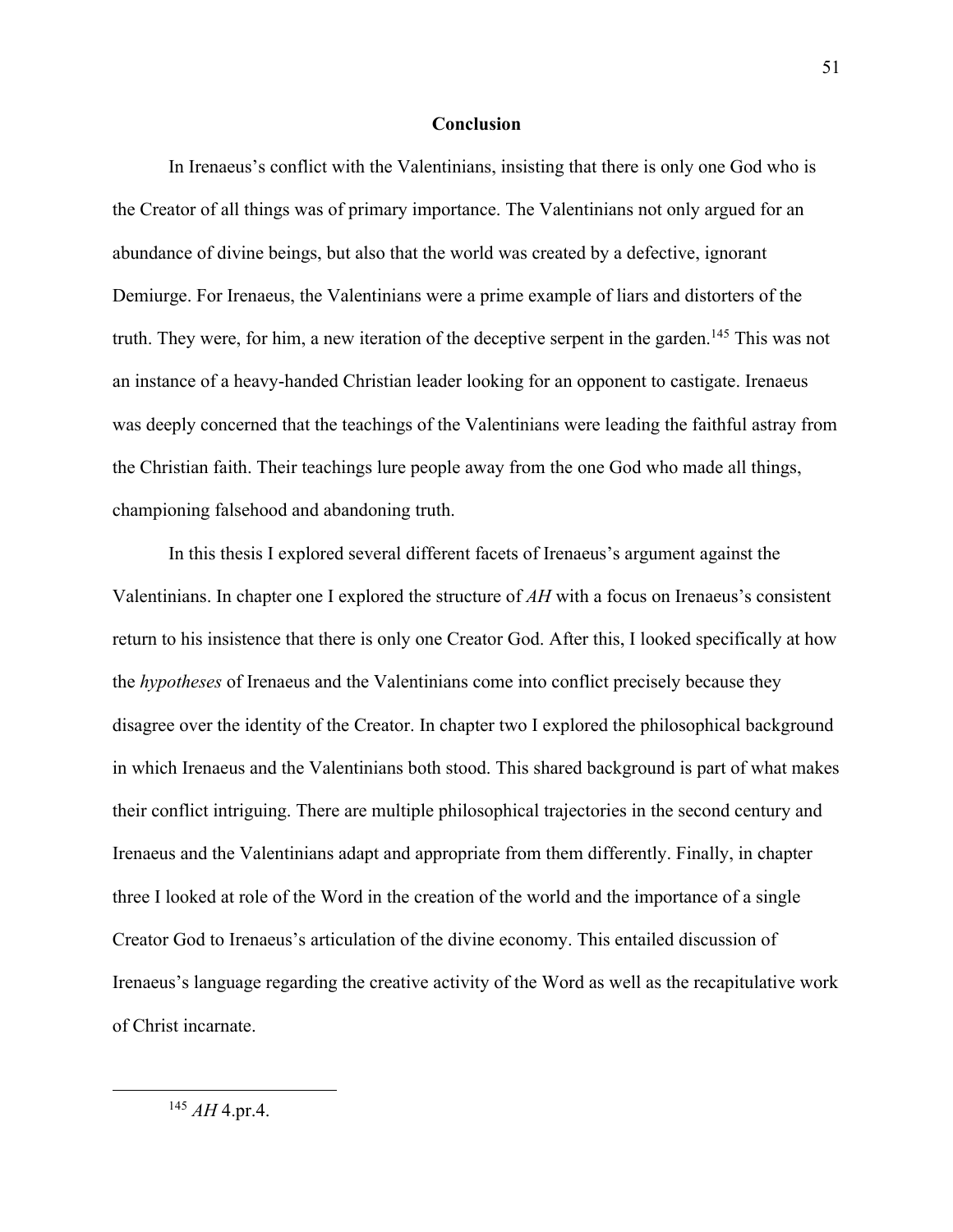## **Conclusion**

In Irenaeus's conflict with the Valentinians, insisting that there is only one God who is the Creator of all things was of primary importance. The Valentinians not only argued for an abundance of divine beings, but also that the world was created by a defective, ignorant Demiurge. For Irenaeus, the Valentinians were a prime example of liars and distorters of the truth. They were, for him, a new iteration of the deceptive serpent in the garden.<sup>145</sup> This was not an instance of a heavy-handed Christian leader looking for an opponent to castigate. Irenaeus was deeply concerned that the teachings of the Valentinians were leading the faithful astray from the Christian faith. Their teachings lure people away from the one God who made all things, championing falsehood and abandoning truth.

In this thesis I explored several different facets of Irenaeus's argument against the Valentinians. In chapter one I explored the structure of *AH* with a focus on Irenaeus's consistent return to his insistence that there is only one Creator God. After this, I looked specifically at how the *hypotheses* of Irenaeus and the Valentinians come into conflict precisely because they disagree over the identity of the Creator. In chapter two I explored the philosophical background in which Irenaeus and the Valentinians both stood. This shared background is part of what makes their conflict intriguing. There are multiple philosophical trajectories in the second century and Irenaeus and the Valentinians adapt and appropriate from them differently. Finally, in chapter three I looked at role of the Word in the creation of the world and the importance of a single Creator God to Irenaeus's articulation of the divine economy. This entailed discussion of Irenaeus's language regarding the creative activity of the Word as well as the recapitulative work of Christ incarnate.

<sup>145</sup> *AH* 4.pr.4.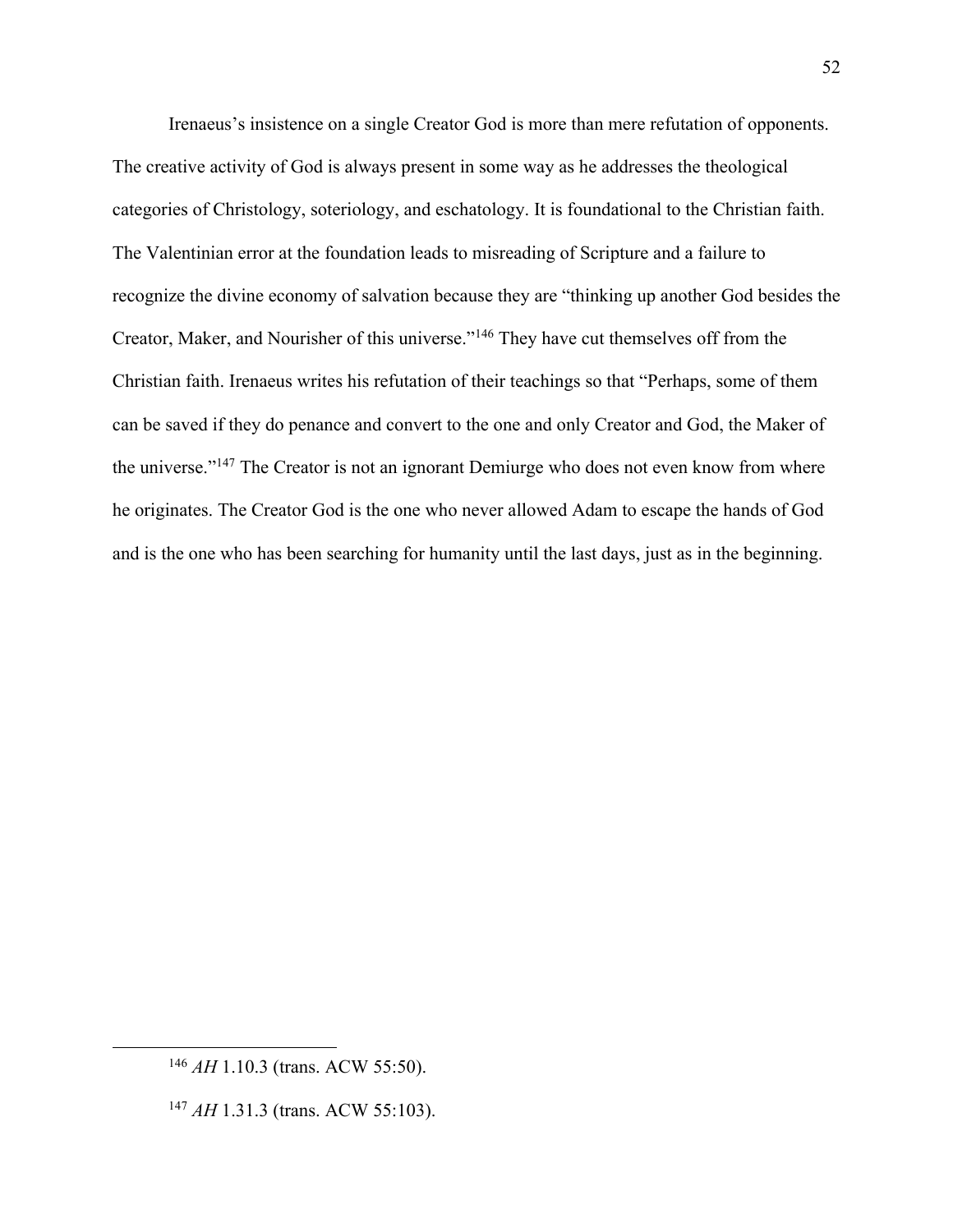Irenaeus's insistence on a single Creator God is more than mere refutation of opponents. The creative activity of God is always present in some way as he addresses the theological categories of Christology, soteriology, and eschatology. It is foundational to the Christian faith. The Valentinian error at the foundation leads to misreading of Scripture and a failure to recognize the divine economy of salvation because they are "thinking up another God besides the Creator, Maker, and Nourisher of this universe."146 They have cut themselves off from the Christian faith. Irenaeus writes his refutation of their teachings so that "Perhaps, some of them can be saved if they do penance and convert to the one and only Creator and God, the Maker of the universe."147 The Creator is not an ignorant Demiurge who does not even know from where he originates. The Creator God is the one who never allowed Adam to escape the hands of God and is the one who has been searching for humanity until the last days, just as in the beginning.

<sup>146</sup> *AH* 1.10.3 (trans. ACW 55:50).

<sup>147</sup> *AH* 1.31.3 (trans. ACW 55:103).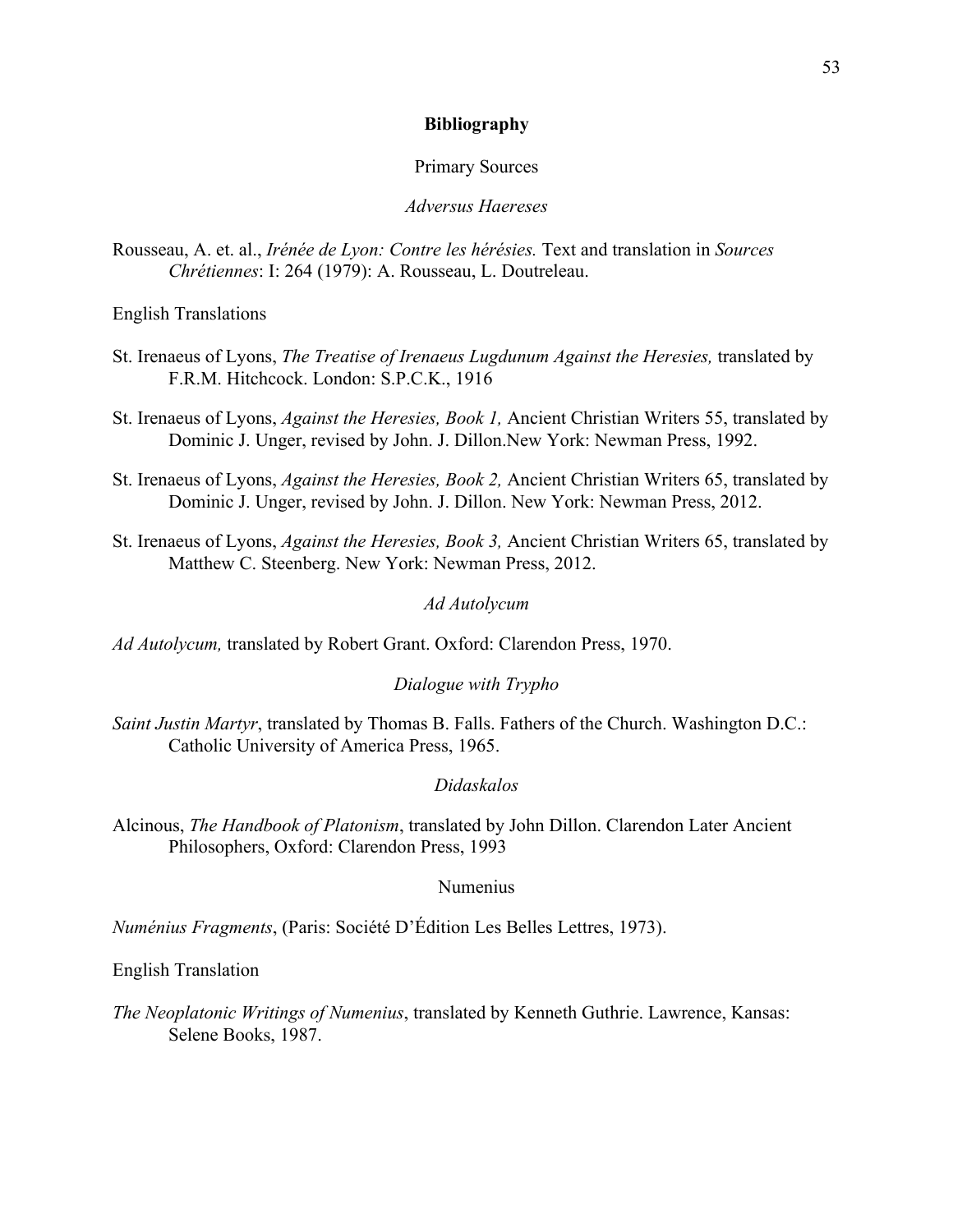## **Bibliography**

## Primary Sources

# *Adversus Haereses*

Rousseau, A. et. al., *Irénée de Lyon: Contre les hérésies.* Text and translation in *Sources Chrétiennes*: I: 264 (1979): A. Rousseau, L. Doutreleau.

English Translations

- St. Irenaeus of Lyons, *The Treatise of Irenaeus Lugdunum Against the Heresies,* translated by F.R.M. Hitchcock. London: S.P.C.K., 1916
- St. Irenaeus of Lyons, *Against the Heresies, Book 1,* Ancient Christian Writers 55, translated by Dominic J. Unger, revised by John. J. Dillon.New York: Newman Press, 1992.
- St. Irenaeus of Lyons, *Against the Heresies, Book 2,* Ancient Christian Writers 65, translated by Dominic J. Unger, revised by John. J. Dillon. New York: Newman Press, 2012.
- St. Irenaeus of Lyons, *Against the Heresies, Book 3,* Ancient Christian Writers 65, translated by Matthew C. Steenberg. New York: Newman Press, 2012.

#### *Ad Autolycum*

*Ad Autolycum,* translated by Robert Grant. Oxford: Clarendon Press, 1970.

## *Dialogue with Trypho*

*Saint Justin Martyr*, translated by Thomas B. Falls. Fathers of the Church. Washington D.C.: Catholic University of America Press, 1965.

## *Didaskalos*

Alcinous, *The Handbook of Platonism*, translated by John Dillon. Clarendon Later Ancient Philosophers, Oxford: Clarendon Press, 1993

## Numenius

*Numénius Fragments*, (Paris: Société D'Édition Les Belles Lettres, 1973).

English Translation

*The Neoplatonic Writings of Numenius*, translated by Kenneth Guthrie. Lawrence, Kansas: Selene Books, 1987.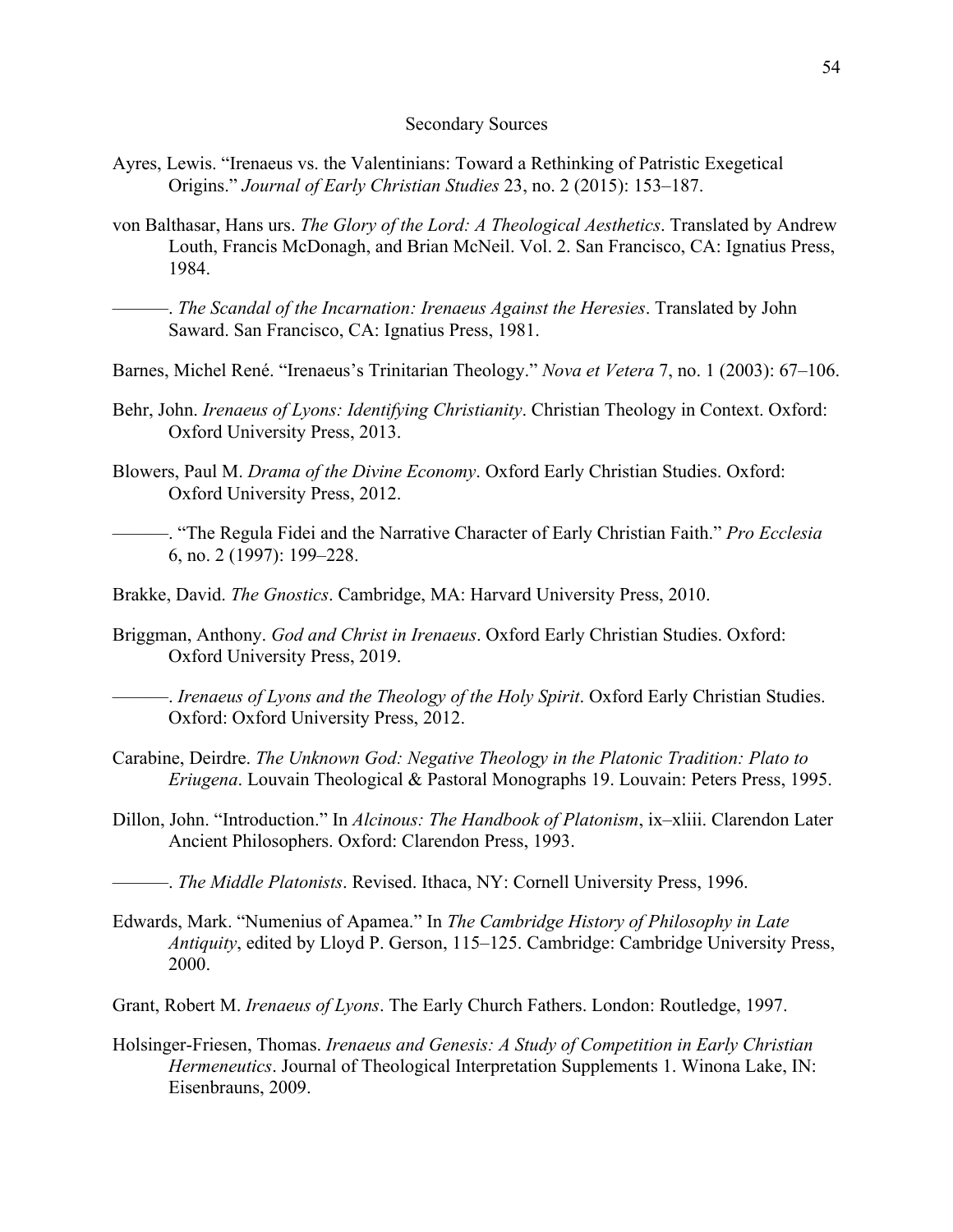#### Secondary Sources

- Ayres, Lewis. "Irenaeus vs. the Valentinians: Toward a Rethinking of Patristic Exegetical Origins." *Journal of Early Christian Studies* 23, no. 2 (2015): 153–187.
- von Balthasar, Hans urs. *The Glory of the Lord: A Theological Aesthetics*. Translated by Andrew Louth, Francis McDonagh, and Brian McNeil. Vol. 2. San Francisco, CA: Ignatius Press, 1984.
	- ———. *The Scandal of the Incarnation: Irenaeus Against the Heresies*. Translated by John Saward. San Francisco, CA: Ignatius Press, 1981.
- Barnes, Michel René. "Irenaeus's Trinitarian Theology." *Nova et Vetera* 7, no. 1 (2003): 67–106.
- Behr, John. *Irenaeus of Lyons: Identifying Christianity*. Christian Theology in Context. Oxford: Oxford University Press, 2013.
- Blowers, Paul M. *Drama of the Divine Economy*. Oxford Early Christian Studies. Oxford: Oxford University Press, 2012.
- ———. "The Regula Fidei and the Narrative Character of Early Christian Faith." *Pro Ecclesia* 6, no. 2 (1997): 199–228.
- Brakke, David. *The Gnostics*. Cambridge, MA: Harvard University Press, 2010.
- Briggman, Anthony. *God and Christ in Irenaeus*. Oxford Early Christian Studies. Oxford: Oxford University Press, 2019.
- ———. *Irenaeus of Lyons and the Theology of the Holy Spirit*. Oxford Early Christian Studies. Oxford: Oxford University Press, 2012.
- Carabine, Deirdre. *The Unknown God: Negative Theology in the Platonic Tradition: Plato to Eriugena*. Louvain Theological & Pastoral Monographs 19. Louvain: Peters Press, 1995.
- Dillon, John. "Introduction." In *Alcinous: The Handbook of Platonism*, ix–xliii. Clarendon Later Ancient Philosophers. Oxford: Clarendon Press, 1993.
	- ———. *The Middle Platonists*. Revised. Ithaca, NY: Cornell University Press, 1996.
- Edwards, Mark. "Numenius of Apamea." In *The Cambridge History of Philosophy in Late Antiquity*, edited by Lloyd P. Gerson, 115–125. Cambridge: Cambridge University Press, 2000.
- Grant, Robert M. *Irenaeus of Lyons*. The Early Church Fathers. London: Routledge, 1997.
- Holsinger-Friesen, Thomas. *Irenaeus and Genesis: A Study of Competition in Early Christian Hermeneutics*. Journal of Theological Interpretation Supplements 1. Winona Lake, IN: Eisenbrauns, 2009.